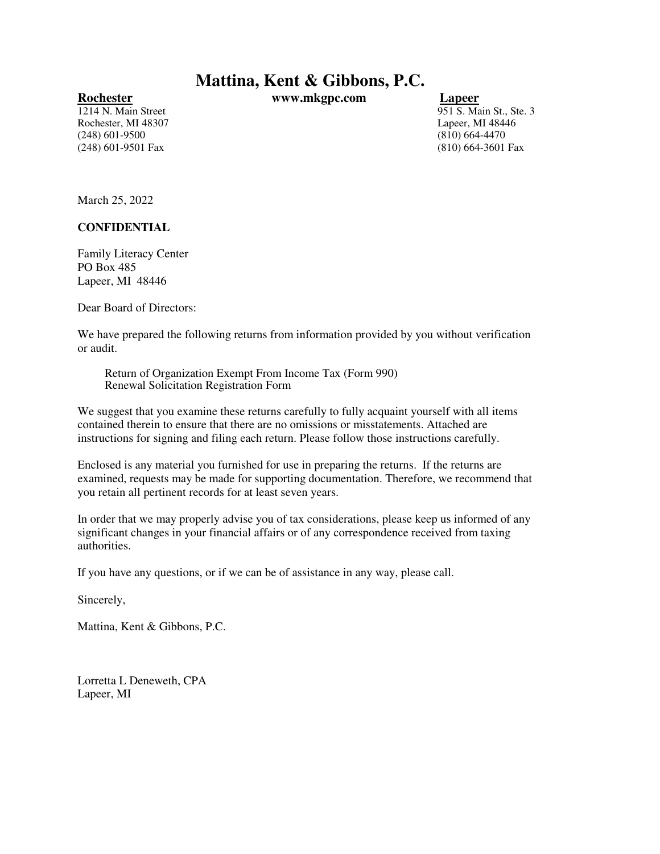## **Mattina, Kent & Gibbons, P.C.**

Rochester, MI 48307 Lapeer, MI 48446 (248) 601-9500 (810) 664-4470 (248) 601-9501 Fax (810) 664-3601 Fax

**Rochester www.mkgpc.com Lapeer**

1214 N. Main Street 951 S. Main St., Ste. 3

March 25, 2022

**CONFIDENTIAL**

Family Literacy Center PO Box 485 Lapeer, MI 48446

Dear Board of Directors:

We have prepared the following returns from information provided by you without verification or audit.

Return of Organization Exempt From Income Tax (Form 990) Renewal Solicitation Registration Form

We suggest that you examine these returns carefully to fully acquaint yourself with all items contained therein to ensure that there are no omissions or misstatements. Attached are instructions for signing and filing each return. Please follow those instructions carefully.

Enclosed is any material you furnished for use in preparing the returns. If the returns are examined, requests may be made for supporting documentation. Therefore, we recommend that you retain all pertinent records for at least seven years.

In order that we may properly advise you of tax considerations, please keep us informed of any significant changes in your financial affairs or of any correspondence received from taxing authorities.

If you have any questions, or if we can be of assistance in any way, please call.

Sincerely,

Mattina, Kent & Gibbons, P.C.

Lorretta L Deneweth, CPA Lapeer, MI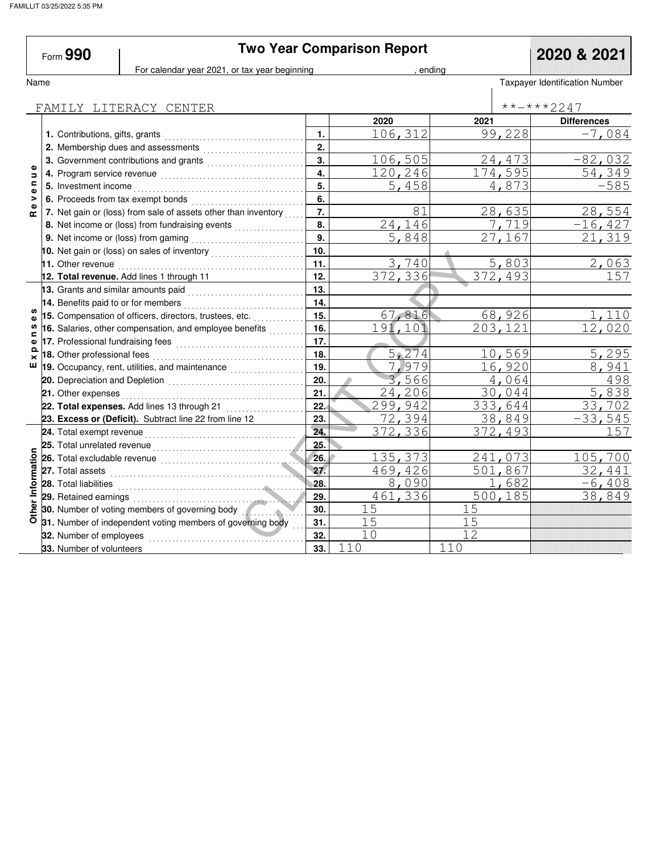|                               | Form 990                           |                                                                                                                                                                                                                                     |                  | <b>Two Year Comparison Report</b> |         | 2020 & 2021                           |  |  |
|-------------------------------|------------------------------------|-------------------------------------------------------------------------------------------------------------------------------------------------------------------------------------------------------------------------------------|------------------|-----------------------------------|---------|---------------------------------------|--|--|
|                               |                                    | For calendar year 2021, or tax year beginning                                                                                                                                                                                       |                  |                                   | ending  |                                       |  |  |
| Name                          |                                    |                                                                                                                                                                                                                                     |                  |                                   |         | <b>Taxpayer Identification Number</b> |  |  |
|                               |                                    | FAMILY LITERACY CENTER                                                                                                                                                                                                              |                  |                                   |         | **-***2247                            |  |  |
|                               |                                    |                                                                                                                                                                                                                                     |                  | 2020                              | 2021    | <b>Differences</b>                    |  |  |
|                               | 1. Contributions, gifts, grants    |                                                                                                                                                                                                                                     | 1.               | 106,312                           | 99,228  | $-7,084$                              |  |  |
|                               |                                    | 2. Membership dues and assessments                                                                                                                                                                                                  | 2.               |                                   |         |                                       |  |  |
|                               |                                    | 3. Government contributions and grants                                                                                                                                                                                              | 3.               | 106,505                           | 24,473  | $-82,032$                             |  |  |
| Φ<br>$\overline{\phantom{a}}$ |                                    |                                                                                                                                                                                                                                     | 4.               | 120,246                           | 174,595 | 54,349                                |  |  |
| $\mathbf{C}$                  |                                    |                                                                                                                                                                                                                                     | 5.               | 5,458                             | 4,873   | $-585$                                |  |  |
| >                             |                                    | 6. Proceeds from tax exempt bonds                                                                                                                                                                                                   | 6.               |                                   |         |                                       |  |  |
| œ                             |                                    | 7. Net gain or (loss) from sale of assets other than inventory                                                                                                                                                                      | 7.               | 81                                | 28,635  | 28,554                                |  |  |
|                               |                                    | 8. Net income or (loss) from fundraising events                                                                                                                                                                                     | 8.               | 24,146                            | 7,719   | $-16,427$                             |  |  |
|                               |                                    |                                                                                                                                                                                                                                     | $\overline{9}$ . | 5,848                             | 27,167  | 21,319                                |  |  |
|                               |                                    | 10. Net gain or (loss) on sales of inventory [1, 1, 1, 1, 1, 1, 1, 1, 1, 1, 1, 1                                                                                                                                                    | 10.              |                                   |         |                                       |  |  |
|                               | 11. Other revenue                  |                                                                                                                                                                                                                                     | 11.              | $\overline{3}$ , 740              | 5,803   | 2,063                                 |  |  |
|                               |                                    | 12. Total revenue. Add lines 1 through 11                                                                                                                                                                                           | 12.              | 372,336                           | 372,493 | 157                                   |  |  |
|                               |                                    | 13. Grants and similar amounts paid                                                                                                                                                                                                 | 13.              |                                   |         |                                       |  |  |
|                               |                                    |                                                                                                                                                                                                                                     | 14.              |                                   |         |                                       |  |  |
|                               |                                    | 15. Compensation of officers, directors, trustees, etc.                                                                                                                                                                             | 15.              | 67,816                            | 68,926  | .,110                                 |  |  |
| <b>S</b><br>c                 |                                    | 16. Salaries, other compensation, and employee benefits                                                                                                                                                                             | 16.              | 191,101                           | 203,121 | 12,020                                |  |  |
| Φ                             |                                    |                                                                                                                                                                                                                                     | 17.              |                                   |         |                                       |  |  |
| Ω                             | <b>18.</b> Other professional fees |                                                                                                                                                                                                                                     | 18.              | 5,274                             | 10,569  | 5,295                                 |  |  |
| ш                             |                                    | 19. Occupancy, rent, utilities, and maintenance <i>[[[[[[[[[[[[[[[[[[[[[[]]]]]</i>                                                                                                                                                  | 19.              | 7,979                             | 16,920  | 8,941                                 |  |  |
|                               |                                    |                                                                                                                                                                                                                                     | 20.              | 3,566                             | 4,064   | 498                                   |  |  |
|                               |                                    |                                                                                                                                                                                                                                     | 21.              | 24,206                            | 30,044  | 5,838                                 |  |  |
|                               |                                    | 22. Total expenses. Add lines 13 through 21                                                                                                                                                                                         | 22.              | 299,942                           | 333,644 | 33,702                                |  |  |
|                               |                                    | 23. Excess or (Deficit). Subtract line 22 from line 12                                                                                                                                                                              | 23.              | 72,394                            | 38,849  | $-33,545$                             |  |  |
|                               |                                    |                                                                                                                                                                                                                                     | 24.              | 372,336                           | 372,493 | 157                                   |  |  |
|                               | 25. Total unrelated revenue        |                                                                                                                                                                                                                                     | 25.              |                                   |         |                                       |  |  |
|                               |                                    | 26. Total excludable revenue                                                                                                                                                                                                        | 26.              | 135,373                           | 241,073 | 105,700                               |  |  |
|                               |                                    |                                                                                                                                                                                                                                     | 27.              | 469, 426                          | 501,867 | 32,441                                |  |  |
| Other Information             |                                    | 28. Total liabilities <b>Manual Accord Parameter and Parameters</b> and the second part of the second second second second second second second second second second second second second second second second second second second | 28.              | 8,090                             | 1,682   | $-6,408$                              |  |  |
|                               | 29. Retained earnings              |                                                                                                                                                                                                                                     | 29.              | 461,336                           | 500,185 | 38,849                                |  |  |
|                               |                                    | 30. Number of voting members of governing body                                                                                                                                                                                      | 30.              | 15                                | 15      |                                       |  |  |
|                               |                                    | 31. Number of independent voting members of governing body                                                                                                                                                                          | 31.              | 15                                | 15      |                                       |  |  |
|                               | 32. Number of employees            |                                                                                                                                                                                                                                     | 32.              | 10                                | 12      |                                       |  |  |
|                               | 33. Number of volunteers           |                                                                                                                                                                                                                                     | 33.              | 110                               | 110     |                                       |  |  |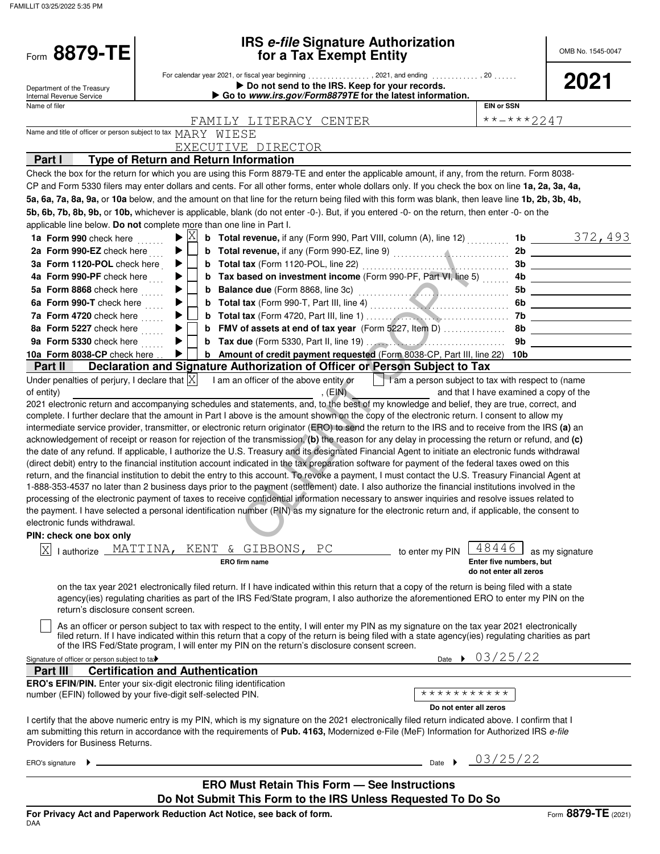| Form 8879-TE                                                   | <b>IRS e-file Signature Authorization</b><br>for a Tax Exempt Entity                                                                                                                                                                                                                                                                                                                                                                                                                                                                                                                                                                                                                                                                                                                                                                                                                                                                                                                                                                                                       | OMB No. 1545-0047 |
|----------------------------------------------------------------|----------------------------------------------------------------------------------------------------------------------------------------------------------------------------------------------------------------------------------------------------------------------------------------------------------------------------------------------------------------------------------------------------------------------------------------------------------------------------------------------------------------------------------------------------------------------------------------------------------------------------------------------------------------------------------------------------------------------------------------------------------------------------------------------------------------------------------------------------------------------------------------------------------------------------------------------------------------------------------------------------------------------------------------------------------------------------|-------------------|
| Department of the Treasury<br>Internal Revenue Service         | Do not send to the IRS. Keep for your records.<br>Go to www.irs.gov/Form8879TE for the latest information.                                                                                                                                                                                                                                                                                                                                                                                                                                                                                                                                                                                                                                                                                                                                                                                                                                                                                                                                                                 | 2021              |
| Name of filer                                                  | <b>EIN or SSN</b>                                                                                                                                                                                                                                                                                                                                                                                                                                                                                                                                                                                                                                                                                                                                                                                                                                                                                                                                                                                                                                                          |                   |
|                                                                | **-***2247<br>FAMILY LITERACY CENTER                                                                                                                                                                                                                                                                                                                                                                                                                                                                                                                                                                                                                                                                                                                                                                                                                                                                                                                                                                                                                                       |                   |
|                                                                | Name and title of officer or person subject to tax MARY WIESE                                                                                                                                                                                                                                                                                                                                                                                                                                                                                                                                                                                                                                                                                                                                                                                                                                                                                                                                                                                                              |                   |
| Part I                                                         | EXECUTIVE DIRECTOR<br>Type of Return and Return Information                                                                                                                                                                                                                                                                                                                                                                                                                                                                                                                                                                                                                                                                                                                                                                                                                                                                                                                                                                                                                |                   |
|                                                                | Check the box for the return for which you are using this Form 8879-TE and enter the applicable amount, if any, from the return. Form 8038-                                                                                                                                                                                                                                                                                                                                                                                                                                                                                                                                                                                                                                                                                                                                                                                                                                                                                                                                |                   |
|                                                                | CP and Form 5330 filers may enter dollars and cents. For all other forms, enter whole dollars only. If you check the box on line 1a, 2a, 3a, 4a,                                                                                                                                                                                                                                                                                                                                                                                                                                                                                                                                                                                                                                                                                                                                                                                                                                                                                                                           |                   |
|                                                                | 5a, 6a, 7a, 8a, 9a, or 10a below, and the amount on that line for the return being filed with this form was blank, then leave line 1b, 2b, 3b, 4b,                                                                                                                                                                                                                                                                                                                                                                                                                                                                                                                                                                                                                                                                                                                                                                                                                                                                                                                         |                   |
|                                                                | 5b, 6b, 7b, 8b, 9b, or 10b, whichever is applicable, blank (do not enter -0-). But, if you entered -0- on the return, then enter -0- on the                                                                                                                                                                                                                                                                                                                                                                                                                                                                                                                                                                                                                                                                                                                                                                                                                                                                                                                                |                   |
|                                                                | applicable line below. Do not complete more than one line in Part I.                                                                                                                                                                                                                                                                                                                                                                                                                                                                                                                                                                                                                                                                                                                                                                                                                                                                                                                                                                                                       |                   |
| 1a Form 990 check here                                         | X <br>$\blacktriangleright$<br><b>b</b> Total revenue, if any (Form 990, Part VIII, column (A), line 12) 1b $\frac{372}{493}$                                                                                                                                                                                                                                                                                                                                                                                                                                                                                                                                                                                                                                                                                                                                                                                                                                                                                                                                              |                   |
| 2a Form 990-EZ check here                                      | ▶                                                                                                                                                                                                                                                                                                                                                                                                                                                                                                                                                                                                                                                                                                                                                                                                                                                                                                                                                                                                                                                                          | 2b                |
| 3a Form 1120-POL check here                                    | ▶                                                                                                                                                                                                                                                                                                                                                                                                                                                                                                                                                                                                                                                                                                                                                                                                                                                                                                                                                                                                                                                                          |                   |
| 4a Form 990-PF check here                                      | b Tax based on investment income (Form 990-PF, Part VI, line 5)  4b ________________________<br>▶<br>▶                                                                                                                                                                                                                                                                                                                                                                                                                                                                                                                                                                                                                                                                                                                                                                                                                                                                                                                                                                     |                   |
| 5a Form 8868 check here<br>6a Form 990-T check here $\ldots$   | ▶                                                                                                                                                                                                                                                                                                                                                                                                                                                                                                                                                                                                                                                                                                                                                                                                                                                                                                                                                                                                                                                                          |                   |
| 7a Form 4720 check here $\ldots$                               | $\blacktriangleright$                                                                                                                                                                                                                                                                                                                                                                                                                                                                                                                                                                                                                                                                                                                                                                                                                                                                                                                                                                                                                                                      |                   |
| 8a Form 5227 check here                                        | ▶                                                                                                                                                                                                                                                                                                                                                                                                                                                                                                                                                                                                                                                                                                                                                                                                                                                                                                                                                                                                                                                                          |                   |
| 9a Form 5330 check here                                        | <b>b</b> Tax due (Form 5330, Part II, line 19)                                                                                                                                                                                                                                                                                                                                                                                                                                                                                                                                                                                                                                                                                                                                                                                                                                                                                                                                                                                                                             |                   |
| 10a Form 8038-CP check here                                    | b Amount of credit payment requested (Form 8038-CP, Part III, line 22) 10b<br>▶ ।                                                                                                                                                                                                                                                                                                                                                                                                                                                                                                                                                                                                                                                                                                                                                                                                                                                                                                                                                                                          |                   |
| Parti                                                          | Declaration and Signature Authorization of Officer or Person Subject to Tax                                                                                                                                                                                                                                                                                                                                                                                                                                                                                                                                                                                                                                                                                                                                                                                                                                                                                                                                                                                                |                   |
| Under penalties of perjury, I declare that $ X $<br>of entity) | I am an officer of the above entity or I am a person subject to tax with respect to (name<br>, (EIN)<br>and that I have examined a copy of the<br>2021 electronic return and accompanying schedules and statements, and, to the best of my knowledge and belief, they are true, correct, and                                                                                                                                                                                                                                                                                                                                                                                                                                                                                                                                                                                                                                                                                                                                                                               |                   |
|                                                                | complete. I further declare that the amount in Part I above is the amount shown on the copy of the electronic return. I consent to allow my                                                                                                                                                                                                                                                                                                                                                                                                                                                                                                                                                                                                                                                                                                                                                                                                                                                                                                                                |                   |
| electronic funds withdrawal.<br>PIN: check one box only        | acknowledgement of receipt or reason for rejection of the transmission, (b) the reason for any delay in processing the return or refund, and (c)<br>the date of any refund. If applicable, I authorize the U.S. Treasury and its designated Financial Agent to initiate an electronic funds withdrawal<br>(direct debit) entry to the financial institution account indicated in the tax preparation software for payment of the federal taxes owed on this<br>return, and the financial institution to debit the entry to this account. To revoke a payment, I must contact the U.S. Treasury Financial Agent at<br>1-888-353-4537 no later than 2 business days prior to the payment (settlement) date. I also authorize the financial institutions involved in the<br>processing of the electronic payment of taxes to receive confidential information necessary to answer inquiries and resolve issues related to<br>the payment. I have selected a personal identification number (PIN) as my signature for the electronic return and, if applicable, the consent to |                   |
| ΙXΙ<br>I authorize _                                           | 48446<br>KENT & GIBBONS, PC<br>MATTINA,<br>to enter my PIN                                                                                                                                                                                                                                                                                                                                                                                                                                                                                                                                                                                                                                                                                                                                                                                                                                                                                                                                                                                                                 | as my signature   |
|                                                                | Enter five numbers, but<br>ERO firm name<br>do not enter all zeros                                                                                                                                                                                                                                                                                                                                                                                                                                                                                                                                                                                                                                                                                                                                                                                                                                                                                                                                                                                                         |                   |
| return's disclosure consent screen.                            | on the tax year 2021 electronically filed return. If I have indicated within this return that a copy of the return is being filed with a state<br>agency(ies) regulating charities as part of the IRS Fed/State program, I also authorize the aforementioned ERO to enter my PIN on the                                                                                                                                                                                                                                                                                                                                                                                                                                                                                                                                                                                                                                                                                                                                                                                    |                   |
|                                                                | As an officer or person subject to tax with respect to the entity, I will enter my PIN as my signature on the tax year 2021 electronically<br>filed return. If I have indicated within this return that a copy of the return is being filed with a state agency(ies) regulating charities as part<br>of the IRS Fed/State program, I will enter my PIN on the return's disclosure consent screen.                                                                                                                                                                                                                                                                                                                                                                                                                                                                                                                                                                                                                                                                          |                   |
| Signature of officer or person subject to tax                  | 03/25/22<br>Date $\rightarrow$                                                                                                                                                                                                                                                                                                                                                                                                                                                                                                                                                                                                                                                                                                                                                                                                                                                                                                                                                                                                                                             |                   |
| eanul                                                          | <b>Certification and Authentication</b>                                                                                                                                                                                                                                                                                                                                                                                                                                                                                                                                                                                                                                                                                                                                                                                                                                                                                                                                                                                                                                    |                   |
|                                                                | <b>ERO's EFIN/PIN.</b> Enter your six-digit electronic filing identification<br>number (EFIN) followed by your five-digit self-selected PIN.<br>***********<br>Do not enter all zeros                                                                                                                                                                                                                                                                                                                                                                                                                                                                                                                                                                                                                                                                                                                                                                                                                                                                                      |                   |
| Providers for Business Returns.                                | I certify that the above numeric entry is my PIN, which is my signature on the 2021 electronically filed return indicated above. I confirm that I<br>am submitting this return in accordance with the requirements of Pub. 4163, Modernized e-File (MeF) Information for Authorized IRS e-file                                                                                                                                                                                                                                                                                                                                                                                                                                                                                                                                                                                                                                                                                                                                                                             |                   |
| ERO's signature                                                | 03/25/22<br>Date                                                                                                                                                                                                                                                                                                                                                                                                                                                                                                                                                                                                                                                                                                                                                                                                                                                                                                                                                                                                                                                           |                   |
|                                                                | <b>ERO Must Retain This Form - See Instructions</b>                                                                                                                                                                                                                                                                                                                                                                                                                                                                                                                                                                                                                                                                                                                                                                                                                                                                                                                                                                                                                        |                   |
|                                                                | Do Not Submit This Form to the IRS Unless Requested To Do So                                                                                                                                                                                                                                                                                                                                                                                                                                                                                                                                                                                                                                                                                                                                                                                                                                                                                                                                                                                                               |                   |
|                                                                | For Privacy Act and Penerwork Poduction Act Notice, see book of form                                                                                                                                                                                                                                                                                                                                                                                                                                                                                                                                                                                                                                                                                                                                                                                                                                                                                                                                                                                                       | 8870_TE (0001     |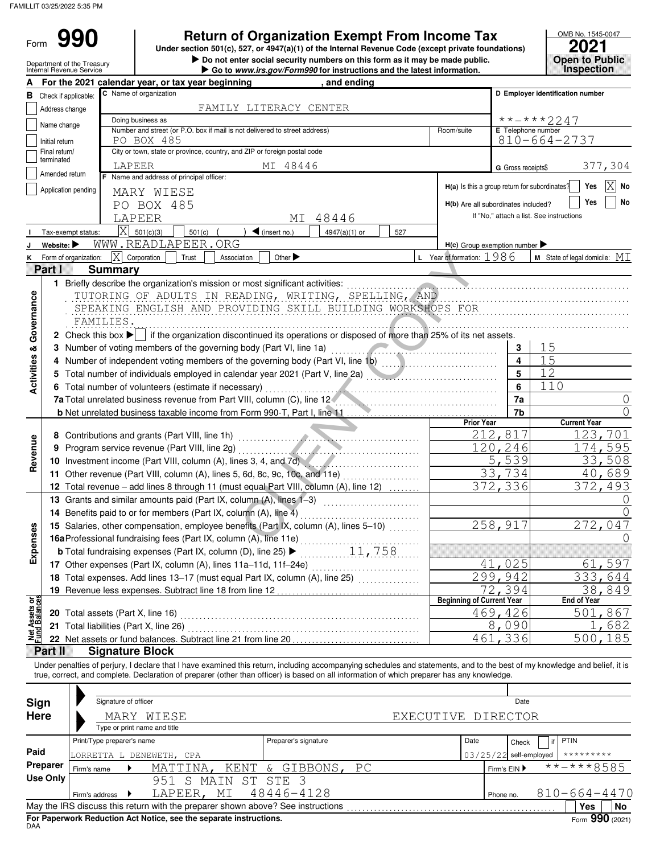Form 990

**• Do not enter social security numbers on this form as it may be made public. Open to Public 990 2010 2010 2011 2018 2021 Depend on Exempt From Income Tax 2021 2021 2021** 

|                                        | Department of the Treasury<br>Internal Revenue Service |                            |                                                                                                                                                                            |                                   | $\sim$ and a security humbers on this form as it may be made public.<br>Go to <i>www.irs.gov/Form990</i> for instructions and the latest information. |     |                                               |                          | open to rubbe<br><b>Inspection</b>       |
|----------------------------------------|--------------------------------------------------------|----------------------------|----------------------------------------------------------------------------------------------------------------------------------------------------------------------------|-----------------------------------|-------------------------------------------------------------------------------------------------------------------------------------------------------|-----|-----------------------------------------------|--------------------------|------------------------------------------|
|                                        |                                                        |                            | For the 2021 calendar year, or tax year beginning                                                                                                                          |                                   | , and ending                                                                                                                                          |     |                                               |                          |                                          |
| в                                      | Check if applicable:                                   |                            | C Name of organization                                                                                                                                                     |                                   |                                                                                                                                                       |     |                                               |                          | D Employer identification number         |
|                                        | Address change                                         |                            | FAMILY LITERACY CENTER                                                                                                                                                     |                                   |                                                                                                                                                       |     |                                               |                          |                                          |
|                                        |                                                        |                            | Doing business as                                                                                                                                                          |                                   |                                                                                                                                                       |     |                                               |                          | **-***2247                               |
|                                        | Name change                                            |                            | Number and street (or P.O. box if mail is not delivered to street address)                                                                                                 |                                   |                                                                                                                                                       |     | Room/suite                                    | E Telephone number       |                                          |
|                                        | Initial return                                         |                            | PO BOX 485                                                                                                                                                                 |                                   |                                                                                                                                                       |     |                                               |                          | 810-664-2737                             |
|                                        | Final return/<br>terminated                            |                            | City or town, state or province, country, and ZIP or foreign postal code                                                                                                   |                                   |                                                                                                                                                       |     |                                               |                          |                                          |
|                                        |                                                        | LAPEER                     |                                                                                                                                                                            | MI 48446                          |                                                                                                                                                       |     |                                               | G Gross receipts\$       | 377,304                                  |
|                                        | Amended return                                         |                            | F Name and address of principal officer:                                                                                                                                   |                                   |                                                                                                                                                       |     |                                               |                          |                                          |
|                                        | Application pending                                    |                            | MARY WIESE                                                                                                                                                                 |                                   |                                                                                                                                                       |     | H(a) Is this a group return for subordinates? |                          | $\vert\mathrm{X}\vert$<br>Yes<br>No      |
|                                        |                                                        |                            | PO BOX 485                                                                                                                                                                 |                                   |                                                                                                                                                       |     | H(b) Are all subordinates included?           |                          | No<br>Yes                                |
|                                        |                                                        |                            | LAPEER                                                                                                                                                                     | МI                                | 48446                                                                                                                                                 |     |                                               |                          | If "No," attach a list. See instructions |
|                                        | Tax-exempt status:                                     | Χ                          | 501(c)(3)<br>501(c)                                                                                                                                                        | $\blacktriangleleft$ (insert no.) | 4947(a)(1) or                                                                                                                                         | 527 |                                               |                          |                                          |
|                                        |                                                        |                            | WWW.READLAPEER.ORG                                                                                                                                                         |                                   |                                                                                                                                                       |     |                                               |                          |                                          |
|                                        | Website: $\blacktriangleright$                         |                            |                                                                                                                                                                            |                                   |                                                                                                                                                       |     | $H(c)$ Group exemption number                 |                          |                                          |
|                                        | Form of organization:                                  | X                          | Corporation<br>Trust<br>Association                                                                                                                                        | Other $\blacktriangleright$       |                                                                                                                                                       |     | <b>L</b> Year of formation: $1986$            |                          | <b>M</b> State of legal domicile: $MI$   |
|                                        | Part I                                                 | <b>Summary</b>             |                                                                                                                                                                            |                                   |                                                                                                                                                       |     |                                               |                          |                                          |
|                                        |                                                        |                            | 1 Briefly describe the organization's mission or most significant activities:                                                                                              |                                   |                                                                                                                                                       |     |                                               |                          |                                          |
| Governance                             |                                                        |                            | TUTORING OF ADULTS IN READING, WRITING, SPELLING, AND                                                                                                                      |                                   |                                                                                                                                                       |     |                                               |                          |                                          |
|                                        |                                                        |                            | SPEAKING ENGLISH AND PROVIDING SKILL BUILDING WORKSHOPS FOR                                                                                                                |                                   |                                                                                                                                                       |     |                                               |                          |                                          |
|                                        |                                                        | FAMILIES.                  |                                                                                                                                                                            |                                   |                                                                                                                                                       |     |                                               |                          |                                          |
|                                        |                                                        |                            | 2 Check this box $\blacktriangleright$ if the organization discontinued its operations or disposed of more than 25% of its net assets.                                     |                                   |                                                                                                                                                       |     |                                               |                          |                                          |
|                                        |                                                        |                            | 3 Number of voting members of the governing body (Part VI, line 1a)                                                                                                        |                                   |                                                                                                                                                       |     |                                               | 3                        | 15                                       |
|                                        |                                                        |                            | 4 Number of independent voting members of the governing body (Part VI, line 1b)                                                                                            |                                   |                                                                                                                                                       |     |                                               | 4                        | 15                                       |
| <b>Activities &amp;</b>                |                                                        |                            | 5 Total number of individuals employed in calendar year 2021 (Part V, line 2a)                                                                                             |                                   |                                                                                                                                                       |     |                                               | 5                        | 12                                       |
|                                        |                                                        |                            | 6 Total number of volunteers (estimate if necessary)                                                                                                                       |                                   |                                                                                                                                                       |     |                                               | 6                        | 110                                      |
|                                        |                                                        |                            | 7a Total unrelated business revenue from Part VIII, column (C), line 12                                                                                                    |                                   |                                                                                                                                                       |     |                                               | 7a                       | $\cup$                                   |
|                                        |                                                        |                            |                                                                                                                                                                            |                                   |                                                                                                                                                       |     |                                               | 7b                       | 0                                        |
|                                        |                                                        |                            |                                                                                                                                                                            |                                   |                                                                                                                                                       |     | <b>Prior Year</b>                             |                          | <b>Current Year</b>                      |
|                                        |                                                        |                            |                                                                                                                                                                            |                                   |                                                                                                                                                       |     |                                               | 212,817                  | 123,701                                  |
| Revenue                                |                                                        |                            | 9 Program service revenue (Part VIII, line 2g)                                                                                                                             |                                   |                                                                                                                                                       |     |                                               | 120,246                  | 174,595                                  |
|                                        |                                                        |                            |                                                                                                                                                                            |                                   |                                                                                                                                                       |     |                                               | 5,539                    | 33,508                                   |
|                                        |                                                        |                            | 10 Investment income (Part VIII, column (A), lines 3, 4, and 7d)                                                                                                           |                                   |                                                                                                                                                       |     |                                               | 33,734                   |                                          |
|                                        |                                                        |                            | 11 Other revenue (Part VIII, column (A), lines 5, 6d, 8c, 9c, 10c, and 11e)                                                                                                |                                   | .                                                                                                                                                     |     |                                               |                          | 40,689                                   |
|                                        |                                                        |                            | 12 Total revenue - add lines 8 through 11 (must equal Part VIII, column (A), line 12)                                                                                      |                                   |                                                                                                                                                       |     |                                               | 372,336                  | 372,493                                  |
|                                        |                                                        |                            | 13 Grants and similar amounts paid (Part IX, column (A), lines 1-3)                                                                                                        |                                   |                                                                                                                                                       |     |                                               |                          | $\cup$                                   |
|                                        |                                                        |                            | 14 Benefits paid to or for members (Part IX, column (A), line 4)                                                                                                           |                                   |                                                                                                                                                       |     |                                               |                          |                                          |
| ases                                   |                                                        |                            | 15 Salaries, other compensation, employee benefits (Part IX, column (A), lines 5-10)                                                                                       |                                   |                                                                                                                                                       |     |                                               | 258,917                  | 272,047                                  |
|                                        |                                                        |                            | 16a Professional fundraising fees (Part IX, column (A), line 11e)                                                                                                          |                                   |                                                                                                                                                       |     |                                               |                          |                                          |
| Expe                                   |                                                        |                            | <b>b</b> Total fundraising expenses (Part IX, column (D), line 25) ▶                                                                                                       |                                   | 11,758                                                                                                                                                |     |                                               |                          |                                          |
|                                        |                                                        |                            | 17 Other expenses (Part IX, column (A), lines 11a-11d, 11f-24e)                                                                                                            |                                   |                                                                                                                                                       |     | 41                                            | ,025                     | , 597<br>61                              |
|                                        |                                                        |                            | 18 Total expenses. Add lines 13-17 (must equal Part IX, column (A), line 25) [1] [1] 1] 18 Total expenses. Add lines 17 (must equal Part IX, column (A), line 25)          |                                   |                                                                                                                                                       |     |                                               | 299,942                  | 333,644                                  |
|                                        |                                                        |                            | 19 Revenue less expenses. Subtract line 18 from line 12                                                                                                                    |                                   |                                                                                                                                                       |     |                                               | 72,394                   | 38,849                                   |
| <b>Net Assets or<br/>Fund Balances</b> |                                                        |                            |                                                                                                                                                                            |                                   |                                                                                                                                                       |     | <b>Beginning of Current Year</b>              |                          | End of Year                              |
|                                        | 20 Total assets (Part X, line 16)                      |                            |                                                                                                                                                                            |                                   |                                                                                                                                                       |     |                                               | 469,426                  | 501,867                                  |
|                                        | 21 Total liabilities (Part X, line 26)                 |                            |                                                                                                                                                                            |                                   |                                                                                                                                                       |     |                                               | 8,090                    | 682                                      |
|                                        |                                                        |                            | 22 Net assets or fund balances. Subtract line 21 from line 20                                                                                                              |                                   |                                                                                                                                                       |     |                                               | 461,336                  | 500,185                                  |
|                                        | Part II                                                |                            | <b>Signature Block</b>                                                                                                                                                     |                                   |                                                                                                                                                       |     |                                               |                          |                                          |
|                                        |                                                        |                            | Under penalties of perjury, I declare that I have examined this return, including accompanying schedules and statements, and to the best of my knowledge and belief, it is |                                   |                                                                                                                                                       |     |                                               |                          |                                          |
|                                        |                                                        |                            | true, correct, and complete. Declaration of preparer (other than officer) is based on all information of which preparer has any knowledge.                                 |                                   |                                                                                                                                                       |     |                                               |                          |                                          |
|                                        |                                                        |                            |                                                                                                                                                                            |                                   |                                                                                                                                                       |     |                                               |                          |                                          |
| <b>Sign</b>                            |                                                        | Signature of officer       |                                                                                                                                                                            |                                   |                                                                                                                                                       |     |                                               | Date                     |                                          |
|                                        | Here                                                   |                            | MARY WIESE                                                                                                                                                                 |                                   |                                                                                                                                                       |     | EXECUTIVE DIRECTOR                            |                          |                                          |
|                                        |                                                        |                            | Type or print name and title                                                                                                                                               |                                   |                                                                                                                                                       |     |                                               |                          |                                          |
|                                        |                                                        | Print/Type preparer's name |                                                                                                                                                                            | Preparer's signature              |                                                                                                                                                       |     | Date                                          |                          | <b>PTIN</b><br>if                        |
| Paid                                   |                                                        |                            |                                                                                                                                                                            |                                   |                                                                                                                                                       |     |                                               | Check                    |                                          |
|                                        | Preparer                                               |                            | LORRETTA L DENEWETH, CPA                                                                                                                                                   |                                   |                                                                                                                                                       |     |                                               | $03/25/22$ self-employed | *********                                |
|                                        | Firm's name                                            |                            | KENT<br>MATTINA,                                                                                                                                                           | & GIBBONS,                        | PC                                                                                                                                                    |     |                                               | Firm's EIN ▶             | **-***8585                               |
|                                        | <b>Use Only</b>                                        |                            | 951<br>S MAIN                                                                                                                                                              | ST STE 3                          |                                                                                                                                                       |     |                                               |                          |                                          |
|                                        | Firm's address                                         |                            | LAPEER, MI                                                                                                                                                                 | 48446-4128                        |                                                                                                                                                       |     |                                               | Phone no.                | $810 - 664 - 4470$                       |
|                                        |                                                        |                            | May the IRS discuss this return with the preparer shown above? See instructions                                                                                            |                                   |                                                                                                                                                       |     |                                               |                          | <b>Yes</b><br>No                         |

| Sign            |                                                                                       | Signature of officer         |                                                                                 |  |                      |     |  |      |              | Date                     |  |              |    |
|-----------------|---------------------------------------------------------------------------------------|------------------------------|---------------------------------------------------------------------------------|--|----------------------|-----|--|------|--------------|--------------------------|--|--------------|----|
| <b>Here</b>     | MARY WIESE                                                                            |                              |                                                                                 |  |                      |     |  |      |              | EXECUTIVE DIRECTOR       |  |              |    |
|                 |                                                                                       | Type or print name and title |                                                                                 |  |                      |     |  |      |              |                          |  |              |    |
|                 |                                                                                       | Print/Type preparer's name   |                                                                                 |  | Preparer's signature |     |  | Date |              | Check                    |  | PTIN         |    |
| Paid            |                                                                                       |                              | LORRETTA L DENEWETH, CPA                                                        |  |                      |     |  |      |              | $03/25/22$ self-employed |  | *********    |    |
| <b>Preparer</b> | Firm's name                                                                           |                              | MATTINA, KENT                                                                   |  | GIBBONS,<br>$\delta$ | PC. |  |      | Firm's $EIN$ |                          |  | $******8585$ |    |
| Use Only        |                                                                                       |                              | MATN<br>S<br>951                                                                |  | ST STE 3             |     |  |      |              |                          |  |              |    |
|                 |                                                                                       | Firm's address               | LAPEER, MI 48446-4128                                                           |  |                      |     |  |      | Phone no.    |                          |  | 810-664-4470 |    |
|                 |                                                                                       |                              | May the IRS discuss this return with the preparer shown above? See instructions |  |                      |     |  |      |              |                          |  | <b>Yes</b>   | No |
| <b>DAA</b>      | Form 990 (2021)<br>For Paperwork Reduction Act Notice, see the separate instructions. |                              |                                                                                 |  |                      |     |  |      |              |                          |  |              |    |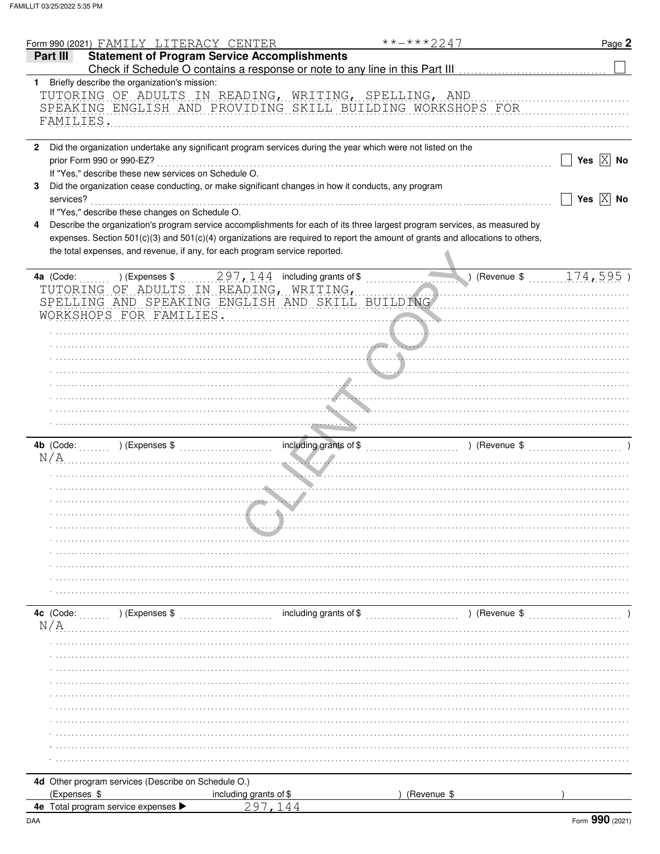|              | Form 990 (2021) FAMILY LITERACY CENTER<br>**-***2247                                                                                                                                                                                                                                                                                        | Page 2                |
|--------------|---------------------------------------------------------------------------------------------------------------------------------------------------------------------------------------------------------------------------------------------------------------------------------------------------------------------------------------------|-----------------------|
|              | <b>Statement of Program Service Accomplishments</b><br>Part III                                                                                                                                                                                                                                                                             |                       |
| 1.           | Briefly describe the organization's mission:                                                                                                                                                                                                                                                                                                |                       |
|              | TUTORING OF ADULTS IN READING, WRITING, SPELLING, AND<br>SPEAKING ENGLISH AND PROVIDING SKILL BUILDING WORKSHOPS FOR<br>FAMILIES.                                                                                                                                                                                                           |                       |
| $\mathbf{2}$ | Did the organization undertake any significant program services during the year which were not listed on the                                                                                                                                                                                                                                |                       |
|              | prior Form 990 or 990-EZ?                                                                                                                                                                                                                                                                                                                   | Yes $\overline{X}$ No |
|              | If "Yes," describe these new services on Schedule O.                                                                                                                                                                                                                                                                                        |                       |
| 3            | Did the organization cease conducting, or make significant changes in how it conducts, any program                                                                                                                                                                                                                                          |                       |
|              | services?                                                                                                                                                                                                                                                                                                                                   | Yes $\overline{X}$ No |
|              | If "Yes," describe these changes on Schedule O.                                                                                                                                                                                                                                                                                             |                       |
| 4            | Describe the organization's program service accomplishments for each of its three largest program services, as measured by<br>expenses. Section 501(c)(3) and 501(c)(4) organizations are required to report the amount of grants and allocations to others,<br>the total expenses, and revenue, if any, for each program service reported. |                       |
|              | (Revenue \$ $174, 595$ )<br>4a (Code:<br>) (Expenses \$                                                                                                                                                                                                                                                                                     |                       |
|              | TUTORING OF ADULTS IN READING, WRITING,                                                                                                                                                                                                                                                                                                     |                       |
|              | SPELLING AND SPEAKING ENGLISH AND SKILL BUILDING                                                                                                                                                                                                                                                                                            |                       |
|              | WORKSHOPS FOR FAMILIES.                                                                                                                                                                                                                                                                                                                     |                       |
|              |                                                                                                                                                                                                                                                                                                                                             |                       |
|              |                                                                                                                                                                                                                                                                                                                                             |                       |
|              |                                                                                                                                                                                                                                                                                                                                             |                       |
|              |                                                                                                                                                                                                                                                                                                                                             |                       |
|              |                                                                                                                                                                                                                                                                                                                                             |                       |
|              |                                                                                                                                                                                                                                                                                                                                             |                       |
|              |                                                                                                                                                                                                                                                                                                                                             |                       |
|              |                                                                                                                                                                                                                                                                                                                                             |                       |
|              |                                                                                                                                                                                                                                                                                                                                             |                       |
|              | 4b (Code: William Schenenger Schenenger (Expenses \$ \\sqrtdger \\sqrtdger \\sqrtdger \\sqrtdger \\sqrtdger \\sqrtdger \\sqrtdger \\sqrtdger \\sqrtdger \\sqrtdger \\sqrtdger \\sqrtdger \\sqrtdger \\sqrtdger \\sqrtdger \\sqr                                                                                                             |                       |
|              | N/A                                                                                                                                                                                                                                                                                                                                         |                       |
|              |                                                                                                                                                                                                                                                                                                                                             |                       |
|              |                                                                                                                                                                                                                                                                                                                                             |                       |
|              |                                                                                                                                                                                                                                                                                                                                             |                       |
|              |                                                                                                                                                                                                                                                                                                                                             |                       |
|              |                                                                                                                                                                                                                                                                                                                                             |                       |
|              |                                                                                                                                                                                                                                                                                                                                             |                       |
|              |                                                                                                                                                                                                                                                                                                                                             |                       |
|              |                                                                                                                                                                                                                                                                                                                                             |                       |
|              |                                                                                                                                                                                                                                                                                                                                             |                       |
|              |                                                                                                                                                                                                                                                                                                                                             |                       |
|              |                                                                                                                                                                                                                                                                                                                                             |                       |
|              | 4c (Code:<br>$\ldots$ ) (Expenses \$                                                                                                                                                                                                                                                                                                        |                       |
|              | N/A                                                                                                                                                                                                                                                                                                                                         |                       |
|              |                                                                                                                                                                                                                                                                                                                                             |                       |
|              |                                                                                                                                                                                                                                                                                                                                             |                       |
|              |                                                                                                                                                                                                                                                                                                                                             |                       |
|              |                                                                                                                                                                                                                                                                                                                                             |                       |
|              |                                                                                                                                                                                                                                                                                                                                             |                       |
|              |                                                                                                                                                                                                                                                                                                                                             |                       |
|              |                                                                                                                                                                                                                                                                                                                                             |                       |
|              |                                                                                                                                                                                                                                                                                                                                             |                       |
|              |                                                                                                                                                                                                                                                                                                                                             |                       |
|              |                                                                                                                                                                                                                                                                                                                                             |                       |
|              |                                                                                                                                                                                                                                                                                                                                             |                       |
|              | 4d Other program services (Describe on Schedule O.)                                                                                                                                                                                                                                                                                         |                       |
|              | (Expenses \$<br>including grants of \$<br>(Revenue \$                                                                                                                                                                                                                                                                                       |                       |
|              | .144<br>4e Total program service expenses I<br>297                                                                                                                                                                                                                                                                                          |                       |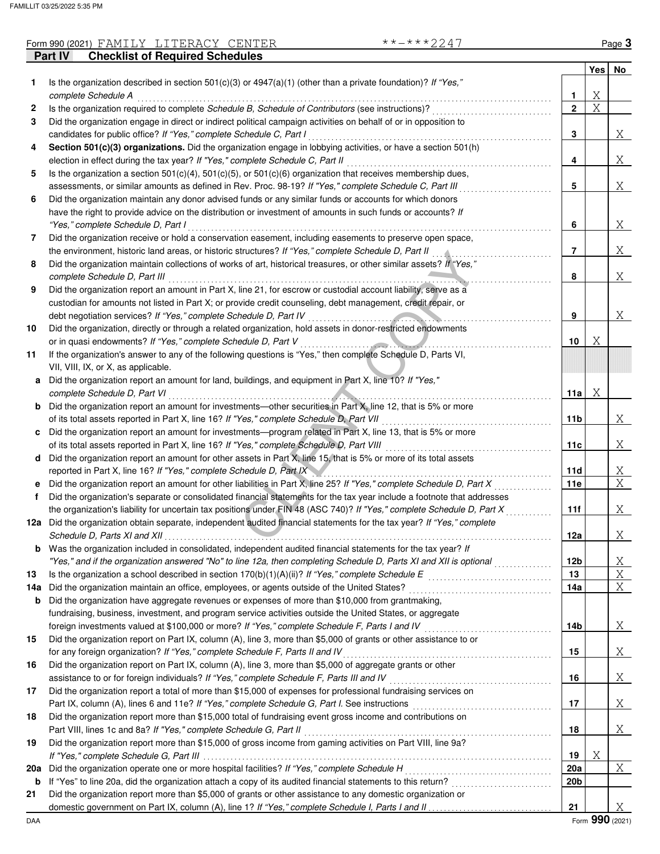|     | Part IV<br><b>Checklist of Required Schedules</b>                                                                       |                 |            |        |
|-----|-------------------------------------------------------------------------------------------------------------------------|-----------------|------------|--------|
|     |                                                                                                                         |                 | <b>Yes</b> | No     |
| 1   | Is the organization described in section $501(c)(3)$ or $4947(a)(1)$ (other than a private foundation)? If "Yes,"       |                 |            |        |
|     | complete Schedule A                                                                                                     | 1               | Χ          |        |
| 2   | Is the organization required to complete Schedule B, Schedule of Contributors (see instructions)?                       | $\mathbf{2}$    | X          |        |
| 3   | Did the organization engage in direct or indirect political campaign activities on behalf of or in opposition to        |                 |            |        |
|     | candidates for public office? If "Yes," complete Schedule C, Part I                                                     | 3               |            | Χ      |
| 4   | Section 501(c)(3) organizations. Did the organization engage in lobbying activities, or have a section 501(h)           |                 |            |        |
|     | election in effect during the tax year? If "Yes," complete Schedule C, Part II                                          | 4               |            | Χ      |
| 5   | Is the organization a section 501(c)(4), 501(c)(5), or 501(c)(6) organization that receives membership dues,            |                 |            |        |
|     | assessments, or similar amounts as defined in Rev. Proc. 98-19? If "Yes," complete Schedule C, Part III                 | 5               |            | Χ      |
| 6   | Did the organization maintain any donor advised funds or any similar funds or accounts for which donors                 |                 |            |        |
|     |                                                                                                                         |                 |            |        |
|     | have the right to provide advice on the distribution or investment of amounts in such funds or accounts? If             |                 |            |        |
|     | "Yes," complete Schedule D, Part I                                                                                      | 6               |            | Χ      |
| 7   | Did the organization receive or hold a conservation easement, including easements to preserve open space,               |                 |            |        |
|     | the environment, historic land areas, or historic structures? If "Yes," complete Schedule D, Part II                    | 7               |            | Χ      |
| 8   | Did the organization maintain collections of works of art, historical treasures, or other similar assets? If "Yes,"     |                 |            |        |
|     | complete Schedule D, Part III                                                                                           | 8               |            | Χ      |
| 9   | Did the organization report an amount in Part X, line 21, for escrow or custodial account liability, serve as a         |                 |            |        |
|     | custodian for amounts not listed in Part X; or provide credit counseling, debt management, credit repair, or            |                 |            |        |
|     | debt negotiation services? If "Yes," complete Schedule D, Part IV                                                       | 9               |            | Χ      |
| 10  | Did the organization, directly or through a related organization, hold assets in donor-restricted endowments            |                 |            |        |
|     | or in quasi endowments? If "Yes," complete Schedule D, Part V                                                           | 10              | Χ          |        |
| 11  | If the organization's answer to any of the following questions is "Yes," then complete Schedule D, Parts VI,            |                 |            |        |
|     | VII, VIII, IX, or X, as applicable.                                                                                     |                 |            |        |
| a   | Did the organization report an amount for land, buildings, and equipment in Part X, line 10? If "Yes,"                  |                 |            |        |
|     | complete Schedule D, Part VI                                                                                            | 11a             | Χ          |        |
| b   | Did the organization report an amount for investments—other securities in Part X, line 12, that is 5% or more           |                 |            |        |
|     | of its total assets reported in Part X, line 16? If "Yes," complete Schedule D, Part VII                                | 11 <sub>b</sub> |            | Χ      |
| c   | Did the organization report an amount for investments—program related in Part X, line 13, that is 5% or more            |                 |            |        |
|     | of its total assets reported in Part X, line 16? If "Yes," complete Schedule D, Part VIII                               | 11c             |            | Χ      |
| d   | Did the organization report an amount for other assets in Part X, line 15, that is 5% or more of its total assets       |                 |            |        |
|     | reported in Part X, line 16? If "Yes," complete Schedule D, Part IX                                                     |                 |            |        |
|     |                                                                                                                         | 11d             |            | Χ<br>X |
| е   | Did the organization report an amount for other liabilities in Part X, line 25? If "Yes," complete Schedule D, Part X   | 11e             |            |        |
| f   | Did the organization's separate or consolidated financial statements for the tax year include a footnote that addresses |                 |            |        |
|     | the organization's liability for uncertain tax positions under FIN 48 (ASC 740)? If "Yes," complete Schedule D, Part X  | 11f             |            | Χ      |
| 12a | Did the organization obtain separate, independent audited financial statements for the tax year? If "Yes," complete     |                 |            |        |
|     | Schedule D, Parts XI and XII                                                                                            | 12a             |            | Χ      |
| b   | Was the organization included in consolidated, independent audited financial statements for the tax year? If            |                 |            |        |
|     | "Yes," and if the organization answered "No" to line 12a, then completing Schedule D, Parts XI and XII is optional      | 12 <sub>b</sub> |            | Χ      |
| 13  |                                                                                                                         | 13              |            | X      |
| 14a | Did the organization maintain an office, employees, or agents outside of the United States?                             | 14a             |            | Χ      |
| b   | Did the organization have aggregate revenues or expenses of more than \$10,000 from grantmaking,                        |                 |            |        |
|     | fundraising, business, investment, and program service activities outside the United States, or aggregate               |                 |            |        |
|     | foreign investments valued at \$100,000 or more? If "Yes," complete Schedule F, Parts I and IV [[[[[[[[[[[[[[[          | 14b             |            | Χ      |
| 15  | Did the organization report on Part IX, column (A), line 3, more than \$5,000 of grants or other assistance to or       |                 |            |        |
|     | for any foreign organization? If "Yes," complete Schedule F, Parts II and IV                                            | 15              |            | Χ      |
| 16  | Did the organization report on Part IX, column (A), line 3, more than \$5,000 of aggregate grants or other              |                 |            |        |
|     | assistance to or for foreign individuals? If "Yes," complete Schedule F, Parts III and IV                               | 16              |            | Χ      |
| 17  | Did the organization report a total of more than \$15,000 of expenses for professional fundraising services on          |                 |            |        |
|     |                                                                                                                         | 17              |            | Χ      |
| 18  | Did the organization report more than \$15,000 total of fundraising event gross income and contributions on             |                 |            |        |
|     | Part VIII, lines 1c and 8a? If "Yes," complete Schedule G, Part II                                                      | 18              |            | Χ      |
|     |                                                                                                                         |                 |            |        |
| 19  | Did the organization report more than \$15,000 of gross income from gaming activities on Part VIII, line 9a?            |                 |            |        |
|     |                                                                                                                         | 19              | Χ          |        |
| 20a | Did the organization operate one or more hospital facilities? If "Yes," complete Schedule H                             | 20a             |            | Χ      |
| b   |                                                                                                                         | 20 <sub>b</sub> |            |        |
| 21  | Did the organization report more than \$5,000 of grants or other assistance to any domestic organization or             |                 |            |        |
|     |                                                                                                                         | 21              |            | Χ      |

DAA Form **990** (2021)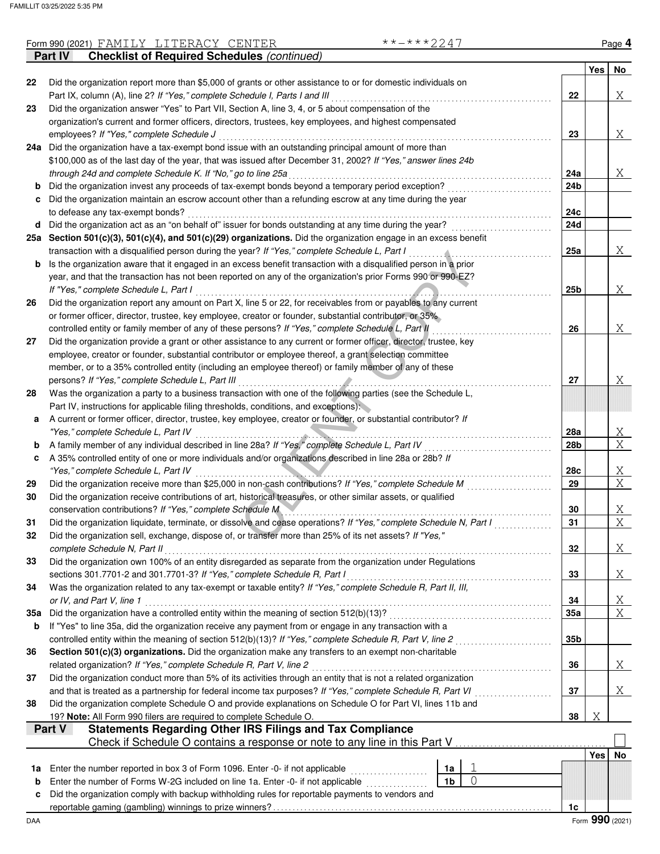|     | **-***2247<br>Form 990 (2021) FAMILY LITERACY CENTER                                                                                                                          |                |                |     |            | Page 4          |
|-----|-------------------------------------------------------------------------------------------------------------------------------------------------------------------------------|----------------|----------------|-----|------------|-----------------|
|     | <b>Checklist of Required Schedules (continued)</b><br>Part IV                                                                                                                 |                |                |     |            |                 |
|     |                                                                                                                                                                               |                |                |     | <b>Yes</b> | No              |
| 22  | Did the organization report more than \$5,000 of grants or other assistance to or for domestic individuals on                                                                 |                |                |     |            |                 |
|     | Part IX, column (A), line 2? If "Yes," complete Schedule I, Parts I and III                                                                                                   |                |                | 22  |            | Χ               |
| 23  | Did the organization answer "Yes" to Part VII, Section A, line 3, 4, or 5 about compensation of the                                                                           |                |                |     |            |                 |
|     | organization's current and former officers, directors, trustees, key employees, and highest compensated                                                                       |                |                |     |            |                 |
|     | employees? If "Yes," complete Schedule J                                                                                                                                      |                |                | 23  |            | Χ               |
|     | 24a Did the organization have a tax-exempt bond issue with an outstanding principal amount of more than                                                                       |                |                |     |            |                 |
|     | \$100,000 as of the last day of the year, that was issued after December 31, 2002? If "Yes," answer lines 24b<br>through 24d and complete Schedule K. If "No," go to line 25a |                |                | 24a |            |                 |
|     | Did the organization invest any proceeds of tax-exempt bonds beyond a temporary period exception?                                                                             |                |                | 24b |            | X               |
| b   | Did the organization maintain an escrow account other than a refunding escrow at any time during the year                                                                     |                |                |     |            |                 |
|     | to defease any tax-exempt bonds?                                                                                                                                              |                |                | 24с |            |                 |
| d   | Did the organization act as an "on behalf of" issuer for bonds outstanding at any time during the year?                                                                       |                |                | 24d |            |                 |
|     | 25a Section 501(c)(3), 501(c)(4), and 501(c)(29) organizations. Did the organization engage in an excess benefit                                                              |                |                |     |            |                 |
|     | transaction with a disqualified person during the year? If "Yes," complete Schedule L, Part I                                                                                 |                |                | 25a |            | Χ               |
| b   | Is the organization aware that it engaged in an excess benefit transaction with a disqualified person in a prior                                                              |                |                |     |            |                 |
|     | year, and that the transaction has not been reported on any of the organization's prior Forms 990 or 990-EZ?                                                                  |                |                |     |            |                 |
|     | If "Yes," complete Schedule L, Part I                                                                                                                                         |                |                | 25b |            | Χ               |
| 26  | Did the organization report any amount on Part X, line 5 or 22, for receivables from or payables to any current                                                               |                |                |     |            |                 |
|     | or former officer, director, trustee, key employee, creator or founder, substantial contributor, or 35%                                                                       |                |                |     |            |                 |
|     | controlled entity or family member of any of these persons? If "Yes," complete Schedule L, Part II                                                                            |                |                | 26  |            | Χ               |
| 27  | Did the organization provide a grant or other assistance to any current or former officer, director, trustee, key                                                             |                |                |     |            |                 |
|     | employee, creator or founder, substantial contributor or employee thereof, a grant selection committee                                                                        |                |                |     |            |                 |
|     | member, or to a 35% controlled entity (including an employee thereof) or family member of any of these                                                                        |                |                |     |            |                 |
|     | persons? If "Yes," complete Schedule L, Part III                                                                                                                              |                |                | 27  |            | Χ               |
| 28  | Was the organization a party to a business transaction with one of the following parties (see the Schedule L,                                                                 |                |                |     |            |                 |
|     | Part IV, instructions for applicable filing thresholds, conditions, and exceptions):                                                                                          |                |                |     |            |                 |
| а   | A current or former officer, director, trustee, key employee, creator or founder, or substantial contributor? If                                                              |                |                |     |            |                 |
|     | "Yes," complete Schedule L, Part IV                                                                                                                                           |                |                | 28a |            | Χ               |
| b   | A family member of any individual described in line 28a? If "Yes," complete Schedule L, Part IV                                                                               |                |                | 28b |            | $\overline{X}$  |
| c   | A 35% controlled entity of one or more individuals and/or organizations described in line 28a or 28b? If                                                                      |                |                |     |            |                 |
|     | "Yes," complete Schedule L, Part IV                                                                                                                                           |                |                | 28c |            | Χ               |
| 29  | Did the organization receive more than \$25,000 in non-cash contributions? If "Yes," complete Schedule M                                                                      |                |                | 29  |            | X               |
| 30  | Did the organization receive contributions of art, historical treasures, or other similar assets, or qualified                                                                |                |                |     |            |                 |
|     | conservation contributions? If "Yes," complete Schedule M                                                                                                                     |                |                | 30  |            | Χ               |
| 31  | Did the organization liquidate, terminate, or dissolve and cease operations? If "Yes," complete Schedule N, Part I                                                            |                |                | 31  |            | X               |
| 32  | Did the organization sell, exchange, dispose of, or transfer more than 25% of its net assets? If "Yes,"                                                                       |                |                |     |            |                 |
|     | complete Schedule N, Part II                                                                                                                                                  |                |                | 32  |            | Χ               |
| 33  | Did the organization own 100% of an entity disregarded as separate from the organization under Regulations                                                                    |                |                |     |            |                 |
|     | sections 301.7701-2 and 301.7701-3? If "Yes," complete Schedule R, Part I                                                                                                     |                |                | 33  |            | Χ               |
| 34  | Was the organization related to any tax-exempt or taxable entity? If "Yes," complete Schedule R, Part II, III,                                                                |                |                |     |            |                 |
|     | or IV, and Part V, line 1                                                                                                                                                     |                |                | 34  |            | X               |
| 35а | Did the organization have a controlled entity within the meaning of section 512(b)(13)?                                                                                       |                |                | 35a |            | X               |
| b   | If "Yes" to line 35a, did the organization receive any payment from or engage in any transaction with a                                                                       |                |                |     |            |                 |
|     | controlled entity within the meaning of section 512(b)(13)? If "Yes," complete Schedule R, Part V, line 2                                                                     |                |                | 35b |            |                 |
| 36  | Section 501(c)(3) organizations. Did the organization make any transfers to an exempt non-charitable                                                                          |                |                |     |            |                 |
|     | related organization? If "Yes," complete Schedule R, Part V, line 2                                                                                                           |                |                | 36  |            | Χ               |
| 37  | Did the organization conduct more than 5% of its activities through an entity that is not a related organization                                                              |                |                |     |            |                 |
|     | and that is treated as a partnership for federal income tax purposes? If "Yes," complete Schedule R, Part VI                                                                  |                |                | 37  |            | Χ               |
| 38  | Did the organization complete Schedule O and provide explanations on Schedule O for Part VI, lines 11b and                                                                    |                |                |     |            |                 |
|     | 19? Note: All Form 990 filers are required to complete Schedule O.                                                                                                            |                |                | 38  | Χ          |                 |
|     | <b>Statements Regarding Other IRS Filings and Tax Compliance</b><br>Part V                                                                                                    |                |                |     |            |                 |
|     | Check if Schedule O contains a response or note to any line in this Part V                                                                                                    |                |                |     |            |                 |
|     |                                                                                                                                                                               |                |                |     | Yes        | No              |
| 1a  | Enter the number reported in box 3 of Form 1096. Enter -0- if not applicable                                                                                                  | 1a             |                |     |            |                 |
| b   | Enter the number of Forms W-2G included on line 1a. Enter -0- if not applicable                                                                                               | 1 <sub>b</sub> | $\overline{0}$ |     |            |                 |
| c   | Did the organization comply with backup withholding rules for reportable payments to vendors and                                                                              |                |                |     |            |                 |
|     |                                                                                                                                                                               |                |                | 1c  |            |                 |
| DAA |                                                                                                                                                                               |                |                |     |            | Form 990 (2021) |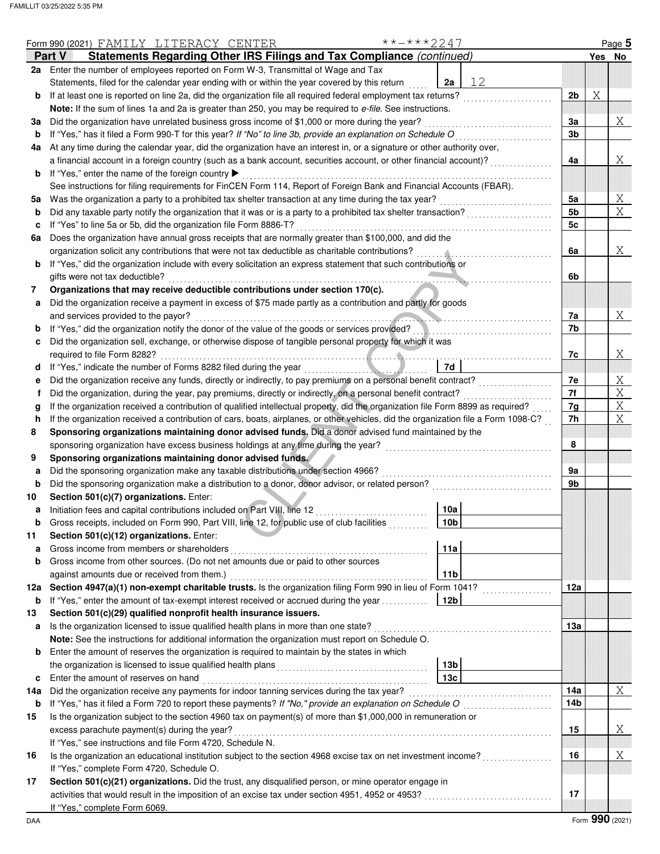|                                                                | **-***2247<br>Form 990 (2021) FAMILY LITERACY CENTER                                                                                              |                 |                |   | Page 5         |  |  |  |  |  |  |
|----------------------------------------------------------------|---------------------------------------------------------------------------------------------------------------------------------------------------|-----------------|----------------|---|----------------|--|--|--|--|--|--|
|                                                                | Statements Regarding Other IRS Filings and Tax Compliance (continued)<br>Part V                                                                   |                 |                |   | Yes No         |  |  |  |  |  |  |
|                                                                | 2a Enter the number of employees reported on Form W-3, Transmittal of Wage and Tax                                                                |                 |                |   |                |  |  |  |  |  |  |
|                                                                | Statements, filed for the calendar year ending with or within the year covered by this return                                                     | 12<br>2a        |                |   |                |  |  |  |  |  |  |
| b                                                              | If at least one is reported on line 2a, did the organization file all required federal employment tax returns?                                    |                 | 2 <sub>b</sub> | Χ |                |  |  |  |  |  |  |
|                                                                | <b>Note:</b> If the sum of lines 1a and 2a is greater than 250, you may be required to e-file. See instructions.                                  |                 |                |   |                |  |  |  |  |  |  |
| За                                                             | Did the organization have unrelated business gross income of \$1,000 or more during the year?                                                     |                 | За             |   | Χ              |  |  |  |  |  |  |
| b                                                              | If "Yes," has it filed a Form 990-T for this year? If "No" to line 3b, provide an explanation on Schedule O                                       |                 | 3b             |   |                |  |  |  |  |  |  |
| 4a                                                             | At any time during the calendar year, did the organization have an interest in, or a signature or other authority over,                           |                 |                |   |                |  |  |  |  |  |  |
|                                                                | a financial account in a foreign country (such as a bank account, securities account, or other financial account)?                                |                 | 4a             |   | Χ              |  |  |  |  |  |  |
| b                                                              | If "Yes," enter the name of the foreign country ▶                                                                                                 |                 |                |   |                |  |  |  |  |  |  |
|                                                                | See instructions for filing requirements for FinCEN Form 114, Report of Foreign Bank and Financial Accounts (FBAR).                               |                 |                |   |                |  |  |  |  |  |  |
| 5а                                                             | Was the organization a party to a prohibited tax shelter transaction at any time during the tax year?                                             |                 | 5a             |   | X              |  |  |  |  |  |  |
| b                                                              | Did any taxable party notify the organization that it was or is a party to a prohibited tax shelter transaction?                                  |                 | 5b             |   | $\overline{X}$ |  |  |  |  |  |  |
| c                                                              | If "Yes" to line 5a or 5b, did the organization file Form 8886-T?                                                                                 |                 | 5c             |   |                |  |  |  |  |  |  |
|                                                                | Does the organization have annual gross receipts that are normally greater than \$100,000, and did the<br>6a                                      |                 |                |   |                |  |  |  |  |  |  |
|                                                                | organization solicit any contributions that were not tax deductible as charitable contributions?                                                  |                 | 6a             |   | Χ              |  |  |  |  |  |  |
|                                                                | If "Yes," did the organization include with every solicitation an express statement that such contributions or                                    |                 |                |   |                |  |  |  |  |  |  |
| b                                                              | gifts were not tax deductible?                                                                                                                    |                 |                |   |                |  |  |  |  |  |  |
|                                                                | Organizations that may receive deductible contributions under section 170(c).                                                                     |                 | 6b             |   |                |  |  |  |  |  |  |
| 7                                                              |                                                                                                                                                   |                 |                |   |                |  |  |  |  |  |  |
| а                                                              | Did the organization receive a payment in excess of \$75 made partly as a contribution and partly for goods                                       |                 |                |   |                |  |  |  |  |  |  |
|                                                                | and services provided to the payor?                                                                                                               |                 | 7a             |   | Χ              |  |  |  |  |  |  |
| b                                                              | If "Yes," did the organization notify the donor of the value of the goods or services provided?                                                   |                 | 7b             |   |                |  |  |  |  |  |  |
| c                                                              | Did the organization sell, exchange, or otherwise dispose of tangible personal property for which it was                                          |                 |                |   |                |  |  |  |  |  |  |
|                                                                | required to file Form 8282?                                                                                                                       |                 | 7c             |   | Χ              |  |  |  |  |  |  |
| d                                                              | If "Yes," indicate the number of Forms 8282 filed during the year                                                                                 | 7d              |                |   |                |  |  |  |  |  |  |
| е                                                              | Did the organization receive any funds, directly or indirectly, to pay premiums on a personal benefit contract?                                   |                 | 7e             |   | X              |  |  |  |  |  |  |
| t                                                              | Did the organization, during the year, pay premiums, directly or indirectly, on a personal benefit contract?                                      |                 | 7f             |   | $\overline{X}$ |  |  |  |  |  |  |
| g                                                              | If the organization received a contribution of qualified intellectual property, did the organization file Form 8899 as required?                  |                 | 7g             |   | X              |  |  |  |  |  |  |
| h                                                              | If the organization received a contribution of cars, boats, airplanes, or other vehicles, did the organization file a Form 1098-C?                |                 | 7h             |   | Χ              |  |  |  |  |  |  |
| 8                                                              | Sponsoring organizations maintaining donor advised funds. Did a donor advised fund maintained by the                                              |                 |                |   |                |  |  |  |  |  |  |
|                                                                | sponsoring organization have excess business holdings at any time during the year?                                                                |                 | 8              |   |                |  |  |  |  |  |  |
| Sponsoring organizations maintaining donor advised funds.<br>9 |                                                                                                                                                   |                 |                |   |                |  |  |  |  |  |  |
| а                                                              | Did the sponsoring organization make any taxable distributions under section 4966?                                                                |                 | 9a             |   |                |  |  |  |  |  |  |
| b                                                              | Did the sponsoring organization make a distribution to a donor, donor advisor, or related person?                                                 |                 | 9b             |   |                |  |  |  |  |  |  |
| 10                                                             | Section 501(c)(7) organizations. Enter:                                                                                                           |                 |                |   |                |  |  |  |  |  |  |
| а                                                              | Initiation fees and capital contributions included on Part VIII, line 12 [11] [11] Internal contribution fees                                     | 10a             |                |   |                |  |  |  |  |  |  |
| D                                                              | Gross receipts, included on Form 990, Part VIII, line 12, for public use of club facilities                                                       | 10 <sub>b</sub> |                |   |                |  |  |  |  |  |  |
| 11                                                             | Section 501(c)(12) organizations. Enter:                                                                                                          |                 |                |   |                |  |  |  |  |  |  |
| а                                                              | Gross income from members or shareholders                                                                                                         | 11a             |                |   |                |  |  |  |  |  |  |
| b                                                              | Gross income from other sources. (Do not net amounts due or paid to other sources                                                                 |                 |                |   |                |  |  |  |  |  |  |
|                                                                | against amounts due or received from them.)                                                                                                       | 11 <sub>b</sub> |                |   |                |  |  |  |  |  |  |
| 12a                                                            | Section 4947(a)(1) non-exempt charitable trusts. Is the organization filing Form 990 in lieu of Form 1041?                                        |                 | 12a            |   |                |  |  |  |  |  |  |
| b                                                              | If "Yes," enter the amount of tax-exempt interest received or accrued during the year                                                             | 12 <sub>b</sub> |                |   |                |  |  |  |  |  |  |
| 13                                                             | Section 501(c)(29) qualified nonprofit health insurance issuers.                                                                                  |                 |                |   |                |  |  |  |  |  |  |
| a                                                              | Is the organization licensed to issue qualified health plans in more than one state?                                                              |                 | 13a            |   |                |  |  |  |  |  |  |
|                                                                | Note: See the instructions for additional information the organization must report on Schedule O.                                                 |                 |                |   |                |  |  |  |  |  |  |
| b                                                              | Enter the amount of reserves the organization is required to maintain by the states in which                                                      |                 |                |   |                |  |  |  |  |  |  |
|                                                                |                                                                                                                                                   | 13 <sub>b</sub> |                |   |                |  |  |  |  |  |  |
| c                                                              | Enter the amount of reserves on hand                                                                                                              | 13 <sub>c</sub> |                |   |                |  |  |  |  |  |  |
| 14a                                                            | Did the organization receive any payments for indoor tanning services during the tax year?                                                        |                 | 14a            |   | Χ              |  |  |  |  |  |  |
| b                                                              | If "Yes," has it filed a Form 720 to report these payments? If "No," provide an explanation on Schedule O                                         |                 | 14b            |   |                |  |  |  |  |  |  |
| 15                                                             | Is the organization subject to the section 4960 tax on payment(s) of more than \$1,000,000 in remuneration or                                     |                 |                |   |                |  |  |  |  |  |  |
|                                                                | excess parachute payment(s) during the year?                                                                                                      |                 | 15             |   | Χ              |  |  |  |  |  |  |
|                                                                | If "Yes," see instructions and file Form 4720, Schedule N.                                                                                        |                 |                |   |                |  |  |  |  |  |  |
| 16                                                             | Is the organization an educational institution subject to the section 4968 excise tax on net investment income?                                   |                 | 16             |   | Χ              |  |  |  |  |  |  |
|                                                                |                                                                                                                                                   |                 |                |   |                |  |  |  |  |  |  |
| 17                                                             | If "Yes," complete Form 4720, Schedule O.<br>Section 501(c)(21) organizations. Did the trust, any disqualified person, or mine operator engage in |                 |                |   |                |  |  |  |  |  |  |
|                                                                |                                                                                                                                                   |                 | 17             |   |                |  |  |  |  |  |  |
|                                                                |                                                                                                                                                   |                 |                |   |                |  |  |  |  |  |  |
|                                                                | If "Yes," complete Form 6069.                                                                                                                     |                 |                |   |                |  |  |  |  |  |  |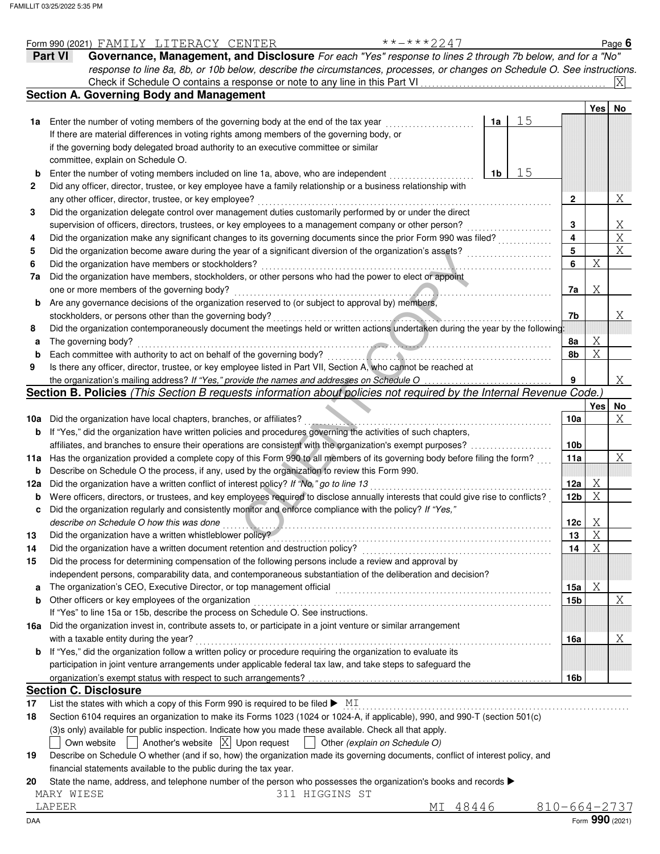|             | **-***2247<br>Form 990 (2021) FAMILY LITERACY CENTER                                                                                |    |    |                              |        | Page $6$                                |  |  |  |  |  |
|-------------|-------------------------------------------------------------------------------------------------------------------------------------|----|----|------------------------------|--------|-----------------------------------------|--|--|--|--|--|
|             | Part VI<br>Governance, Management, and Disclosure For each "Yes" response to lines 2 through 7b below, and for a "No"               |    |    |                              |        |                                         |  |  |  |  |  |
|             | response to line 8a, 8b, or 10b below, describe the circumstances, processes, or changes on Schedule O. See instructions.           |    |    |                              |        |                                         |  |  |  |  |  |
|             | Check if Schedule O contains a response or note to any line in this Part VI                                                         |    |    |                              |        |                                         |  |  |  |  |  |
|             | <b>Section A. Governing Body and Management</b>                                                                                     |    |    |                              |        |                                         |  |  |  |  |  |
|             |                                                                                                                                     |    |    |                              | Yesl   | No                                      |  |  |  |  |  |
| 1a          | Enter the number of voting members of the governing body at the end of the tax year                                                 | 1a | 15 |                              |        |                                         |  |  |  |  |  |
|             | If there are material differences in voting rights among members of the governing body, or                                          |    |    |                              |        |                                         |  |  |  |  |  |
|             | if the governing body delegated broad authority to an executive committee or similar                                                |    |    |                              |        |                                         |  |  |  |  |  |
|             | committee, explain on Schedule O.                                                                                                   |    |    |                              |        |                                         |  |  |  |  |  |
|             | Enter the number of voting members included on line 1a, above, who are independent                                                  | 1b | 15 |                              |        |                                         |  |  |  |  |  |
| 2           | Did any officer, director, trustee, or key employee have a family relationship or a business relationship with                      |    |    |                              |        |                                         |  |  |  |  |  |
|             | any other officer, director, trustee, or key employee?                                                                              |    |    | $\mathbf{2}$                 |        | Χ                                       |  |  |  |  |  |
| З           | Did the organization delegate control over management duties customarily performed by or under the direct                           |    |    |                              |        |                                         |  |  |  |  |  |
|             | supervision of officers, directors, trustees, or key employees to a management company or other person?                             |    |    | 3                            |        | $X_{\perp}$                             |  |  |  |  |  |
| 4           | Did the organization make any significant changes to its governing documents since the prior Form 990 was filed?                    |    |    |                              |        |                                         |  |  |  |  |  |
| 5           | Did the organization become aware during the year of a significant diversion of the organization's assets?                          |    |    | $\overline{\mathbf{4}}$<br>5 |        | $\overline{\text{X}}$<br>$\overline{X}$ |  |  |  |  |  |
| 6           | Did the organization have members or stockholders?                                                                                  |    |    | 6                            | Χ      |                                         |  |  |  |  |  |
| 7a          | Did the organization have members, stockholders, or other persons who had the power to elect or appoint                             |    |    |                              |        |                                         |  |  |  |  |  |
|             | one or more members of the governing body?                                                                                          |    |    | 7a                           | Χ      |                                         |  |  |  |  |  |
|             | Are any governance decisions of the organization reserved to (or subject to approval by) members,                                   |    |    |                              |        |                                         |  |  |  |  |  |
| b           | stockholders, or persons other than the governing body?                                                                             |    |    | 7b                           |        |                                         |  |  |  |  |  |
|             | Did the organization contemporaneously document the meetings held or written actions undertaken during the year by the following:   |    |    |                              |        | X.                                      |  |  |  |  |  |
| 8           |                                                                                                                                     |    |    |                              |        |                                         |  |  |  |  |  |
| а           | The governing body?                                                                                                                 |    |    | 8a                           | Χ<br>Χ |                                         |  |  |  |  |  |
| b           | Each committee with authority to act on behalf of the governing body?                                                               |    |    | 8b                           |        |                                         |  |  |  |  |  |
| 9           | Is there any officer, director, trustee, or key employee listed in Part VII, Section A, who cannot be reached at                    |    |    |                              |        |                                         |  |  |  |  |  |
|             | the organization's mailing address? If "Yes," provide the names and addresses on Schedule O                                         |    |    | 9                            |        | X                                       |  |  |  |  |  |
|             | Section B. Policies (This Section B requests information about policies not required by the Internal Revenue Code.)                 |    |    |                              |        |                                         |  |  |  |  |  |
|             |                                                                                                                                     |    |    |                              | Yes    | No                                      |  |  |  |  |  |
| 10a         | Did the organization have local chapters, branches, or affiliates?                                                                  |    |    | 10a                          |        | Χ                                       |  |  |  |  |  |
| b           | If "Yes," did the organization have written policies and procedures governing the activities of such chapters,                      |    |    | 10 <sub>b</sub>              |        |                                         |  |  |  |  |  |
|             | affiliates, and branches to ensure their operations are consistent with the organization's exempt purposes?                         |    |    |                              |        |                                         |  |  |  |  |  |
| 11a         | Has the organization provided a complete copy of this Form 990 to all members of its governing body before filing the form?         |    |    |                              |        |                                         |  |  |  |  |  |
| b           | Describe on Schedule O the process, if any, used by the organization to review this Form 990.                                       |    |    |                              |        |                                         |  |  |  |  |  |
| 12a         | Did the organization have a written conflict of interest policy? If "No," go to line 13                                             |    |    | 12a                          | Χ      |                                         |  |  |  |  |  |
| $\mathbf b$ | Were officers, directors, or trustees, and key employees required to disclose annually interests that could give rise to conflicts? |    |    | 12 <sub>b</sub>              | X      |                                         |  |  |  |  |  |
| с           | Did the organization regularly and consistently monitor and enforce compliance with the policy? If "Yes,"                           |    |    |                              |        |                                         |  |  |  |  |  |
|             | describe on Schedule O how this was done                                                                                            |    |    | 12c                          | Χ      |                                         |  |  |  |  |  |
| 13          | Did the organization have a written whistleblower policy?                                                                           |    |    | 13                           | Χ      |                                         |  |  |  |  |  |
| 14          | Did the organization have a written document retention and destruction policy?                                                      |    |    | 14                           | X      |                                         |  |  |  |  |  |
| 15          | Did the process for determining compensation of the following persons include a review and approval by                              |    |    |                              |        |                                         |  |  |  |  |  |
|             | independent persons, comparability data, and contemporaneous substantiation of the deliberation and decision?                       |    |    |                              |        |                                         |  |  |  |  |  |
| a           | The organization's CEO, Executive Director, or top management official                                                              |    |    | 15a                          | Χ      |                                         |  |  |  |  |  |
| b           | Other officers or key employees of the organization                                                                                 |    |    | 15 <sub>b</sub>              |        | Χ                                       |  |  |  |  |  |
|             | If "Yes" to line 15a or 15b, describe the process on Schedule O. See instructions.                                                  |    |    |                              |        |                                         |  |  |  |  |  |
| 16a         | Did the organization invest in, contribute assets to, or participate in a joint venture or similar arrangement                      |    |    |                              |        |                                         |  |  |  |  |  |
|             | with a taxable entity during the year?                                                                                              |    |    | 16a                          |        | Χ                                       |  |  |  |  |  |
| b           | If "Yes," did the organization follow a written policy or procedure requiring the organization to evaluate its                      |    |    |                              |        |                                         |  |  |  |  |  |
|             | participation in joint venture arrangements under applicable federal tax law, and take steps to safeguard the                       |    |    |                              |        |                                         |  |  |  |  |  |
|             |                                                                                                                                     |    |    | 16b                          |        |                                         |  |  |  |  |  |
|             | <b>Section C. Disclosure</b>                                                                                                        |    |    |                              |        |                                         |  |  |  |  |  |
| 17          | List the states with which a copy of this Form 990 is required to be filed $\blacktriangleright$ MI                                 |    |    |                              |        |                                         |  |  |  |  |  |
| 18          | Section 6104 requires an organization to make its Forms 1023 (1024 or 1024-A, if applicable), 990, and 990-T (section 501(c)        |    |    |                              |        |                                         |  |  |  |  |  |
|             | (3)s only) available for public inspection. Indicate how you made these available. Check all that apply.                            |    |    |                              |        |                                         |  |  |  |  |  |
|             | Another's website $ X $ Upon request<br>Other (explain on Schedule O)<br>Own website                                                |    |    |                              |        |                                         |  |  |  |  |  |
| 19          | Describe on Schedule O whether (and if so, how) the organization made its governing documents, conflict of interest policy, and     |    |    |                              |        |                                         |  |  |  |  |  |
|             | financial statements available to the public during the tax year.                                                                   |    |    |                              |        |                                         |  |  |  |  |  |
| 20          | State the name, address, and telephone number of the person who possesses the organization's books and records                      |    |    |                              |        |                                         |  |  |  |  |  |
|             | MARY WIESE<br>311 HIGGINS ST                                                                                                        |    |    |                              |        |                                         |  |  |  |  |  |
|             | 48446<br>LAPEER<br>MΙ                                                                                                               |    |    | $810 - 664 - 2737$           |        |                                         |  |  |  |  |  |
| DAA         |                                                                                                                                     |    |    |                              |        | Form 990 (2021)                         |  |  |  |  |  |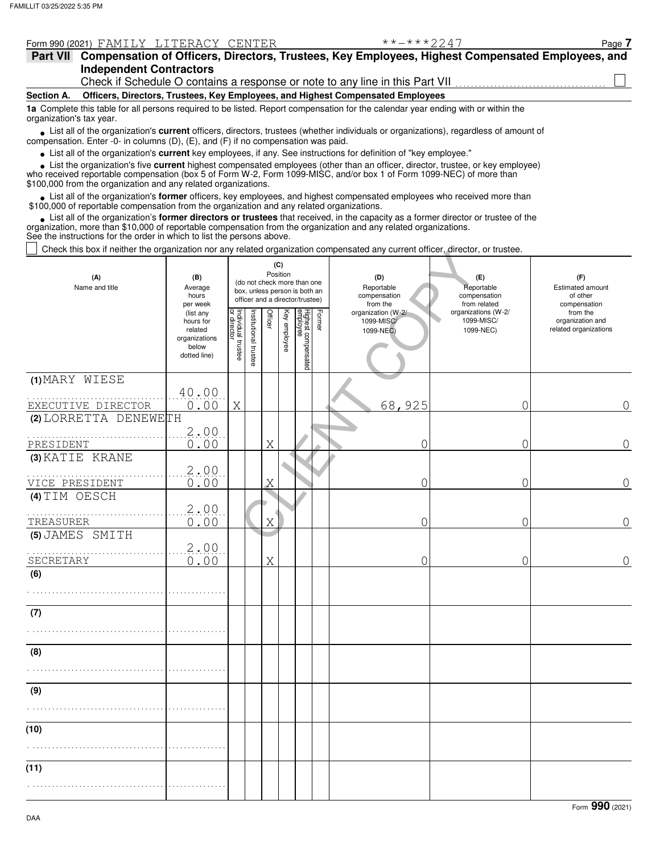| Form 990 (2021) FAMILY LITERACY CENTER                                                                                                                                                                                                                                                                                            |                |                                                |                   | $***$ $***$ 2247                                                             | Page 7                         |  |  |  |  |  |  |
|-----------------------------------------------------------------------------------------------------------------------------------------------------------------------------------------------------------------------------------------------------------------------------------------------------------------------------------|----------------|------------------------------------------------|-------------------|------------------------------------------------------------------------------|--------------------------------|--|--|--|--|--|--|
| Part VII Compensation of Officers, Directors, Trustees, Key Employees, Highest Compensated Employees, and                                                                                                                                                                                                                         |                |                                                |                   |                                                                              |                                |  |  |  |  |  |  |
| <b>Independent Contractors</b>                                                                                                                                                                                                                                                                                                    |                |                                                |                   |                                                                              |                                |  |  |  |  |  |  |
|                                                                                                                                                                                                                                                                                                                                   |                |                                                |                   | Check if Schedule O contains a response or note to any line in this Part VII |                                |  |  |  |  |  |  |
| Officers, Directors, Trustees, Key Employees, and Highest Compensated Employees<br><b>Section A.</b>                                                                                                                                                                                                                              |                |                                                |                   |                                                                              |                                |  |  |  |  |  |  |
| 1a Complete this table for all persons required to be listed. Report compensation for the calendar year ending with or within the<br>organization's tax year.                                                                                                                                                                     |                |                                                |                   |                                                                              |                                |  |  |  |  |  |  |
| List all of the organization's <b>current</b> officers, directors, trustees (whether individuals or organizations), regardless of amount of<br>compensation. Enter -0- in columns (D), $(E)$ , and $(F)$ if no compensation was paid.                                                                                             |                |                                                |                   |                                                                              |                                |  |  |  |  |  |  |
| • List all of the organization's <b>current</b> key employees, if any. See instructions for definition of "key employee."                                                                                                                                                                                                         |                |                                                |                   |                                                                              |                                |  |  |  |  |  |  |
| List the organization's five current highest compensated employees (other than an officer, director, trustee, or key employee)<br>who received reportable compensation (box 5 of Form W-2, Form 1099-MISC, and/or box 1 of Form 1099-NEC) of more than<br>\$100,000 from the organization and any related organizations.          |                |                                                |                   |                                                                              |                                |  |  |  |  |  |  |
| List all of the organization's former officers, key employees, and highest compensated employees who received more than<br>\$100,000 of reportable compensation from the organization and any related organizations.                                                                                                              |                |                                                |                   |                                                                              |                                |  |  |  |  |  |  |
| • List all of the organization's former directors or trustees that received, in the capacity as a former director or trustee of the<br>organization, more than \$10,000 of reportable compensation from the organization and any related organizations.<br>See the instructions for the order in which to list the persons above. |                |                                                |                   |                                                                              |                                |  |  |  |  |  |  |
| Check this box if neither the organization nor any related organization compensated any current officer, director, or trustee.                                                                                                                                                                                                    |                |                                                |                   |                                                                              |                                |  |  |  |  |  |  |
| (A)<br>Name and title                                                                                                                                                                                                                                                                                                             | (B)<br>Average | (C)<br>Position<br>(do not check more than one | (D)<br>Renortable | (E)<br>Renortable                                                            | (F)<br><b>Estimated amount</b> |  |  |  |  |  |  |

Example the control of the control of the control of the control of the control of the control of the control of the control of the control of the control of the control of the control of the control of the control of the from the related organizations compensation Reportable าe and title from related compensation Reportable organizations (W-2/ 1099-MISC/ of other Estimated amount organization and from the from related compensation organization (W-2/ 1099-MISC/ or director Individual trustee Institutional trustee Officer Key employee lighest compensated<br>mployee Former organizations below per week hours for Average hours related (list any dotted line) **(1)** MARY WIESE **(2)** LORRETTA DENEWETH **(3)** KATIE KRANE **(4)** TIM OESCH **(5)** JAMES SMITH **(6) (7) (8) (9) (10) (11)** officer and a director/trustee) box, unless person is both an (do not check more than one . . . . . . . . . . . . . . . . . . . . . . . . . . . . . . . . . . . . . . . . . . . . . . . . . . . 2.00 . . . . . . . . . . . . . . . . . . . . . . . . . . . . . . . . . . . . . . . . . . . . . . . . . . . 2.00 . . . . . . . . . . . . . . . . . . . . . . . . . . . . . . . . . . . . . . . . . . . . . . . . . . . 2.00 . . . . . . . . . . . . . . . . . . . . . . . . . . . . . . . . . . . . . . . . . . . . . . . . . . . 2.00 . . . . . . . . . . . . . . . . . . . . . . . . . . . . . . . . . . . . . . . . . . . . . . . . . . . EXECUTIVE DIRECTOR . . . . . . . . . . . . . . . . . . . . . . . . . . . . . . . . . . . . . . . . . . . . . . . . . . . . . . . . . . . . . . . . . . . . . . . . . . . . . . . . . . . . . . . . . . . . . . . . . . . . . . . . . . . . . . . . . . . . . . . . . . . . . . . . . . . . . . . . . . . . . . . . . . . . . . . . . . . . . . . . . . . . . . . . . . . . . . . . . . . . . . . . . . . . . . . . . . . . . . . . . . . . . . . . . . . . . . . . . . . . . . . . . . . . . . . . . . . . . . . . . . . . . . . . . . . . . . . . . . . . . . . . . . . . . . . . . . . . . . . . . . . . . . . . . . . . . . . . . . . . . . . . . . 1099-NEC) 1099-NEC)  $\frac{40.00}{0.00}$  $X$  | | | |  $(68,925)$  0 0 0 PRESIDENT 0.00 X 0 0 0 0 VICE PRESIDENT 0.00 X 0 0 0 TREASURER 0.00 X 0 0 0 SECRETARY 0.00 X 0 0 0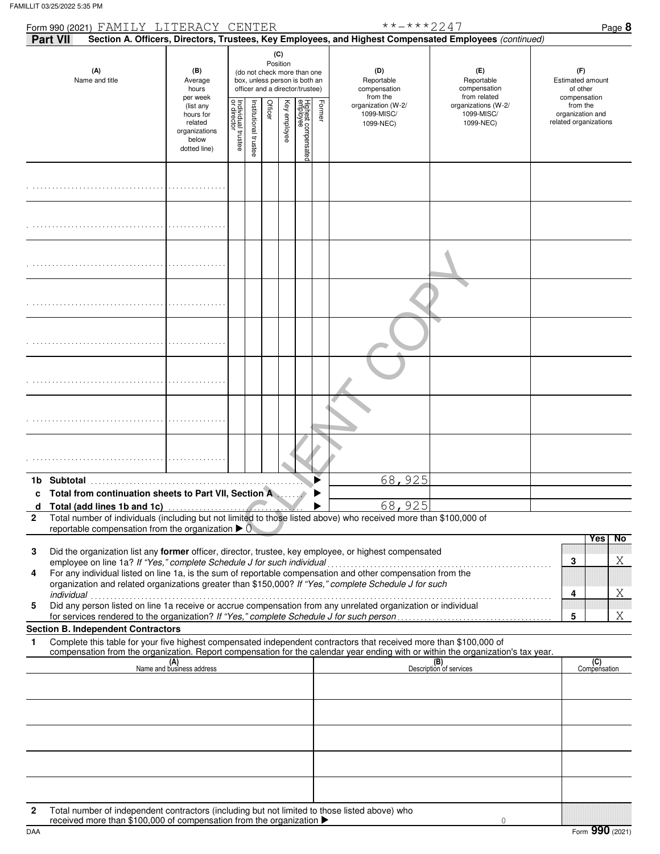|              | Form 990 (2021) FAMILY LITERACY CENTER                                                                                                                                                                                             |                                                                             |                                   |                       |         |                 |                                                                                                 |        | **-***2247                                    |                                                                                                                                  | Page 8                                                     |
|--------------|------------------------------------------------------------------------------------------------------------------------------------------------------------------------------------------------------------------------------------|-----------------------------------------------------------------------------|-----------------------------------|-----------------------|---------|-----------------|-------------------------------------------------------------------------------------------------|--------|-----------------------------------------------|----------------------------------------------------------------------------------------------------------------------------------|------------------------------------------------------------|
|              | Part VII                                                                                                                                                                                                                           |                                                                             |                                   |                       |         |                 |                                                                                                 |        |                                               | Section A. Officers, Directors, Trustees, Key Employees, and Highest Compensated Employees (continued)                           |                                                            |
|              | (A)<br>Name and title                                                                                                                                                                                                              | (B)<br>Average<br>hours<br>per week                                         |                                   |                       |         | (C)<br>Position | (do not check more than one<br>box, unless person is both an<br>officer and a director/trustee) |        | (D)<br>Reportable<br>compensation<br>from the | (E)<br>Reportable<br>compensation<br>from related                                                                                | (F)<br><b>Estimated amount</b><br>of other<br>compensation |
|              |                                                                                                                                                                                                                                    | (list any<br>hours for<br>related<br>organizations<br>below<br>dotted line) | Individual trustee<br>or director | Institutional trustee | Officer | Key employee    | Highest compensated<br>employee                                                                 | Former | organization (W-2/<br>1099-MISC/<br>1099-NEC) | organizations (W-2/<br>1099-MISC/<br>1099-NEC)                                                                                   | from the<br>organization and<br>related organizations      |
|              |                                                                                                                                                                                                                                    |                                                                             |                                   |                       |         |                 |                                                                                                 |        |                                               |                                                                                                                                  |                                                            |
|              |                                                                                                                                                                                                                                    |                                                                             |                                   |                       |         |                 |                                                                                                 |        |                                               |                                                                                                                                  |                                                            |
|              |                                                                                                                                                                                                                                    |                                                                             |                                   |                       |         |                 |                                                                                                 |        |                                               |                                                                                                                                  |                                                            |
|              |                                                                                                                                                                                                                                    |                                                                             |                                   |                       |         |                 |                                                                                                 |        |                                               |                                                                                                                                  |                                                            |
|              |                                                                                                                                                                                                                                    |                                                                             |                                   |                       |         |                 |                                                                                                 |        |                                               |                                                                                                                                  |                                                            |
|              |                                                                                                                                                                                                                                    |                                                                             |                                   |                       |         |                 |                                                                                                 |        |                                               |                                                                                                                                  |                                                            |
|              |                                                                                                                                                                                                                                    |                                                                             |                                   |                       |         |                 |                                                                                                 |        |                                               |                                                                                                                                  |                                                            |
|              |                                                                                                                                                                                                                                    |                                                                             |                                   |                       |         |                 |                                                                                                 |        |                                               |                                                                                                                                  |                                                            |
| 1b           | Subtotal                                                                                                                                                                                                                           |                                                                             |                                   |                       |         |                 |                                                                                                 |        | 68,925                                        |                                                                                                                                  |                                                            |
| c<br>d       | Total from continuation sheets to Part VII, Section A                                                                                                                                                                              |                                                                             |                                   |                       |         |                 |                                                                                                 |        | 68,925                                        |                                                                                                                                  |                                                            |
| $\mathbf{2}$ | Total number of individuals (including but not limited to those listed above) who received more than \$100,000 of                                                                                                                  |                                                                             |                                   |                       |         |                 |                                                                                                 |        |                                               |                                                                                                                                  |                                                            |
|              | reportable compensation from the organization $\triangleright$ 0.                                                                                                                                                                  |                                                                             |                                   |                       |         |                 |                                                                                                 |        |                                               |                                                                                                                                  | Yes<br>No                                                  |
| 3            | Did the organization list any former officer, director, trustee, key employee, or highest compensated                                                                                                                              |                                                                             |                                   |                       |         |                 |                                                                                                 |        |                                               |                                                                                                                                  | Χ                                                          |
| 4            | For any individual listed on line 1a, is the sum of reportable compensation and other compensation from the<br>organization and related organizations greater than \$150,000? If "Yes," complete Schedule J for such<br>individual |                                                                             |                                   |                       |         |                 |                                                                                                 |        |                                               |                                                                                                                                  | 3<br>Χ<br>4                                                |
| 5            |                                                                                                                                                                                                                                    |                                                                             |                                   |                       |         |                 |                                                                                                 |        |                                               | individual<br>Did any person listed on line 1a receive or accrue compensation from any unrelated organization or individual      |                                                            |
|              | <b>Section B. Independent Contractors</b>                                                                                                                                                                                          |                                                                             |                                   |                       |         |                 |                                                                                                 |        |                                               |                                                                                                                                  | Χ<br>5                                                     |
| 1            | Complete this table for your five highest compensated independent contractors that received more than \$100,000 of                                                                                                                 |                                                                             |                                   |                       |         |                 |                                                                                                 |        |                                               | compensation from the organization. Report compensation for the calendar year ending with or within the organization's tax year. |                                                            |
|              |                                                                                                                                                                                                                                    | (A)<br>Name and business address                                            |                                   |                       |         |                 |                                                                                                 |        |                                               | (B)<br>Description of services                                                                                                   | (C)<br>Compensation                                        |
|              |                                                                                                                                                                                                                                    |                                                                             |                                   |                       |         |                 |                                                                                                 |        |                                               |                                                                                                                                  |                                                            |
|              |                                                                                                                                                                                                                                    |                                                                             |                                   |                       |         |                 |                                                                                                 |        |                                               |                                                                                                                                  |                                                            |
|              |                                                                                                                                                                                                                                    |                                                                             |                                   |                       |         |                 |                                                                                                 |        |                                               |                                                                                                                                  |                                                            |
|              |                                                                                                                                                                                                                                    |                                                                             |                                   |                       |         |                 |                                                                                                 |        |                                               |                                                                                                                                  |                                                            |
| $\mathbf{2}$ | Total number of independent contractors (including but not limited to those listed above) who<br>received more than \$100,000 of compensation from the organization ▶                                                              |                                                                             |                                   |                       |         |                 |                                                                                                 |        |                                               | 0                                                                                                                                |                                                            |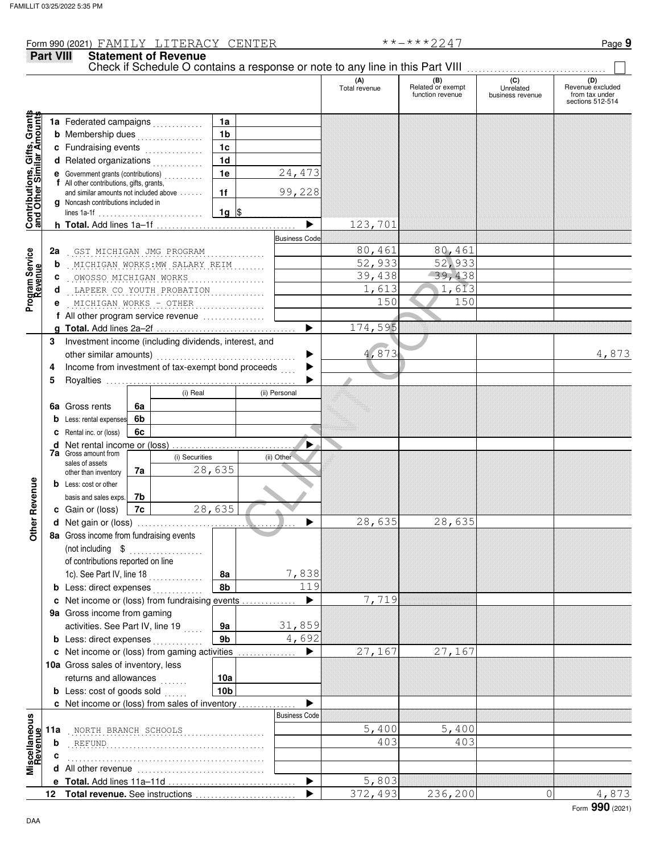#### **Part VIII Statement of Revenue** Check if Schedule O contains a response or note to any line in this Part VIII. **(A)** (B) **(C) (C) (D)**<br>
Total revenue Related or exempt Unrelated Revenue excluded Felated or exempt **the contract of the contract of the contract of the contract of the contract of the contract of the contract of the contract of the contract of the contract of the contract of the contract of the contrac** sections 512-514 Grants **Contributions, Gifts, Grants and Other Similar Amounts 1a** Federated campaigns **. . . . . . . . . .** . **1a** Gifts, Gra<br>illar Amou **1b b** Membership dues . . . . . . . . . . . . . . **1c c** Fundraising events **.............**... **1d d** Related organizations **. . . . . . . . . .** . Contributions,<br>and Other Simi **1e** 24,473 **e** Government grants (contributions) . . . . . . . . . . **f** All other contributions, gifts, grants, **1f** 99,228 and similar amounts not included above  $\dots\dots$ **g** Noncash contributions included in lines 1a-1f . . . . . . . . . . . . . . . . . . **1g**  $\frac{1}{2}$  $\blacktriangleright$ 123,701 **h Total.** Add lines 1a–1f . . . . . . . . . . . . . . . . . . . . . . . . . . . . . . . . . . . . **Business Code** . . . . . . . . . . . . . . . . . . . . . . . . . . . . . . . . . . . . . . . . . . . . . . . . . . . **2a** GST MICHIGAN JMG PROGRAM 80,461 80,461 **Program Service Program Service**  $\begin{array}{r|rrrr}\n & 00,401 & 000,401 \\
 & 50,433 & 52,933 \\
\hline\n & 39,438 & 39,438 \\
 & 1,613 & 1,613 \\
 & 150 & 150 \\
\end{array}$ <br>  $\begin{array}{r|rrrr}\n & 174,595 \\
 & 174,595 \\
 \hline\n & 4,873\n\end{array}$ <br>
proceeds<br>
(ii) Personal<br>
(ii) Other<br>
28, 635<br>
28, 635<br>
28, 635 . . . . . . . . . . . . . . . . . . . . . . . . . . . . . . . . . . . . . . . . . . . . . . . . . . . **b** MICHIGAN WORKS:MW SALARY REIM 52,933 52,933 . . . . . . . . . . . . . . . . . . . . . . . . . . . . . . . . . . . . . . . . . . . . . . . . . . . **c** OWOSSO MICHIGAN WORKS 39,438 39,438 . . . . . . . . . . . . . . . . . . . . . . . . . . . . . . . . . . . . . . . . . . . . . . . . . . . LAPEER CO YOUTH PROBATION 1,613 1,613 **d** . . . . . . . . . . . . . . . . . . . . . . . . . . . . . . . . . . . . . . . . . . . . . . . . . . . MICHIGAN WORKS - OTHER 150 150 **e f** All other program service revenue . . . . . . . . . . . . . . . . 174,595 **g Total.** Add lines 2a–2f . . . . . . . . . . . . . . . . . . . . . . . . . . . . . . . . . . . . -**3** Investment income (including dividends, interest, and 4,873 4,873 other similar amounts) . . . . . . . . . . . . . . . . . . . . . . . . . . . . . . . . . . . . Income from investment of tax-exempt bond proceeds  $\blacktriangleright$ **4 5** Royalties .....  $\blacktriangleright$ (i) Real (ii) Personal **6a 6a** Gross rents **6b b** Less: rental expenses **6c c** Rental inc. or (loss)  $\blacktriangleright$ **d** Net rental income or (loss) . . . . . . . . . . . . . . . . . . . . . . . . . . . . . . . . **7a** Gross amount from (i) Securities (ii) Other sales of assets 28,635 **7a** other than inventory **Other Revenue Other Revenue b** Less: cost or other **7b** basis and sales exps. 28,635 **7c c** Gain or (loss) 28,635 28,635 **d** -Net gain or (loss) . . . . . . . . . . . . . . . . . . . . . . . . . . . . . . . . . . . . . . . . . **8a** Gross income from fundraising events (not including \$ . . . . . . . . . . . . . . . . . . . of contributions reported on line 1c). See Part IV, line 18 **8a** 7,838 **8b** 119 **b** Less: direct expenses . . . . . . . . . . . . 7,719  $\blacktriangleright$ **c** Net income or (loss) from fundraising events . . . . . . . . . . . . . . **9a** Gross income from gaming activities. See Part IV, line 19 **9a** 31,859 **9b** 4,692 **b** Less: direct expenses  $\ldots$  $\blacktriangleright$ 27,167 27,167 Net income or (loss) from gaming activities . . . . . . . . . . . . . . . **c** 10a Gross sales of inventory, less returns and allowances **10a 10b b** Less: cost of goods sold  $\ldots$  $\blacktriangleright$ Net income or (loss) from sales of inventory . . . . . . . . . . . . . . . **c** Business Code **Revenue Miscellaneous 11a** . . . . . . . . . . . . . . . . . . . . . . . . . . . . . . . . . . . . . . . . . . . . . . . . . . . NORTH BRANCH SCHOOLS 5,400 5,400 . . . . . . . . . . . . . . . . . . . . . . . . . . . . . . . . . . . . . . . . . . . . . . . . . . . REFUND 403 403 **b c** . . . . . . . . . . . . . . . . . . . . . . . . . . . . . . . . . . . . . . . . . . . . . . . . . . . **d** All other revenue . . . . . . . . . . . . . . . . . . . . . . . . . . . . . . . . .  $\blacktriangleright$ 5,803 **e Total.** Add lines 11a–11d . . . . . . . . . . . . . . . . . . . . . . . . . . . . . . . . . **Total revenue.** See instructions  $\blacktriangleright$ 372,493 236,200 0 4,873 **12**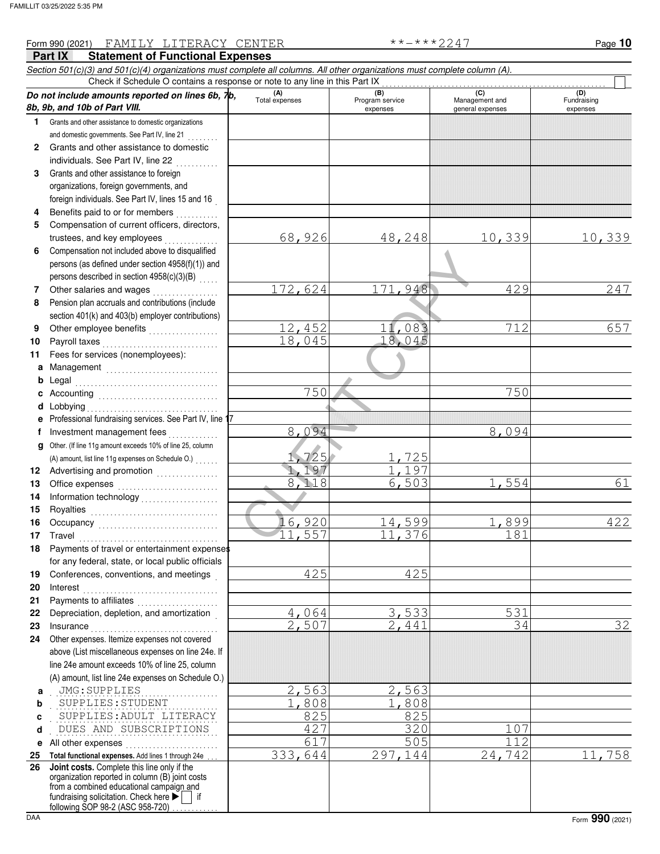#### **Part IX Statement of Functional Expenses** Form 990 (2021) Page **10** FAMILY LITERACY CENTER \*\*-\*\*\*2247 *Section 501(c)(3) and 501(c)(4) organizations must complete all columns. All other organizations must complete column (A).* **Do not include amounts reported on lines 6b, 7b, 8b, 9b, and 10b of Part VIII. 1** Grants and other assistance to domestic organizations **(A) (B) (C) (D)** Total expenses Program service Management and expenses **general expenses** (D)<br>Fundraising expenses Check if Schedule O contains a response or note to any line in this Part IX . . . . . . . . . . . . . . . . . . . . . . . . . . . . . . . . . . . . . . . . . . . . . . . . . . . . . . . . . .

- **2** and domestic governments. See Part IV, line 21 **.** . . . . . . . Grants and other assistance to domestic individuals. See Part IV, line 22
- **3** Grants and other assistance to foreign organizations, foreign governments, and foreign individuals. See Part IV, lines 15 and 16
- **4 5** Benefits paid to or for members . . . . . . . . . . Compensation of current officers, directors,
- **6** trustees, and key employees Compensation not included above to disqualified persons (as defined under section 4958(f)(1)) and persons described in section  $4958(c)(3)(B)$  .....
- **7 8** Other salaries and wages . . . . . . . . . . . . . . . . . Pension plan accruals and contributions (include section 401(k) and 403(b) employer contributions)
- **9 10** Other employee benefits . . . . . . . . . . . . . . . . . .
- **11 a** Management .............................. Payroll taxes . . . . . . . . . . . . . . . . . . . . . . . . . . . . . . Fees for services (nonemployees):
- **b c** Accounting . . . . . . . . . . . . . . . . . . . . . . . . . . . . . . . **d e** Legal . . . . . . . . . . . . . . . . . . . . . . . . . . . . . . . . . . . . . Lobbying . . . . . . . . . . . . . . . . . . . . . . . . . . . . . . . . . . Professional fundraising services. See Part IV, line 17
- **f g** Other. (If line 11g amount exceeds 10% of line 25, column **12** Advertising and promotion . . . . . . . . . . . . . . Investment management fees .............. (A) amount, list line 11g expenses on Schedule O.) . . . . . .
- **13 14 15** Office expenses . . . . . . . . . . . . . . . . . . . . . . . . . . Information technology . . . . . . . . . . . . . . . . . . . . Royalties . . . . . . . . . . . . . . . . . . . . . . . . . . . . . . . . .
- **16 17 18** Occupancy . . . . . . . . . . . . . . . . . . . . . . . . . . . . . . . Travel . . . . . . . . . . . . . . . . . . . . . . . . . . . . . . . . . . . . Payments of travel or entertainment expenses for any federal, state, or local public officials Conferences, conventions, and meetings .
- **19 20 21** Interest . . . . . . . . . . . . . . . . . . . . . . . . . . . . . . . . . . . Payments to affiliates . . . . . . . . . . . . . . . . . . . . .
- **22 23 24** Depreciation, depletion, and amortization . Insurance . . . . . . . . . . . . . . . . . . . . . . . . . . . . . . . . .
- above (List miscellaneous expenses on line 24e. If line 24e amount exceeds 10% of line 25, column (A) amount, list line 24e expenses on Schedule O.)
- **b c** . . . . . . . . . . . . . . . . . . . . . . . . . . . . . . . . . . . . . . . . . . . SUPPLIES:STUDENT 1,808 1,808 . . . . . . . . . . . . . . . . . . . . . . . . . . . . . . . . . . . . . . . . . . . SUPPLIES:ADULT LITERACY 825 825
- **e** All other expenses . . . . . . . . . . . . . . . . . . . . . . . .
- **25 Total functional expenses.** Add lines 1 through 24e . . . **26** organization reported in column (B) joint costs from a combined educational campaign and **Joint costs.** Complete this line only if the

172,624 171,948 429 247

68,926 48,248 10,339 10,339

- 12,452 11,083 712 657 18,045 18,045
- $\begin{array}{r|rrrr} \hline &172,624&171,948\\ \hline &12,452&11,083\\ \hline &18,045&18,045\\ \hline & &18,045\\ \hline & &18,045\\ \hline & &18,045\\ \hline & 18,045&18&6,503\\ \hline & 1,197&1,197\\ \hline & 8,118&6,503\\ \hline & 6,920&14,599\\ \hline & 11,557&11,376\\ \hline \end{array}$ 750 750 8,094 8,094 1,725 1,725 1,197 1,197 8, 118 6, 503 1, 554 61

4,064 3,533 531

617 505 112

2,507 2,441 34 32

333,644 297,144 24,742 11,758

- 
- 
- 16,920 14,599 1,899 422 11,557 11,376 181
- 425 425
- 
- 
- Other expenses. Itemize expenses not covered
- **a** JMG:SUPPLIES 2,563 2,563
- **d** . . . . . . . . . . . . . . . . . . . . . . . . . . . . . . . . . . . . . . . . . . . DUES AND SUBSCRIPTIONS 427 320 107
- 
- - fundraising solicitation. Check here  $\blacktriangleright$  if following SOP 98-2 (ASC 958-720)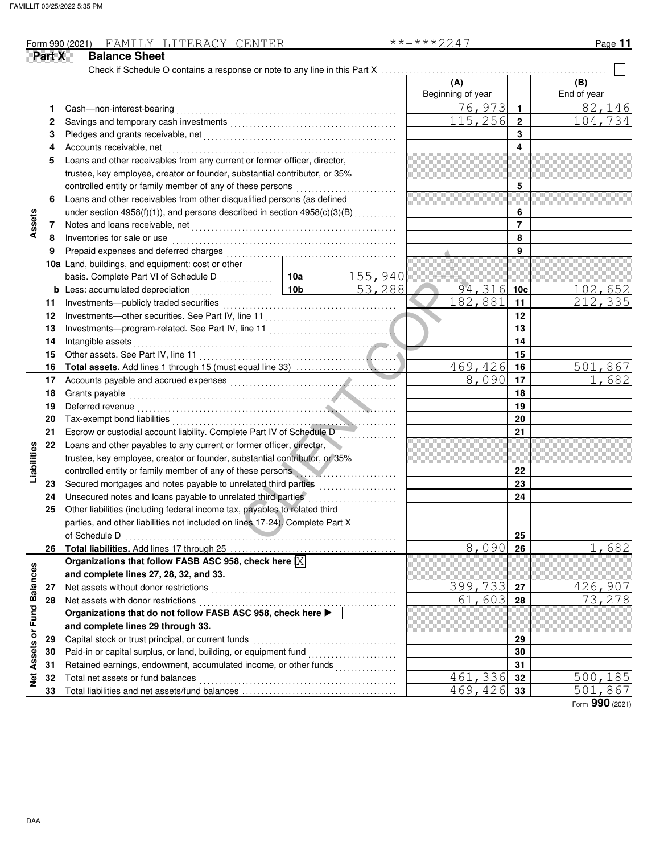### Form 990 (2021) Page **11** FAMILY LITERACY CENTER \*\*-\*\*\*2247

#### **Part X** Balance Sheet Check if Schedule O contains a response or note to any line in this Part X **(A) (B)** Beginning of year  $\parallel$  End of year  $\overline{76,973}$  1 82,146 Cash—non-interest-bearing . . . . . . . . . . . . . . . . . . . . . . . . . . . . . . . . . . . . . . . . . . . . . . . . . . . . . . . . . **1 1** Savings and temporary cash investments . . . . . . . . . . . . . . . . . . . . . . . . . . . . . . . . . . . . . . . . . . .  $115,256$  2 104,734 **2 2 3 3** Pledges and grants receivable, net . . . . . . . . . . . . . . . . . . . . . . . . . . . . . . . . . . . . . . . . . . . . . . . . . . **4 4** Accounts receivable, net . . . . . . . . . . . . . . . . . . . . . . . . . . . . . . . . . . . . . . . . . . . . . . . . . . . . . . . . . . . . **5** Loans and other receivables from any current or former officer, director, trustee, key employee, creator or founder, substantial contributor, or 35% controlled entity or family member of any of these persons ........................... **5 6** Loans and other receivables from other disqualified persons (as defined **6 Assets** under section 4958(f)(1)), and persons described in section 4958(c)(3)(B)  $\ldots\ldots\ldots$ **7 7** Notes and loans receivable, net . . . . . . . . . . . . . . . . . . . . . . . . . . . . . . . . . . . . . . . . . . . . . . . . . . . . . **8 8** Inventories for sale or use . . . . . . . . . . . . . . . . . . . . . . . . . . . . . . . . . . . . . . . . . . . . . . . . . . . . . . . . . . Prepaid expenses and deferred charges . . . . . . . . . . . . . . . . . . . . . . . . . . . . . . . . . . . . . . . . . . . . **9 9**  $\begin{array}{|l|l|}\n\hline\n\text{r} & \text{10a} & 155,940 \\
\hline\n\hline\n\text{10b} & 53,288 & 94,3 \\
\hline\n\text{line 11} & \text{line 21,8} \\
\hline\n\text{line 11} & \text{line 33)} & \text{182,8} \\
\hline\n\text{equal line 33)} & \text{469,4} \\
\hline\n\text{equal line 33)} & \text{469,4} \\
\hline\n\text{or} & \text{other order, direct,} \\
\text{differential contribute to the number of the first 10000000000000$ **10a** Land, buildings, and equipment: cost or other basis. Complete Part VI of Schedule D . . . . . . . . . . . . . **10a** 155,940 **10b** 53,288 94,316 10c 102,65 **10c b** Less: accumulated depreciation . . . . . . . . . . . . . . . . . . . . . Investments—publicly traded securities . . . . . . . . . . . . . . . . . . . . . . . . . . . . . . . . . . . . . . . . . . . . . 182,881 212,335 **11 11** Investments—other securities. See Part IV, line 11 . . . . . . . . . . . . . . . . . . . . . . . . . . . . . . . . . . **12 12 13 13** Investments—program-related. See Part IV, line 11 . . . . . . . . . . . . . . . . . . . . . . . . . . . . . . . . . **14** Intangible assets . . . . . . . . . . . . . . . . . . . . . . . . . . . . . . . . . . . . . . . . . . . . . . . . . . . . . . . . . . . . . . . . . . . . **14 15 15** Other assets. See Part IV, line 11 . . . . . . . . . . . . . . . . . . . . . . . . . . . . . . . . . . . . . . . . . . . . . . . . . . . **Total assets.** Add lines 1 through 15 (must equal line 33) . . . . . . . . . . . . . . . 469,426 501,867 **16 16** Accounts payable and accrued expenses . . . . . . . . . . . . . . . . . . . . . . . . . . . . . . . . . . . . . . . . . . .  $8,090$ **17 17** Grants payable . . . . . . . . . . . . . . . . . . . . . . . . . . . . . . . . . . . . . . . . . . . . . . . . . . . . . . . . . . . . . . . . . . . . . **18 18** Deferred revenue . . . . . . . . . . . . . . . . . . . . . . . . . . . . . . . . . . . . . . . . . . . . . . . . . . . . . . . . . . . . . . . . . . . **19 19** Tax-exempt bond liabilities . . . . . . . . . . . . . . . . . . . . . . . . . . . . . . . . . . . . . . . . . . . . . . . . . . . . . . . . . . **20 20** Escrow or custodial account liability. Complete Part IV of Schedule D **21 21 22** Loans and other payables to any current or former officer, director, **Liabilities** trustee, key employee, creator or founder, substantial contributor, or 35% controlled entity or family member of any of these persons **22 23** Secured mortgages and notes payable to unrelated third parties **23 24** Unsecured notes and loans payable to unrelated third parties **24 25** Other liabilities (including federal income tax, payables to related third parties, and other liabilities not included on lines 17-24). Complete Part X of Schedule D . . . . . . . . . . . . . . . . . . . . . . . . . . . . . . . . . . . . . . . . . . . . . . . . . . . . . . . . . . . . . . . . . . . . . . **25 26** 8,090 26 1,682 Total liabilities. Add lines 17 through 25 **26** Organizations that follow FASB ASC 958, check here  $|\overline{\mathrm{X}}|$ Net Assets or Fund Balances **Net Assets or Fund Balances and complete lines 27, 28, 32, and 33.** Net assets without donor restrictions . . . . . . . . . . . . . . . . . . . . . . . . . . . . . . . . . . . . . . . . . . . . . . . . **27** 399,733 **27** 426,907 **27** 61,603|**28**| 73,278 **28** 28 Net assets with donor restrictions **With the Container and Secure 28** Net assets with donor restrictions Organizations that do not follow FASB ASC 958, check here  $\blacktriangleright$ **and complete lines 29 through 33.** Capital stock or trust principal, or current funds . . . . . . . . . . . . . . . . . . . . . . . . . . . . . . . . . . . . . **29 29** Paid-in or capital surplus, or land, building, or equipment fund . . . . . . . . . . . . . . . . . . . . . . . **30 30** Retained earnings, endowment, accumulated income, or other funds . . . . . . . . . . . . . . . . **31 31** Total net assets or fund balances . . . . . . . . . . . . . . . . . . . . . . . . . . . . . . . . . . . . . . . . . . . . . . . . . . . 461,336 32 500,185 **32 32 33** Total liabilities and net assets/fund balances ... 469,426 33 501,867 **33** Form **990** (2021)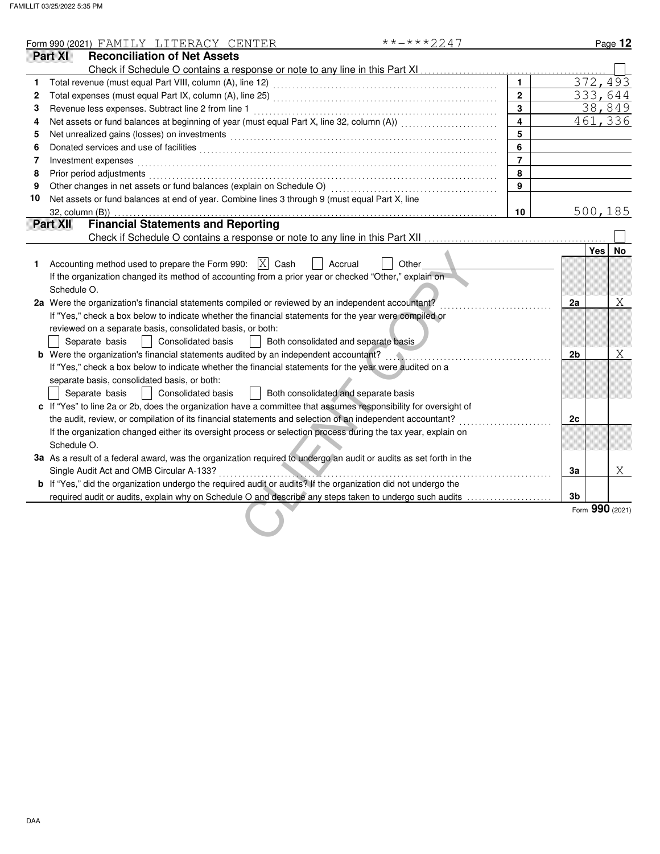|    | **-***2247<br>Form 990 (2021) FAMILY LITERACY CENTER                                                                                                                                                                           |                         |    |                 | Page 12   |
|----|--------------------------------------------------------------------------------------------------------------------------------------------------------------------------------------------------------------------------------|-------------------------|----|-----------------|-----------|
|    | <b>Reconciliation of Net Assets</b><br>Part XI                                                                                                                                                                                 |                         |    |                 |           |
|    |                                                                                                                                                                                                                                |                         |    |                 |           |
| 1  |                                                                                                                                                                                                                                |                         |    | 372,493         |           |
| 2  |                                                                                                                                                                                                                                | $\overline{2}$          |    | 333,644         |           |
| 3  |                                                                                                                                                                                                                                | $\mathbf{3}$            |    | 38,849          |           |
| 4  |                                                                                                                                                                                                                                | $\overline{\mathbf{4}}$ |    | 461,336         |           |
| 5  | Net unrealized gains (losses) on investments [11] with the context of the context of the context of the context of the context of the context of the context of the context of the context of the context of the context of th | 5                       |    |                 |           |
| 6  |                                                                                                                                                                                                                                | 6                       |    |                 |           |
| 7  | Investment expenses                                                                                                                                                                                                            | $\overline{7}$          |    |                 |           |
| 8  | Prior period adjustments entertainments and a statement of the statement of the statement of the statements of                                                                                                                 | 8                       |    |                 |           |
| 9  |                                                                                                                                                                                                                                | 9                       |    |                 |           |
| 10 | Net assets or fund balances at end of year. Combine lines 3 through 9 (must equal Part X, line                                                                                                                                 |                         |    |                 |           |
|    | 32, column (B))                                                                                                                                                                                                                | 10                      |    | 500,185         |           |
|    | <b>Financial Statements and Reporting</b><br>Part XII                                                                                                                                                                          |                         |    |                 |           |
|    |                                                                                                                                                                                                                                |                         |    |                 |           |
|    |                                                                                                                                                                                                                                |                         |    | Yes             | <b>No</b> |
| 1. | Accounting method used to prepare the Form 990: $ \overline{X} $ Cash<br>Other<br>Accrual                                                                                                                                      |                         |    |                 |           |
|    | If the organization changed its method of accounting from a prior year or checked "Other," explain on                                                                                                                          |                         |    |                 |           |
|    | Schedule O.                                                                                                                                                                                                                    |                         |    |                 |           |
|    | 2a Were the organization's financial statements compiled or reviewed by an independent accountant?                                                                                                                             |                         | 2a |                 | Χ         |
|    | If "Yes," check a box below to indicate whether the financial statements for the year were compiled or                                                                                                                         |                         |    |                 |           |
|    | reviewed on a separate basis, consolidated basis, or both:                                                                                                                                                                     |                         |    |                 |           |
|    | Separate basis<br><b>Consolidated basis</b><br>Both consolidated and separate basis                                                                                                                                            |                         |    |                 |           |
|    | <b>b</b> Were the organization's financial statements audited by an independent accountant?                                                                                                                                    |                         | 2b |                 | Χ         |
|    | If "Yes," check a box below to indicate whether the financial statements for the year were audited on a                                                                                                                        |                         |    |                 |           |
|    | separate basis, consolidated basis, or both:                                                                                                                                                                                   |                         |    |                 |           |
|    | Both consolidated and separate basis<br>Separate basis<br>Consolidated basis                                                                                                                                                   |                         |    |                 |           |
|    | c If "Yes" to line 2a or 2b, does the organization have a committee that assumes responsibility for oversight of                                                                                                               |                         |    |                 |           |
|    | the audit, review, or compilation of its financial statements and selection of an independent accountant?                                                                                                                      |                         | 2c |                 |           |
|    | If the organization changed either its oversight process or selection process during the tax year, explain on                                                                                                                  |                         |    |                 |           |
|    | Schedule O.                                                                                                                                                                                                                    |                         |    |                 |           |
|    | 3a As a result of a federal award, was the organization required to undergo an audit or audits as set forth in the                                                                                                             |                         |    |                 |           |
|    | Single Audit Act and OMB Circular A-133?<br>and the contract of the contract of                                                                                                                                                |                         | 3a |                 | Χ         |
|    | <b>b</b> If "Yes," did the organization undergo the required audit or audits? If the organization did not undergo the                                                                                                          |                         |    |                 |           |
|    |                                                                                                                                                                                                                                |                         | 3b |                 |           |
|    |                                                                                                                                                                                                                                |                         |    | Form 990 (2021) |           |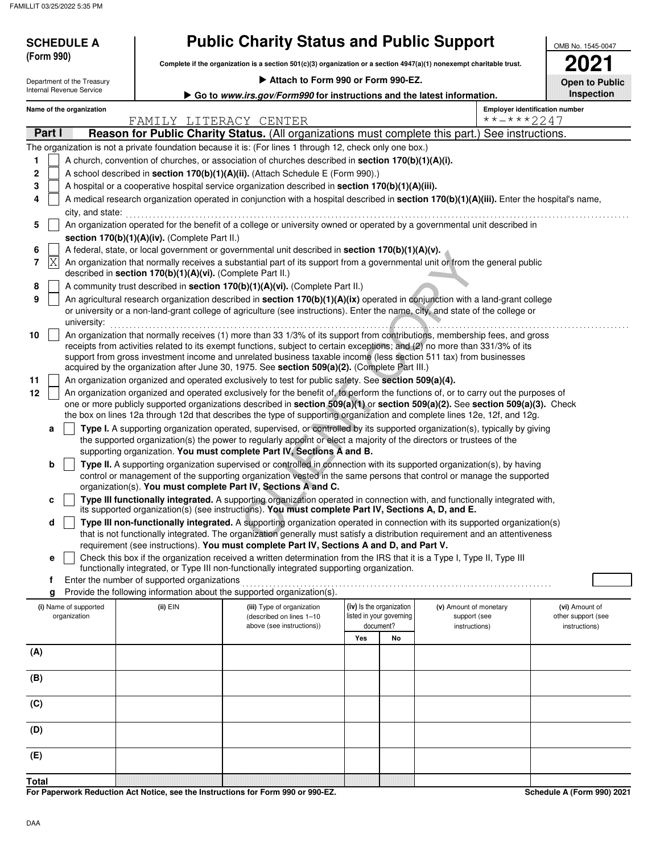| <b>SCHEDULE A</b>                                      |                                                            | <b>Public Charity Status and Public Support</b>                                                                                                                                                                                                                                                                                                                  |                                                      |    |                                        | OMB No. 1545-0047                     |
|--------------------------------------------------------|------------------------------------------------------------|------------------------------------------------------------------------------------------------------------------------------------------------------------------------------------------------------------------------------------------------------------------------------------------------------------------------------------------------------------------|------------------------------------------------------|----|----------------------------------------|---------------------------------------|
| (Form 990)                                             |                                                            | Complete if the organization is a section 501(c)(3) organization or a section 4947(a)(1) nonexempt charitable trust.                                                                                                                                                                                                                                             |                                                      |    |                                        |                                       |
|                                                        |                                                            | Attach to Form 990 or Form 990-EZ.                                                                                                                                                                                                                                                                                                                               |                                                      |    |                                        |                                       |
| Department of the Treasury<br>Internal Revenue Service |                                                            | Go to www.irs.gov/Form990 for instructions and the latest information.                                                                                                                                                                                                                                                                                           |                                                      |    |                                        | <b>Open to Public</b><br>Inspection   |
| Name of the organization                               |                                                            |                                                                                                                                                                                                                                                                                                                                                                  |                                                      |    |                                        | <b>Employer identification number</b> |
|                                                        | FAMILY LITERACY CENTER                                     |                                                                                                                                                                                                                                                                                                                                                                  |                                                      |    | **-***2247                             |                                       |
| Part I                                                 |                                                            | Reason for Public Charity Status. (All organizations must complete this part.) See instructions.                                                                                                                                                                                                                                                                 |                                                      |    |                                        |                                       |
|                                                        |                                                            | The organization is not a private foundation because it is: (For lines 1 through 12, check only one box.)                                                                                                                                                                                                                                                        |                                                      |    |                                        |                                       |
| 1                                                      |                                                            | A church, convention of churches, or association of churches described in section 170(b)(1)(A)(i).                                                                                                                                                                                                                                                               |                                                      |    |                                        |                                       |
| $\mathbf 2$                                            |                                                            | A school described in section 170(b)(1)(A)(ii). (Attach Schedule E (Form 990).)                                                                                                                                                                                                                                                                                  |                                                      |    |                                        |                                       |
| 3                                                      |                                                            | A hospital or a cooperative hospital service organization described in section $170(b)(1)(A)(iii)$ .                                                                                                                                                                                                                                                             |                                                      |    |                                        |                                       |
| 4                                                      |                                                            | A medical research organization operated in conjunction with a hospital described in section 170(b)(1)(A)(iii). Enter the hospital's name,                                                                                                                                                                                                                       |                                                      |    |                                        |                                       |
| 5                                                      |                                                            | city, and state: <b>contract and state</b> contract and state and state and state and state and state and state and state and state and state and state and state and state and state and state and state and state and state and s<br>An organization operated for the benefit of a college or university owned or operated by a governmental unit described in |                                                      |    |                                        |                                       |
|                                                        | section 170(b)(1)(A)(iv). (Complete Part II.)              |                                                                                                                                                                                                                                                                                                                                                                  |                                                      |    |                                        |                                       |
| 6                                                      |                                                            | A federal, state, or local government or governmental unit described in section 170(b)(1)(A)(v).                                                                                                                                                                                                                                                                 |                                                      |    |                                        |                                       |
| X <br>7                                                |                                                            | An organization that normally receives a substantial part of its support from a governmental unit or from the general public                                                                                                                                                                                                                                     |                                                      |    |                                        |                                       |
|                                                        | described in section 170(b)(1)(A)(vi). (Complete Part II.) |                                                                                                                                                                                                                                                                                                                                                                  |                                                      |    |                                        |                                       |
| 8                                                      |                                                            | A community trust described in section 170(b)(1)(A)(vi). (Complete Part II.)                                                                                                                                                                                                                                                                                     |                                                      |    |                                        |                                       |
| 9<br>university:                                       |                                                            | An agricultural research organization described in section 170(b)(1)(A)(ix) operated in conjunction with a land-grant college<br>or university or a non-land-grant college of agriculture (see instructions). Enter the name, city, and state of the college or                                                                                                  |                                                      |    |                                        |                                       |
| 10                                                     |                                                            | An organization that normally receives (1) more than 33 1/3% of its support from contributions, membership fees, and gross                                                                                                                                                                                                                                       |                                                      |    |                                        |                                       |
|                                                        |                                                            | receipts from activities related to its exempt functions, subject to certain exceptions; and (2) no more than 331/3% of its                                                                                                                                                                                                                                      |                                                      |    |                                        |                                       |
|                                                        |                                                            | support from gross investment income and unrelated business taxable income (less section 511 tax) from businesses<br>acquired by the organization after June 30, 1975. See section 509(a)(2). (Complete Part III.)                                                                                                                                               |                                                      |    |                                        |                                       |
| 11                                                     |                                                            | An organization organized and operated exclusively to test for public safety. See section 509(a)(4).                                                                                                                                                                                                                                                             |                                                      |    |                                        |                                       |
| 12                                                     |                                                            | An organization organized and operated exclusively for the benefit of, to perform the functions of, or to carry out the purposes of                                                                                                                                                                                                                              |                                                      |    |                                        |                                       |
|                                                        |                                                            | one or more publicly supported organizations described in section 509(a)(1) or section 509(a)(2). See section 509(a)(3). Check                                                                                                                                                                                                                                   |                                                      |    |                                        |                                       |
|                                                        |                                                            | the box on lines 12a through 12d that describes the type of supporting organization and complete lines 12e, 12f, and 12g.                                                                                                                                                                                                                                        |                                                      |    |                                        |                                       |
| a                                                      |                                                            | Type I. A supporting organization operated, supervised, or controlled by its supported organization(s), typically by giving<br>the supported organization(s) the power to regularly appoint or elect a majority of the directors or trustees of the                                                                                                              |                                                      |    |                                        |                                       |
|                                                        |                                                            | supporting organization. You must complete Part IV, Sections A and B.                                                                                                                                                                                                                                                                                            |                                                      |    |                                        |                                       |
| b                                                      |                                                            | Type II. A supporting organization supervised or controlled in connection with its supported organization(s), by having                                                                                                                                                                                                                                          |                                                      |    |                                        |                                       |
|                                                        |                                                            | control or management of the supporting organization vested in the same persons that control or manage the supported                                                                                                                                                                                                                                             |                                                      |    |                                        |                                       |
|                                                        |                                                            | organization(s). You must complete Part IV, Sections A and C.<br>Type III functionally integrated. A supporting organization operated in connection with, and functionally integrated with,                                                                                                                                                                      |                                                      |    |                                        |                                       |
| c                                                      |                                                            | its supported organization(s) (see instructions). You must complete Part IV, Sections A, D, and E.                                                                                                                                                                                                                                                               |                                                      |    |                                        |                                       |
| d                                                      |                                                            | Type III non-functionally integrated. A supporting organization operated in connection with its supported organization(s)                                                                                                                                                                                                                                        |                                                      |    |                                        |                                       |
|                                                        |                                                            | that is not functionally integrated. The organization generally must satisfy a distribution requirement and an attentiveness                                                                                                                                                                                                                                     |                                                      |    |                                        |                                       |
| е                                                      |                                                            | requirement (see instructions). You must complete Part IV, Sections A and D, and Part V.<br>Check this box if the organization received a written determination from the IRS that it is a Type I, Type II, Type III                                                                                                                                              |                                                      |    |                                        |                                       |
|                                                        |                                                            | functionally integrated, or Type III non-functionally integrated supporting organization.                                                                                                                                                                                                                                                                        |                                                      |    |                                        |                                       |
| f                                                      | Enter the number of supported organizations                |                                                                                                                                                                                                                                                                                                                                                                  |                                                      |    |                                        |                                       |
| g                                                      |                                                            | Provide the following information about the supported organization(s).                                                                                                                                                                                                                                                                                           |                                                      |    |                                        |                                       |
| (i) Name of supported<br>organization                  | (ii) EIN                                                   | (iii) Type of organization<br>(described on lines 1-10                                                                                                                                                                                                                                                                                                           | (iv) Is the organization<br>listed in your governing |    | (v) Amount of monetary<br>support (see | (vi) Amount of<br>other support (see  |
|                                                        |                                                            | above (see instructions))                                                                                                                                                                                                                                                                                                                                        | document?                                            |    | instructions)                          | instructions)                         |
|                                                        |                                                            |                                                                                                                                                                                                                                                                                                                                                                  | Yes                                                  | No |                                        |                                       |
| (A)                                                    |                                                            |                                                                                                                                                                                                                                                                                                                                                                  |                                                      |    |                                        |                                       |
|                                                        |                                                            |                                                                                                                                                                                                                                                                                                                                                                  |                                                      |    |                                        |                                       |
| (B)                                                    |                                                            |                                                                                                                                                                                                                                                                                                                                                                  |                                                      |    |                                        |                                       |
| (C)                                                    |                                                            |                                                                                                                                                                                                                                                                                                                                                                  |                                                      |    |                                        |                                       |
|                                                        |                                                            |                                                                                                                                                                                                                                                                                                                                                                  |                                                      |    |                                        |                                       |
| (D)                                                    |                                                            |                                                                                                                                                                                                                                                                                                                                                                  |                                                      |    |                                        |                                       |
|                                                        |                                                            |                                                                                                                                                                                                                                                                                                                                                                  |                                                      |    |                                        |                                       |
| (E)                                                    |                                                            |                                                                                                                                                                                                                                                                                                                                                                  |                                                      |    |                                        |                                       |
| <b>Total</b>                                           |                                                            |                                                                                                                                                                                                                                                                                                                                                                  |                                                      |    |                                        |                                       |

**For Paperwork Reduction Act Notice, see the Instructions for Form 990 or 990-EZ.**

**Schedule A (Form 990) 2021**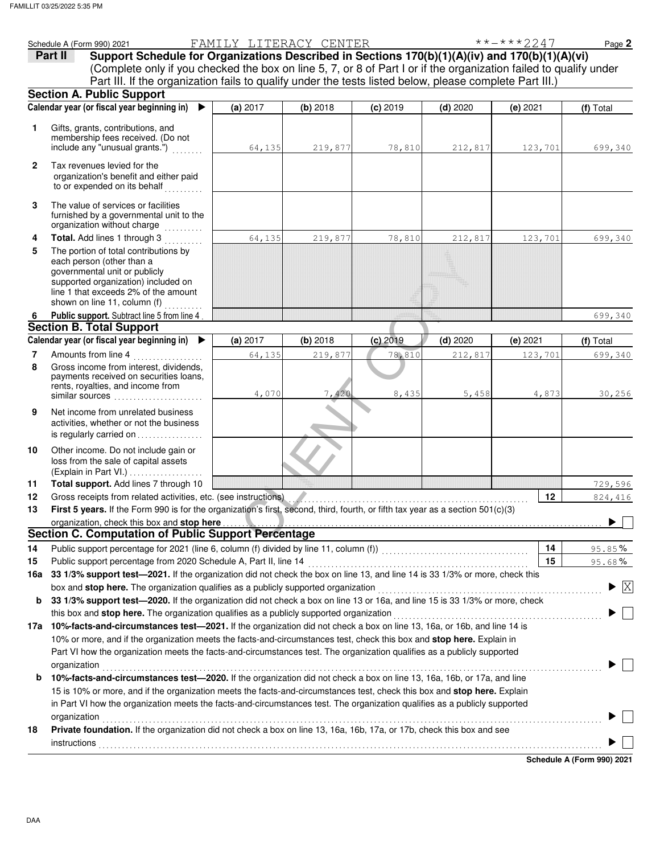|              | Schedule A (Form 990) 2021                                                                                                      | FAMILY LITERACY CENTER |          |            |            | $***$ $***$ 2247 | Page 2                               |
|--------------|---------------------------------------------------------------------------------------------------------------------------------|------------------------|----------|------------|------------|------------------|--------------------------------------|
|              | Support Schedule for Organizations Described in Sections 170(b)(1)(A)(iv) and 170(b)(1)(A)(vi)<br>Part II                       |                        |          |            |            |                  |                                      |
|              | (Complete only if you checked the box on line 5, 7, or 8 of Part I or if the organization failed to qualify under               |                        |          |            |            |                  |                                      |
|              | Part III. If the organization fails to qualify under the tests listed below, please complete Part III.)                         |                        |          |            |            |                  |                                      |
|              | <b>Section A. Public Support</b>                                                                                                |                        |          |            |            |                  |                                      |
|              | Calendar year (or fiscal year beginning in)                                                                                     | (a) 2017               | (b) 2018 | $(c)$ 2019 | $(d)$ 2020 | (e) 2021         | (f) Total                            |
| 1            | Gifts, grants, contributions, and                                                                                               |                        |          |            |            |                  |                                      |
|              | membership fees received. (Do not                                                                                               |                        |          |            |            |                  |                                      |
|              | include any "unusual grants.")                                                                                                  | 64,135                 | 219,877  | 78,810     | 212,817    | 123,701          | 699,340                              |
| $\mathbf{2}$ | Tax revenues levied for the                                                                                                     |                        |          |            |            |                  |                                      |
|              | organization's benefit and either paid                                                                                          |                        |          |            |            |                  |                                      |
|              | to or expended on its behalf                                                                                                    |                        |          |            |            |                  |                                      |
| 3            | The value of services or facilities                                                                                             |                        |          |            |            |                  |                                      |
|              | furnished by a governmental unit to the                                                                                         |                        |          |            |            |                  |                                      |
|              | organization without charge<br>.                                                                                                |                        |          |            |            |                  |                                      |
| 4            | Total. Add lines 1 through 3                                                                                                    | 64,135                 | 219,877  | 78,810     | 212,817    | 123,701          | 699,340                              |
| 5            | The portion of total contributions by<br>each person (other than a                                                              |                        |          |            |            |                  |                                      |
|              | governmental unit or publicly                                                                                                   |                        |          |            |            |                  |                                      |
|              | supported organization) included on                                                                                             |                        |          |            |            |                  |                                      |
|              | line 1 that exceeds 2% of the amount<br>shown on line 11, column (f)                                                            |                        |          |            |            |                  |                                      |
| 6            | Public support. Subtract line 5 from line 4                                                                                     |                        |          |            |            |                  | 699,340                              |
|              | <b>Section B. Total Support</b>                                                                                                 |                        |          |            |            |                  |                                      |
|              | Calendar year (or fiscal year beginning in) $\blacktriangleright$                                                               | (a) 2017               | (b) 2018 | $(c)$ 2019 | $(d)$ 2020 | (e) 2021         | (f) Total                            |
| 7            | Amounts from line 4                                                                                                             | 64,135                 | 219,877  | 78,810     | 212,817    | 123,701          | 699,340                              |
| 8            | Gross income from interest, dividends,                                                                                          |                        |          |            |            |                  |                                      |
|              | payments received on securities loans,                                                                                          |                        |          |            |            |                  |                                      |
|              | rents, royalties, and income from<br>similar sources                                                                            | 4,070                  | 7,420    | 8,435      | 5,458      | 4,873            | 30,256                               |
| 9            | Net income from unrelated business                                                                                              |                        |          |            |            |                  |                                      |
|              | activities, whether or not the business                                                                                         |                        |          |            |            |                  |                                      |
|              | is regularly carried on                                                                                                         |                        |          |            |            |                  |                                      |
| 10           | Other income. Do not include gain or                                                                                            |                        |          |            |            |                  |                                      |
|              | loss from the sale of capital assets                                                                                            |                        |          |            |            |                  |                                      |
|              | (Explain in Part VI.)                                                                                                           |                        |          |            |            |                  |                                      |
| 11           | Total support. Add lines 7 through 10                                                                                           |                        |          |            |            |                  | 729,596                              |
| 12           | Gross receipts from related activities, etc. (see instructions).                                                                |                        |          |            |            | $12 \,$          | 824,416                              |
| 13           | First 5 years. If the Form 990 is for the organization's first, second, third, fourth, or fifth tax year as a section 501(c)(3) |                        |          |            |            |                  |                                      |
|              | organization, check this box and stop here<br>Section C. Computation of Public Support Percentage                               |                        |          |            |            |                  |                                      |
| 14           |                                                                                                                                 |                        |          |            |            | 14               | $95.85\%$                            |
| 15           | Public support percentage from 2020 Schedule A, Part II, line 14                                                                |                        |          |            |            | 15               | $95.68\%$                            |
| 16a          | 33 1/3% support test-2021. If the organization did not check the box on line 13, and line 14 is 33 1/3% or more, check this     |                        |          |            |            |                  |                                      |
|              | box and stop here. The organization qualifies as a publicly supported organization                                              |                        |          |            |            |                  | $\blacktriangleright$ $\overline{X}$ |
| b            | 33 1/3% support test-2020. If the organization did not check a box on line 13 or 16a, and line 15 is 33 1/3% or more, check     |                        |          |            |            |                  |                                      |
|              | this box and stop here. The organization qualifies as a publicly supported organization                                         |                        |          |            |            |                  |                                      |
|              | 17a 10%-facts-and-circumstances test-2021. If the organization did not check a box on line 13, 16a, or 16b, and line 14 is      |                        |          |            |            |                  |                                      |
|              | 10% or more, and if the organization meets the facts-and-circumstances test, check this box and stop here. Explain in           |                        |          |            |            |                  |                                      |
|              | Part VI how the organization meets the facts-and-circumstances test. The organization qualifies as a publicly supported         |                        |          |            |            |                  |                                      |
|              | organization                                                                                                                    |                        |          |            |            |                  |                                      |
| b            | 10%-facts-and-circumstances test-2020. If the organization did not check a box on line 13, 16a, 16b, or 17a, and line           |                        |          |            |            |                  |                                      |
|              | 15 is 10% or more, and if the organization meets the facts-and-circumstances test, check this box and stop here. Explain        |                        |          |            |            |                  |                                      |
|              | in Part VI how the organization meets the facts-and-circumstances test. The organization qualifies as a publicly supported      |                        |          |            |            |                  |                                      |
|              | organization                                                                                                                    |                        |          |            |            |                  |                                      |
| 18           | Private foundation. If the organization did not check a box on line 13, 16a, 16b, 17a, or 17b, check this box and see           |                        |          |            |            |                  |                                      |
|              | instructions                                                                                                                    |                        |          |            |            |                  |                                      |

**Schedule A (Form 990) 2021**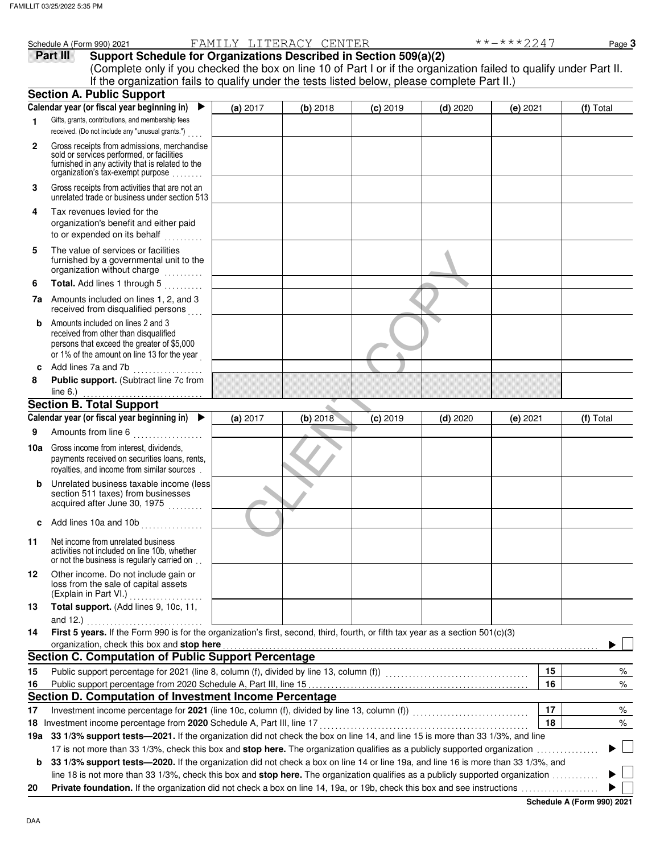|              | Schedule A (Form 990) 2021                                                                                                                                                        |          | FAMILY LITERACY CENTER |            |            | **-***2247 | Page 3    |
|--------------|-----------------------------------------------------------------------------------------------------------------------------------------------------------------------------------|----------|------------------------|------------|------------|------------|-----------|
|              | Support Schedule for Organizations Described in Section 509(a)(2)<br>Part III                                                                                                     |          |                        |            |            |            |           |
|              | (Complete only if you checked the box on line 10 of Part I or if the organization failed to qualify under Part II.                                                                |          |                        |            |            |            |           |
|              | If the organization fails to qualify under the tests listed below, please complete Part II.)                                                                                      |          |                        |            |            |            |           |
|              | <b>Section A. Public Support</b>                                                                                                                                                  |          |                        |            |            |            |           |
|              | Calendar year (or fiscal year beginning in)<br>▶                                                                                                                                  | (a) 2017 | (b) 2018               | $(c)$ 2019 | $(d)$ 2020 | (e) 2021   | (f) Total |
| 1            | Gifts, grants, contributions, and membership fees<br>received. (Do not include any "unusual grants.")                                                                             |          |                        |            |            |            |           |
| $\mathbf{2}$ | Gross receipts from admissions, merchandise<br>sold or services performed, or facilities<br>furnished in any activity that is related to the<br>organization's tax-exempt purpose |          |                        |            |            |            |           |
| 3            | Gross receipts from activities that are not an<br>unrelated trade or business under section 513                                                                                   |          |                        |            |            |            |           |
| 4            | Tax revenues levied for the<br>organization's benefit and either paid<br>to or expended on its behalf                                                                             |          |                        |            |            |            |           |
| 5            | The value of services or facilities<br>furnished by a governmental unit to the<br>organization without charge                                                                     |          |                        |            |            |            |           |
| 6            | Total. Add lines 1 through 5                                                                                                                                                      |          |                        |            |            |            |           |
| 7a           | Amounts included on lines 1, 2, and 3<br>received from disqualified persons                                                                                                       |          |                        |            |            |            |           |
| b            | Amounts included on lines 2 and 3<br>received from other than disqualified<br>persons that exceed the greater of \$5,000<br>or 1% of the amount on line 13 for the year           |          |                        |            |            |            |           |
| c            | Add lines 7a and 7b                                                                                                                                                               |          |                        |            |            |            |           |
| 8            | Public support. (Subtract line 7c from                                                                                                                                            |          |                        |            |            |            |           |
|              | line $6.$ )                                                                                                                                                                       |          |                        |            |            |            |           |
|              | <b>Section B. Total Support</b>                                                                                                                                                   |          |                        |            |            |            |           |
|              | Calendar year (or fiscal year beginning in)                                                                                                                                       | (a) 2017 | (b) 2018               | $(c)$ 2019 | $(d)$ 2020 | (e) 2021   | (f) Total |
| 9            | Amounts from line 6                                                                                                                                                               |          |                        |            |            |            |           |
| 10a          | Gross income from interest, dividends,<br>payments received on securities loans, rents,<br>royalties, and income from similar sources.                                            |          |                        |            |            |            |           |
| b            | Unrelated business taxable income (less<br>section 511 taxes) from businesses<br>acquired after June 30, 1975<br>.                                                                |          |                        |            |            |            |           |
|              | Add lines 10a and 10b                                                                                                                                                             |          |                        |            |            |            |           |
| 11           | Net income from unrelated business<br>activities not included on line 10b, whether<br>or not the business is regularly carried on                                                 |          |                        |            |            |            |           |
| 12           | Other income. Do not include gain or<br>loss from the sale of capital assets<br>(Explain in Part VI.)<br>.                                                                        |          |                        |            |            |            |           |
| 13           | Total support. (Add lines 9, 10c, 11,<br>and $12.$ )                                                                                                                              |          |                        |            |            |            |           |
| 14           | First 5 years. If the Form 990 is for the organization's first, second, third, fourth, or fifth tax year as a section 501(c)(3)<br>organization, check this box and stop here     |          |                        |            |            |            |           |
|              | <b>Section C. Computation of Public Support Percentage</b>                                                                                                                        |          |                        |            |            |            |           |
| 15           | Public support percentage for 2021 (line 8, column (f), divided by line 13, column (f)) [[[[[[[[[[[[[[[[[[[[[                                                                     |          |                        |            |            | 15         | %         |
| 16           |                                                                                                                                                                                   |          |                        |            |            | 16         | %         |
|              | Section D. Computation of Investment Income Percentage                                                                                                                            |          |                        |            |            |            |           |
| 17           |                                                                                                                                                                                   |          |                        |            |            | 17         | %         |
|              | 18 Investment income percentage from 2020 Schedule A, Part III, line 17                                                                                                           |          |                        |            |            | 18         | %         |
| 19а          | 33 1/3% support tests-2021. If the organization did not check the box on line 14, and line 15 is more than 33 1/3%, and line                                                      |          |                        |            |            |            |           |
|              | 17 is not more than 33 1/3%, check this box and stop here. The organization qualifies as a publicly supported organization                                                        |          |                        |            |            |            |           |
| b            | 33 1/3% support tests-2020. If the organization did not check a box on line 14 or line 19a, and line 16 is more than 33 1/3%, and                                                 |          |                        |            |            |            |           |
|              | line 18 is not more than 33 1/3%, check this box and stop here. The organization qualifies as a publicly supported organization                                                   |          |                        |            |            |            |           |
| 20           |                                                                                                                                                                                   |          |                        |            |            |            |           |

**Schedule A (Form 990) 2021**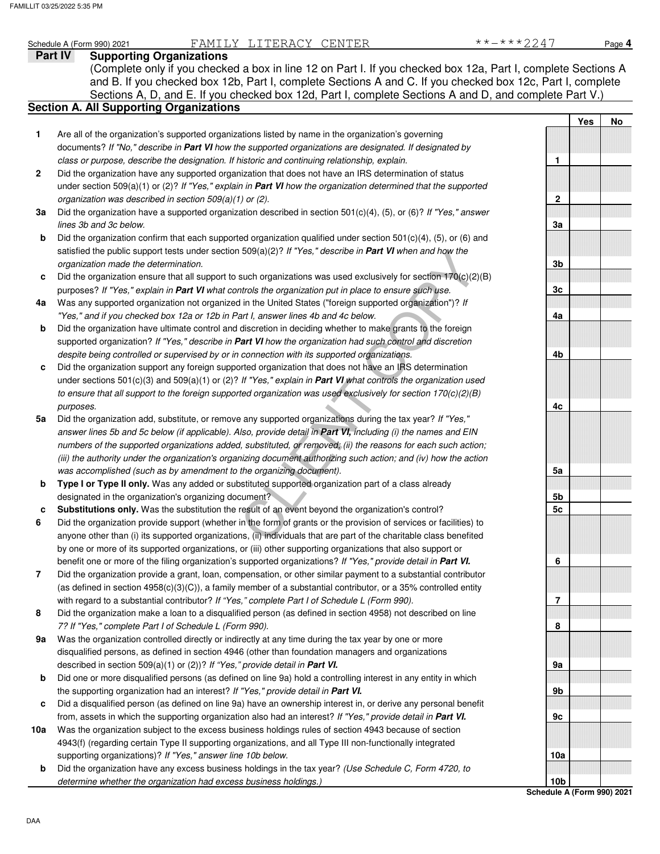|          | **-***2247<br>FAMILY LITERACY CENTER<br>Schedule A (Form 990) 2021                                                                                                                                                                                                                                                                                                                                                          |          |            | Page 4 |
|----------|-----------------------------------------------------------------------------------------------------------------------------------------------------------------------------------------------------------------------------------------------------------------------------------------------------------------------------------------------------------------------------------------------------------------------------|----------|------------|--------|
|          | <b>Supporting Organizations</b><br>Part IV<br>(Complete only if you checked a box in line 12 on Part I. If you checked box 12a, Part I, complete Sections A<br>and B. If you checked box 12b, Part I, complete Sections A and C. If you checked box 12c, Part I, complete<br>Sections A, D, and E. If you checked box 12d, Part I, complete Sections A and D, and complete Part V.)                                         |          |            |        |
|          | <b>Section A. All Supporting Organizations</b>                                                                                                                                                                                                                                                                                                                                                                              |          |            |        |
|          |                                                                                                                                                                                                                                                                                                                                                                                                                             |          | <b>Yes</b> | No     |
| 1        | Are all of the organization's supported organizations listed by name in the organization's governing<br>documents? If "No," describe in Part VI how the supported organizations are designated. If designated by<br>class or purpose, describe the designation. If historic and continuing relationship, explain.                                                                                                           | 1        |            |        |
| 2        | Did the organization have any supported organization that does not have an IRS determination of status<br>under section 509(a)(1) or (2)? If "Yes," explain in Part VI how the organization determined that the supported                                                                                                                                                                                                   |          |            |        |
| За       | organization was described in section 509(a)(1) or (2).<br>Did the organization have a supported organization described in section 501(c)(4), (5), or (6)? If "Yes," answer<br>lines 3b and 3c below.                                                                                                                                                                                                                       | 2<br>За  |            |        |
| b        | Did the organization confirm that each supported organization qualified under section $501(c)(4)$ , $(5)$ , or $(6)$ and<br>satisfied the public support tests under section $509(a)(2)$ ? If "Yes," describe in <b>Part VI</b> when and how the                                                                                                                                                                            |          |            |        |
| c        | organization made the determination.<br>Did the organization ensure that all support to such organizations was used exclusively for section $170(c)(2)(B)$<br>purposes? If "Yes," explain in Part VI what controls the organization put in place to ensure such use.                                                                                                                                                        | 3b<br>3c |            |        |
| 4a       | Was any supported organization not organized in the United States ("foreign supported organization")? If<br>"Yes," and if you checked box 12a or 12b in Part I, answer lines 4b and 4c below.                                                                                                                                                                                                                               | 4a       |            |        |
| b        | Did the organization have ultimate control and discretion in deciding whether to make grants to the foreign<br>supported organization? If "Yes," describe in Part VI how the organization had such control and discretion<br>despite being controlled or supervised by or in connection with its supported organizations.                                                                                                   | 4b       |            |        |
| c        | Did the organization support any foreign supported organization that does not have an IRS determination<br>under sections $501(c)(3)$ and $509(a)(1)$ or (2)? If "Yes," explain in <b>Part VI</b> what controls the organization used<br>to ensure that all support to the foreign supported organization was used exclusively for section $170(c)(2)(B)$                                                                   |          |            |        |
| 5a       | purposes.<br>Did the organization add, substitute, or remove any supported organizations during the tax year? If "Yes,"                                                                                                                                                                                                                                                                                                     | 4c       |            |        |
|          | answer lines 5b and 5c below (if applicable). Also, provide detail in Part VI, including (i) the names and EIN<br>numbers of the supported organizations added, substituted, or removed; (ii) the reasons for each such action;<br>(iii) the authority under the organization's organizing document authorizing such action; and (iv) how the action<br>was accomplished (such as by amendment to the organizing document). | 5a       |            |        |
| b        | Type I or Type II only. Was any added or substituted supported organization part of a class already<br>designated in the organization's organizing document?                                                                                                                                                                                                                                                                | 5b       |            |        |
| c<br>6   | Substitutions only. Was the substitution the result of an event beyond the organization's control?<br>Did the organization provide support (whether in the form of grants or the provision of services or facilities) to<br>anyone other than (i) its supported organizations, (ii) individuals that are part of the charitable class benefited                                                                             | 5c       |            |        |
|          | by one or more of its supported organizations, or (iii) other supporting organizations that also support or<br>benefit one or more of the filing organization's supported organizations? If "Yes," provide detail in Part VI.                                                                                                                                                                                               | 6        |            |        |
| 7        | Did the organization provide a grant, loan, compensation, or other similar payment to a substantial contributor<br>(as defined in section $4958(c)(3)(C)$ ), a family member of a substantial contributor, or a 35% controlled entity<br>with regard to a substantial contributor? If "Yes," complete Part I of Schedule L (Form 990).                                                                                      | 7        |            |        |
| 8        | Did the organization make a loan to a disqualified person (as defined in section 4958) not described on line<br>7? If "Yes," complete Part I of Schedule L (Form 990).                                                                                                                                                                                                                                                      | 8        |            |        |
| 9a       | Was the organization controlled directly or indirectly at any time during the tax year by one or more<br>disqualified persons, as defined in section 4946 (other than foundation managers and organizations<br>described in section 509(a)(1) or (2))? If "Yes," provide detail in Part VI.                                                                                                                                 | 9а       |            |        |
| b        | Did one or more disqualified persons (as defined on line 9a) hold a controlling interest in any entity in which<br>the supporting organization had an interest? If "Yes," provide detail in Part VI.                                                                                                                                                                                                                        | 9b       |            |        |
| c<br>10a | Did a disqualified person (as defined on line 9a) have an ownership interest in, or derive any personal benefit<br>from, assets in which the supporting organization also had an interest? If "Yes," provide detail in Part VI.<br>Was the organization subject to the excess business holdings rules of section 4943 because of section                                                                                    | 9с       |            |        |
|          | 4943(f) (regarding certain Type II supporting organizations, and all Type III non-functionally integrated<br>supporting organizations)? If "Yes," answer line 10b below.                                                                                                                                                                                                                                                    | 10a      |            |        |
| b        | Did the organization have any excess business holdings in the tax year? (Use Schedule C, Form 4720, to                                                                                                                                                                                                                                                                                                                      |          |            |        |

**Schedule A (Form 990) 2021 10b**

*determine whether the organization had excess business holdings.)*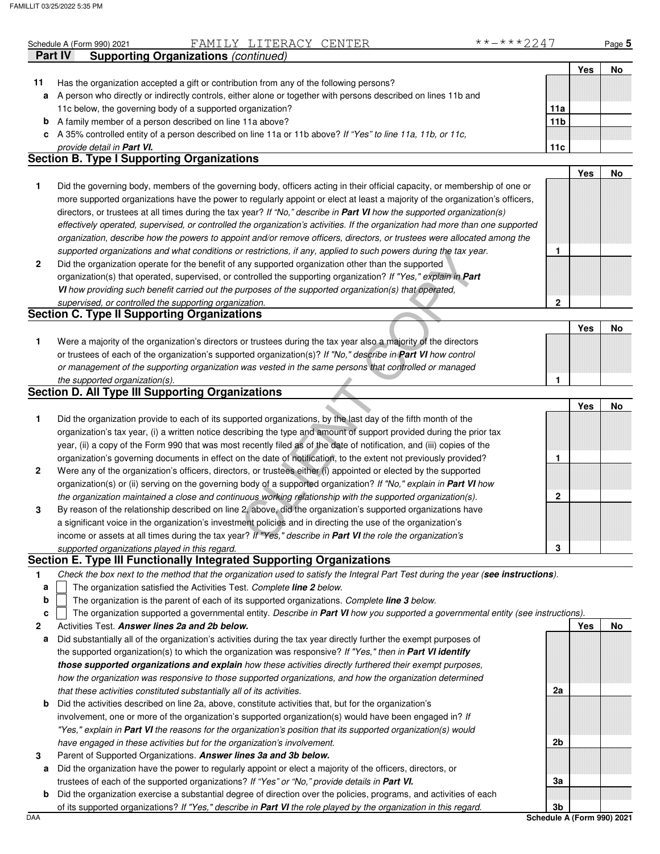|    | **-***2247<br>FAMILY LITERACY CENTER<br>Schedule A (Form 990) 2021                                                                                                                                                                                       |                 |     | Page 5 |
|----|----------------------------------------------------------------------------------------------------------------------------------------------------------------------------------------------------------------------------------------------------------|-----------------|-----|--------|
|    | <b>Supporting Organizations (continued)</b><br>Part IV                                                                                                                                                                                                   |                 |     |        |
|    |                                                                                                                                                                                                                                                          |                 | Yes | No     |
| 11 | Has the organization accepted a gift or contribution from any of the following persons?                                                                                                                                                                  |                 |     |        |
| a  | A person who directly or indirectly controls, either alone or together with persons described on lines 11b and                                                                                                                                           |                 |     |        |
|    | 11c below, the governing body of a supported organization?                                                                                                                                                                                               | 11a             |     |        |
|    | <b>b</b> A family member of a person described on line 11a above?                                                                                                                                                                                        | 11 <sub>b</sub> |     |        |
|    | c A 35% controlled entity of a person described on line 11a or 11b above? If "Yes" to line 11a, 11b, or 11c,                                                                                                                                             |                 |     |        |
|    | provide detail in Part VI.<br><b>Section B. Type I Supporting Organizations</b>                                                                                                                                                                          | 11c             |     |        |
|    |                                                                                                                                                                                                                                                          |                 | Yes | No     |
| 1  |                                                                                                                                                                                                                                                          |                 |     |        |
|    | Did the governing body, members of the governing body, officers acting in their official capacity, or membership of one or                                                                                                                               |                 |     |        |
|    | more supported organizations have the power to regularly appoint or elect at least a majority of the organization's officers,<br>directors, or trustees at all times during the tax year? If "No," describe in Part VI how the supported organization(s) |                 |     |        |
|    | effectively operated, supervised, or controlled the organization's activities. If the organization had more than one supported                                                                                                                           |                 |     |        |
|    | organization, describe how the powers to appoint and/or remove officers, directors, or trustees were allocated among the                                                                                                                                 |                 |     |        |
|    | supported organizations and what conditions or restrictions, if any, applied to such powers during the tax year.                                                                                                                                         | 1               |     |        |
| 2  | Did the organization operate for the benefit of any supported organization other than the supported                                                                                                                                                      |                 |     |        |
|    | organization(s) that operated, supervised, or controlled the supporting organization? If "Yes," explain in Part                                                                                                                                          |                 |     |        |
|    | VI how providing such benefit carried out the purposes of the supported organization(s) that operated,                                                                                                                                                   |                 |     |        |
|    | supervised, or controlled the supporting organization.                                                                                                                                                                                                   | $\mathbf 2$     |     |        |
|    | <b>Section C. Type II Supporting Organizations</b>                                                                                                                                                                                                       |                 |     |        |
|    |                                                                                                                                                                                                                                                          |                 | Yes | No     |
| 1  | Were a majority of the organization's directors or trustees during the tax year also a majority of the directors                                                                                                                                         |                 |     |        |
|    | or trustees of each of the organization's supported organization(s)? If "No," describe in Part VI how control                                                                                                                                            |                 |     |        |
|    | or management of the supporting organization was vested in the same persons that controlled or managed                                                                                                                                                   |                 |     |        |
|    | the supported organization(s).                                                                                                                                                                                                                           | 1               |     |        |
|    | <b>Section D. All Type III Supporting Organizations</b>                                                                                                                                                                                                  |                 |     |        |
|    |                                                                                                                                                                                                                                                          |                 | Yes | No     |
| 1  | Did the organization provide to each of its supported organizations, by the last day of the fifth month of the                                                                                                                                           |                 |     |        |
|    | organization's tax year, (i) a written notice describing the type and amount of support provided during the prior tax                                                                                                                                    |                 |     |        |
|    | year, (ii) a copy of the Form 990 that was most recently filed as of the date of notification, and (iii) copies of the                                                                                                                                   |                 |     |        |
|    | organization's governing documents in effect on the date of notification, to the extent not previously provided?                                                                                                                                         | 1               |     |        |
| 2  | Were any of the organization's officers, directors, or trustees either (i) appointed or elected by the supported                                                                                                                                         |                 |     |        |
|    | organization(s) or (ii) serving on the governing body of a supported organization? If "No," explain in Part VI how                                                                                                                                       |                 |     |        |
|    | the organization maintained a close and continuous working relationship with the supported organization(s).                                                                                                                                              | 2               |     |        |
| 3  | By reason of the relationship described on line 2, above, did the organization's supported organizations have                                                                                                                                            |                 |     |        |
|    | a significant voice in the organization's investment policies and in directing the use of the organization's                                                                                                                                             |                 |     |        |
|    | income or assets at all times during the tax year? If "Yes," describe in Part VI the role the organization's                                                                                                                                             |                 |     |        |
|    | supported organizations played in this regard.                                                                                                                                                                                                           | 3               |     |        |
|    | Section E. Type III Functionally Integrated Supporting Organizations                                                                                                                                                                                     |                 |     |        |
| 1  | Check the box next to the method that the organization used to satisfy the Integral Part Test during the year (see instructions).                                                                                                                        |                 |     |        |
| а  | The organization satisfied the Activities Test. Complete line 2 below.                                                                                                                                                                                   |                 |     |        |
| b  | The organization is the parent of each of its supported organizations. Complete line 3 below.                                                                                                                                                            |                 |     |        |
| c  | The organization supported a governmental entity. Describe in Part VI how you supported a governmental entity (see instructions).                                                                                                                        |                 |     |        |
| 2  | Activities Test. Answer lines 2a and 2b below.                                                                                                                                                                                                           |                 | Yes | No     |
| а  | Did substantially all of the organization's activities during the tax year directly further the exempt purposes of                                                                                                                                       |                 |     |        |
|    | the supported organization(s) to which the organization was responsive? If "Yes," then in Part VI identify                                                                                                                                               |                 |     |        |
|    | those supported organizations and explain how these activities directly furthered their exempt purposes,                                                                                                                                                 |                 |     |        |
|    | how the organization was responsive to those supported organizations, and how the organization determined                                                                                                                                                |                 |     |        |
|    | that these activities constituted substantially all of its activities.                                                                                                                                                                                   | 2a              |     |        |
| b  | Did the activities described on line 2a, above, constitute activities that, but for the organization's                                                                                                                                                   |                 |     |        |
|    | involvement, one or more of the organization's supported organization(s) would have been engaged in? If                                                                                                                                                  |                 |     |        |
|    | "Yes," explain in Part VI the reasons for the organization's position that its supported organization(s) would                                                                                                                                           |                 |     |        |
|    | have engaged in these activities but for the organization's involvement.                                                                                                                                                                                 | 2 <sub>b</sub>  |     |        |

- **3** Parent of Supported Organizations. **Answer lines 3a and 3b below.**
- **a** Did the organization have the power to regularly appoint or elect a majority of the officers, directors, or trustees of each of the supported organizations? *If "Yes" or "No," provide details in* **Part VI.**
- **b** Did the organization exercise a substantial degree of direction over the policies, programs, and activities of each of its supported organizations? *If "Yes," describe in* **Part VI** *the role played by the organization in this regard.*

DAA **Schedule A (Form 990) 2021**

**3a**

**3b**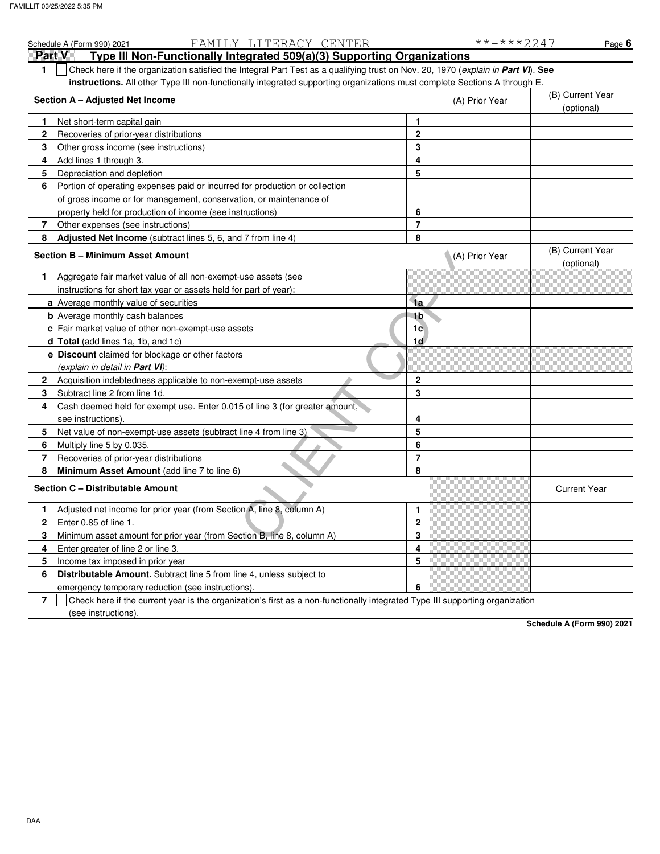|                                                                                                                           | FAMILY LITERACY CENTER<br>Schedule A (Form 990) 2021                                                                             |                | **-***2247     | Page $6$                       |  |  |  |
|---------------------------------------------------------------------------------------------------------------------------|----------------------------------------------------------------------------------------------------------------------------------|----------------|----------------|--------------------------------|--|--|--|
| Part V                                                                                                                    | Type III Non-Functionally Integrated 509(a)(3) Supporting Organizations                                                          |                |                |                                |  |  |  |
| 1                                                                                                                         | Check here if the organization satisfied the Integral Part Test as a qualifying trust on Nov. 20, 1970 (explain in Part VI). See |                |                |                                |  |  |  |
| instructions. All other Type III non-functionally integrated supporting organizations must complete Sections A through E. |                                                                                                                                  |                |                |                                |  |  |  |
|                                                                                                                           | Section A - Adjusted Net Income                                                                                                  |                | (A) Prior Year | (B) Current Year<br>(optional) |  |  |  |
| 1                                                                                                                         | Net short-term capital gain                                                                                                      | 1              |                |                                |  |  |  |
| 2                                                                                                                         | Recoveries of prior-year distributions                                                                                           | $\mathbf{2}$   |                |                                |  |  |  |
| 3                                                                                                                         | Other gross income (see instructions)                                                                                            | 3              |                |                                |  |  |  |
| 4                                                                                                                         | Add lines 1 through 3.                                                                                                           | 4              |                |                                |  |  |  |
| 5                                                                                                                         | Depreciation and depletion                                                                                                       | 5              |                |                                |  |  |  |
| 6                                                                                                                         | Portion of operating expenses paid or incurred for production or collection                                                      |                |                |                                |  |  |  |
|                                                                                                                           | of gross income or for management, conservation, or maintenance of                                                               |                |                |                                |  |  |  |
|                                                                                                                           | property held for production of income (see instructions)                                                                        | 6              |                |                                |  |  |  |
| 7                                                                                                                         | Other expenses (see instructions)                                                                                                | $\overline{7}$ |                |                                |  |  |  |
| 8                                                                                                                         | Adjusted Net Income (subtract lines 5, 6, and 7 from line 4)                                                                     | 8              |                |                                |  |  |  |
|                                                                                                                           | <b>Section B - Minimum Asset Amount</b>                                                                                          |                | (A) Prior Year | (B) Current Year<br>(optional) |  |  |  |
| 1.                                                                                                                        | Aggregate fair market value of all non-exempt-use assets (see                                                                    |                |                |                                |  |  |  |
|                                                                                                                           | instructions for short tax year or assets held for part of year):                                                                |                |                |                                |  |  |  |
|                                                                                                                           | a Average monthly value of securities                                                                                            | 1a             |                |                                |  |  |  |
|                                                                                                                           | <b>b</b> Average monthly cash balances                                                                                           | 1 <sub>b</sub> |                |                                |  |  |  |
|                                                                                                                           | c Fair market value of other non-exempt-use assets                                                                               | 1c             |                |                                |  |  |  |
|                                                                                                                           | <b>d Total</b> (add lines 1a, 1b, and 1c)                                                                                        | 1d             |                |                                |  |  |  |
|                                                                                                                           | e Discount claimed for blockage or other factors                                                                                 |                |                |                                |  |  |  |
|                                                                                                                           | (explain in detail in <b>Part VI</b> ):                                                                                          |                |                |                                |  |  |  |
| $\mathbf{2}$                                                                                                              | Acquisition indebtedness applicable to non-exempt-use assets                                                                     | $\mathbf{2}$   |                |                                |  |  |  |
| 3                                                                                                                         | Subtract line 2 from line 1d.                                                                                                    | 3              |                |                                |  |  |  |
| 4                                                                                                                         | Cash deemed held for exempt use. Enter 0.015 of line 3 (for greater amount,                                                      |                |                |                                |  |  |  |
|                                                                                                                           | see instructions).                                                                                                               | 4              |                |                                |  |  |  |
| 5                                                                                                                         | Net value of non-exempt-use assets (subtract line 4 from line 3)                                                                 | 5              |                |                                |  |  |  |
| 6                                                                                                                         | Multiply line 5 by 0.035.                                                                                                        | 6              |                |                                |  |  |  |
| 7                                                                                                                         | Recoveries of prior-year distributions                                                                                           | $\overline{7}$ |                |                                |  |  |  |
| 8                                                                                                                         | Minimum Asset Amount (add line 7 to line 6)                                                                                      | 8              |                |                                |  |  |  |
|                                                                                                                           | Section C - Distributable Amount                                                                                                 |                |                | <b>Current Year</b>            |  |  |  |
| 1.                                                                                                                        | Adjusted net income for prior year (from Section A, line 8, column A)                                                            | 1              |                |                                |  |  |  |
| 2                                                                                                                         | Enter 0.85 of line 1.                                                                                                            | $\mathbf 2$    |                |                                |  |  |  |
| 3.                                                                                                                        | Minimum asset amount for prior year (from Section B, line 8, column A)                                                           | 3              |                |                                |  |  |  |
| 4                                                                                                                         | Enter greater of line 2 or line 3.                                                                                               | 4              |                |                                |  |  |  |
| 5                                                                                                                         | Income tax imposed in prior year                                                                                                 | 5              |                |                                |  |  |  |
| 6                                                                                                                         | Distributable Amount. Subtract line 5 from line 4, unless subject to                                                             |                |                |                                |  |  |  |
|                                                                                                                           | emergency temporary reduction (see instructions).                                                                                | 6              |                |                                |  |  |  |
| $\overline{7}$                                                                                                            | Check here if the current year is the organization's first as a non-functionally integrated Type III supporting organization     |                |                |                                |  |  |  |

(see instructions).

**Schedule A (Form 990) 2021**

DAA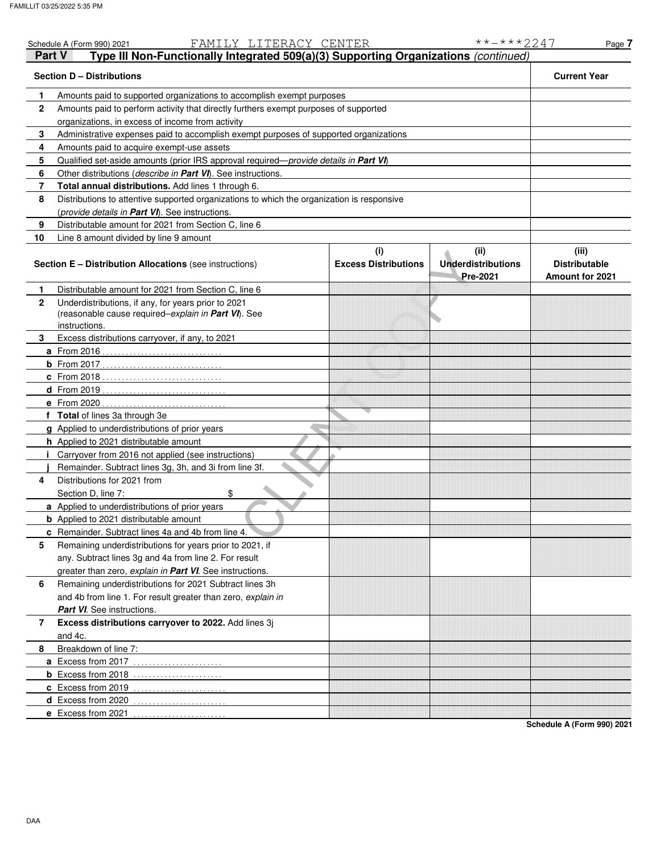| Schedule A (Form 990) 2021<br>Part V          | FAMILY LITERACY CENTER<br>Type III Non-Functionally Integrated 509(a)(3) Supporting Organizations (continued)                                                 |                             | **-***2247                            | Page 7                                  |
|-----------------------------------------------|---------------------------------------------------------------------------------------------------------------------------------------------------------------|-----------------------------|---------------------------------------|-----------------------------------------|
| <b>Section D - Distributions</b>              |                                                                                                                                                               |                             |                                       | <b>Current Year</b>                     |
|                                               |                                                                                                                                                               |                             |                                       |                                         |
| 1<br>$\mathbf{2}$                             | Amounts paid to supported organizations to accomplish exempt purposes<br>Amounts paid to perform activity that directly furthers exempt purposes of supported |                             |                                       |                                         |
|                                               | organizations, in excess of income from activity                                                                                                              |                             |                                       |                                         |
| 3                                             | Administrative expenses paid to accomplish exempt purposes of supported organizations                                                                         |                             |                                       |                                         |
| 4                                             | Amounts paid to acquire exempt-use assets                                                                                                                     |                             |                                       |                                         |
| 5                                             | Qualified set-aside amounts (prior IRS approval required-provide details in Part VI)                                                                          |                             |                                       |                                         |
| 6                                             | Other distributions ( <i>describe in Part VI</i> ). See instructions.                                                                                         |                             |                                       |                                         |
| 7                                             | Total annual distributions. Add lines 1 through 6.                                                                                                            |                             |                                       |                                         |
| 8                                             | Distributions to attentive supported organizations to which the organization is responsive                                                                    |                             |                                       |                                         |
|                                               | (provide details in Part VI). See instructions.                                                                                                               |                             |                                       |                                         |
| 9                                             | Distributable amount for 2021 from Section C, line 6                                                                                                          |                             |                                       |                                         |
| 10                                            | Line 8 amount divided by line 9 amount                                                                                                                        |                             |                                       |                                         |
|                                               |                                                                                                                                                               | (i)                         | (iii)                                 | (iii)                                   |
|                                               | Section E - Distribution Allocations (see instructions)                                                                                                       | <b>Excess Distributions</b> | <b>Underdistributions</b><br>Pre-2021 | <b>Distributable</b><br>Amount for 2021 |
| 1                                             | Distributable amount for 2021 from Section C, line 6                                                                                                          |                             |                                       |                                         |
| $\mathbf{2}$                                  | Underdistributions, if any, for years prior to 2021                                                                                                           |                             |                                       |                                         |
|                                               | (reasonable cause required-explain in Part VI). See                                                                                                           |                             |                                       |                                         |
| instructions.                                 |                                                                                                                                                               |                             |                                       |                                         |
| 3                                             | Excess distributions carryover, if any, to 2021                                                                                                               |                             |                                       |                                         |
|                                               |                                                                                                                                                               |                             |                                       |                                         |
|                                               |                                                                                                                                                               |                             |                                       |                                         |
|                                               | <b>c</b> From 2018                                                                                                                                            |                             |                                       |                                         |
|                                               |                                                                                                                                                               |                             |                                       |                                         |
| <b>e</b> From 2020                            | . <u>.</u>                                                                                                                                                    |                             |                                       |                                         |
| f Total of lines 3a through 3e                |                                                                                                                                                               |                             |                                       |                                         |
|                                               | g Applied to underdistributions of prior years                                                                                                                |                             |                                       |                                         |
| <b>h</b> Applied to 2021 distributable amount |                                                                                                                                                               |                             |                                       |                                         |
|                                               | Carryover from 2016 not applied (see instructions)                                                                                                            |                             |                                       |                                         |
|                                               | Remainder. Subtract lines 3g, 3h, and 3i from line 3f.                                                                                                        |                             |                                       |                                         |
| Distributions for 2021 from<br>4              |                                                                                                                                                               |                             |                                       |                                         |
| Section D. line 7:                            | \$                                                                                                                                                            |                             |                                       |                                         |
|                                               | a Applied to underdistributions of prior years                                                                                                                |                             |                                       |                                         |
| <b>b</b> Applied to 2021 distributable amount |                                                                                                                                                               |                             |                                       |                                         |
|                                               | <b>c</b> Remainder. Subtract lines 4a and 4b from line 4.                                                                                                     |                             |                                       |                                         |
| 5                                             | Remaining underdistributions for years prior to 2021, if                                                                                                      |                             |                                       |                                         |
|                                               | any. Subtract lines 3g and 4a from line 2. For result                                                                                                         |                             |                                       |                                         |
|                                               | greater than zero, explain in <b>Part VI</b> . See instructions.                                                                                              |                             |                                       |                                         |
| 6                                             | Remaining underdistributions for 2021 Subtract lines 3h                                                                                                       |                             |                                       |                                         |
|                                               | and 4b from line 1. For result greater than zero, explain in                                                                                                  |                             |                                       |                                         |
| <b>Part VI.</b> See instructions.             |                                                                                                                                                               |                             |                                       |                                         |
| 7                                             | Excess distributions carryover to 2022. Add lines 3j                                                                                                          |                             |                                       |                                         |
| and 4c.                                       |                                                                                                                                                               |                             |                                       |                                         |
| Breakdown of line 7:<br>8                     |                                                                                                                                                               |                             |                                       |                                         |
| a Excess from 2017                            |                                                                                                                                                               |                             |                                       |                                         |
|                                               | <b>b</b> Excess from 2018 $\ldots$                                                                                                                            |                             |                                       |                                         |
| c Excess from 2019                            |                                                                                                                                                               |                             |                                       |                                         |
| d Excess from 2020                            |                                                                                                                                                               |                             |                                       |                                         |
| e Excess from 2021                            |                                                                                                                                                               |                             |                                       | Schedule A (Form 990) 2021              |

DAA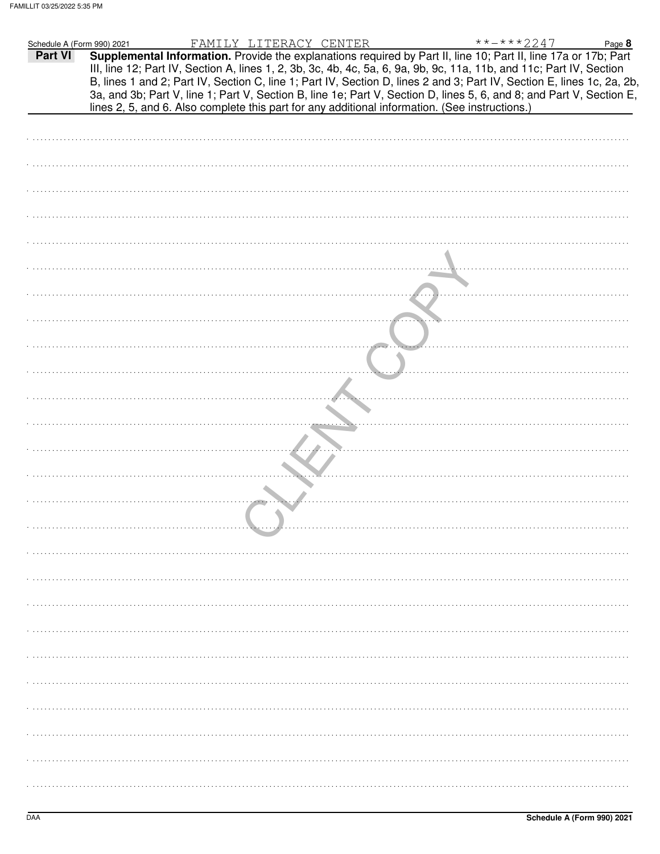| Schedule A (Form 990) 2021 |                                                                                                                                                                                                                                                                                                                                                                                                                                                                                           | FAMILY LITERACY CENTER |  | $***$ $***$ 2247 | Page 8 |
|----------------------------|-------------------------------------------------------------------------------------------------------------------------------------------------------------------------------------------------------------------------------------------------------------------------------------------------------------------------------------------------------------------------------------------------------------------------------------------------------------------------------------------|------------------------|--|------------------|--------|
| Part VI                    | Supplemental Information. Provide the explanations required by Part II, line 10; Part II, line 17a or 17b; Part<br>III, line 12; Part IV, Section A, lines 1, 2, 3b, 3c, 4b, 4c, 5a, 6, 9a, 9b, 9c, 11a, 11b, and 11c; Part IV, Section<br>B, lines 1 and 2; Part IV, Section C, line 1; Part IV, Section D, lines 2 and 3; Part IV, Section E, lines 1c, 2a, 2b,<br>3a, and 3b; Part V, line 1; Part V, Section B, line 1e; Part V, Section D, lines 5, 6, and 8; and Part V, Section E, |                        |  |                  |        |
|                            | lines 2, 5, and 6. Also complete this part for any additional information. (See instructions.)                                                                                                                                                                                                                                                                                                                                                                                            |                        |  |                  |        |
|                            |                                                                                                                                                                                                                                                                                                                                                                                                                                                                                           |                        |  |                  |        |
|                            |                                                                                                                                                                                                                                                                                                                                                                                                                                                                                           |                        |  |                  |        |
|                            |                                                                                                                                                                                                                                                                                                                                                                                                                                                                                           |                        |  |                  |        |
|                            |                                                                                                                                                                                                                                                                                                                                                                                                                                                                                           |                        |  |                  |        |
|                            |                                                                                                                                                                                                                                                                                                                                                                                                                                                                                           |                        |  |                  |        |
|                            |                                                                                                                                                                                                                                                                                                                                                                                                                                                                                           |                        |  |                  |        |
|                            |                                                                                                                                                                                                                                                                                                                                                                                                                                                                                           |                        |  |                  |        |
|                            |                                                                                                                                                                                                                                                                                                                                                                                                                                                                                           |                        |  |                  |        |
|                            |                                                                                                                                                                                                                                                                                                                                                                                                                                                                                           |                        |  |                  |        |
|                            |                                                                                                                                                                                                                                                                                                                                                                                                                                                                                           |                        |  |                  |        |
|                            |                                                                                                                                                                                                                                                                                                                                                                                                                                                                                           |                        |  |                  |        |
|                            |                                                                                                                                                                                                                                                                                                                                                                                                                                                                                           |                        |  |                  |        |
|                            |                                                                                                                                                                                                                                                                                                                                                                                                                                                                                           |                        |  |                  |        |
|                            |                                                                                                                                                                                                                                                                                                                                                                                                                                                                                           |                        |  |                  |        |
|                            |                                                                                                                                                                                                                                                                                                                                                                                                                                                                                           |                        |  |                  |        |
|                            |                                                                                                                                                                                                                                                                                                                                                                                                                                                                                           |                        |  |                  |        |
|                            |                                                                                                                                                                                                                                                                                                                                                                                                                                                                                           |                        |  |                  |        |
|                            |                                                                                                                                                                                                                                                                                                                                                                                                                                                                                           |                        |  |                  |        |
|                            |                                                                                                                                                                                                                                                                                                                                                                                                                                                                                           |                        |  |                  |        |
|                            |                                                                                                                                                                                                                                                                                                                                                                                                                                                                                           |                        |  |                  |        |
|                            |                                                                                                                                                                                                                                                                                                                                                                                                                                                                                           |                        |  |                  |        |
|                            |                                                                                                                                                                                                                                                                                                                                                                                                                                                                                           |                        |  |                  |        |
|                            |                                                                                                                                                                                                                                                                                                                                                                                                                                                                                           |                        |  |                  |        |
|                            |                                                                                                                                                                                                                                                                                                                                                                                                                                                                                           |                        |  |                  |        |
|                            |                                                                                                                                                                                                                                                                                                                                                                                                                                                                                           |                        |  |                  |        |
|                            |                                                                                                                                                                                                                                                                                                                                                                                                                                                                                           |                        |  |                  |        |
|                            |                                                                                                                                                                                                                                                                                                                                                                                                                                                                                           |                        |  |                  |        |
|                            |                                                                                                                                                                                                                                                                                                                                                                                                                                                                                           |                        |  |                  |        |
|                            |                                                                                                                                                                                                                                                                                                                                                                                                                                                                                           |                        |  |                  |        |
|                            |                                                                                                                                                                                                                                                                                                                                                                                                                                                                                           |                        |  |                  |        |
|                            |                                                                                                                                                                                                                                                                                                                                                                                                                                                                                           |                        |  |                  |        |
|                            |                                                                                                                                                                                                                                                                                                                                                                                                                                                                                           |                        |  |                  |        |
|                            |                                                                                                                                                                                                                                                                                                                                                                                                                                                                                           |                        |  |                  |        |
|                            |                                                                                                                                                                                                                                                                                                                                                                                                                                                                                           |                        |  |                  |        |
|                            |                                                                                                                                                                                                                                                                                                                                                                                                                                                                                           |                        |  |                  |        |
|                            |                                                                                                                                                                                                                                                                                                                                                                                                                                                                                           |                        |  |                  |        |
|                            |                                                                                                                                                                                                                                                                                                                                                                                                                                                                                           |                        |  |                  |        |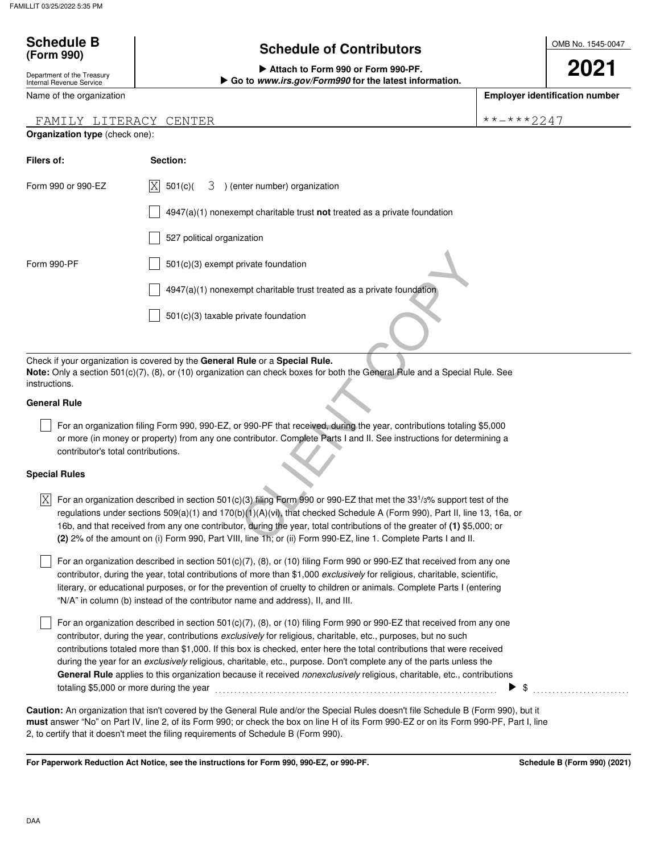**(Form 990)**

Department of the Treasury Internal Revenue Service Name of the organization

## **Schedule of Contributors Schedule B**

- **Attach to Form 990 or Form 990-PF.** - **Go to www.irs.gov/Form990 for the latest information.** OMB No. 1545-0047

# **2021**

**Employer identification number**

FAMILY LITERACY CENTER  $\vert$  \*\*-\*\*\*2247

| Filers of:                                                                                                                                                                                                                                                                                                                                                                                                                                                                                                        | Section:                                                                                                                                                                                                           |  |  |  |  |
|-------------------------------------------------------------------------------------------------------------------------------------------------------------------------------------------------------------------------------------------------------------------------------------------------------------------------------------------------------------------------------------------------------------------------------------------------------------------------------------------------------------------|--------------------------------------------------------------------------------------------------------------------------------------------------------------------------------------------------------------------|--|--|--|--|
| Form 990 or 990-EZ                                                                                                                                                                                                                                                                                                                                                                                                                                                                                                | 3 ) (enter number) organization<br>ΙXΙ<br>501(c)                                                                                                                                                                   |  |  |  |  |
|                                                                                                                                                                                                                                                                                                                                                                                                                                                                                                                   | $4947(a)(1)$ nonexempt charitable trust <b>not</b> treated as a private foundation                                                                                                                                 |  |  |  |  |
|                                                                                                                                                                                                                                                                                                                                                                                                                                                                                                                   | 527 political organization                                                                                                                                                                                         |  |  |  |  |
| Form 990-PF                                                                                                                                                                                                                                                                                                                                                                                                                                                                                                       | 501(c)(3) exempt private foundation                                                                                                                                                                                |  |  |  |  |
|                                                                                                                                                                                                                                                                                                                                                                                                                                                                                                                   | 4947(a)(1) nonexempt charitable trust treated as a private foundation                                                                                                                                              |  |  |  |  |
|                                                                                                                                                                                                                                                                                                                                                                                                                                                                                                                   | $501(c)(3)$ taxable private foundation                                                                                                                                                                             |  |  |  |  |
| instructions.                                                                                                                                                                                                                                                                                                                                                                                                                                                                                                     | Check if your organization is covered by the General Rule or a Special Rule.<br><b>Note:</b> Only a section 501(c)(7), (8), or (10) organization can check boxes for both the General Rule and a Special Rule. See |  |  |  |  |
| <b>General Rule</b>                                                                                                                                                                                                                                                                                                                                                                                                                                                                                               |                                                                                                                                                                                                                    |  |  |  |  |
| For an organization filing Form 990, 990-EZ, or 990-PF that received, during the year, contributions totaling \$5,000<br>or more (in money or property) from any one contributor. Complete Parts I and II. See instructions for determining a<br>contributor's total contributions.                                                                                                                                                                                                                               |                                                                                                                                                                                                                    |  |  |  |  |
| <b>Special Rules</b>                                                                                                                                                                                                                                                                                                                                                                                                                                                                                              |                                                                                                                                                                                                                    |  |  |  |  |
| For an organization described in section 501(c)(3) filing Form 990 or 990-EZ that met the 33 <sup>1</sup> /3% support test of the<br> X<br>regulations under sections 509(a)(1) and 170(b)(1)(A)(vi), that checked Schedule A (Form 990), Part II, line 13, 16a, or<br>16b, and that received from any one contributor, during the year, total contributions of the greater of (1) \$5,000; or<br>(2) 2% of the amount on (i) Form 990, Part VIII, line 1h; or (ii) Form 990-EZ, line 1. Complete Parts I and II. |                                                                                                                                                                                                                    |  |  |  |  |

### **General Rule**

### **Special Rules**

| $ X $ For an organization described in section 501(c)(3) filing Form 990 or 990-EZ that met the 33 <sup>1</sup> /3% support test of the |
|-----------------------------------------------------------------------------------------------------------------------------------------|
| regulations under sections $509(a)(1)$ and $170(b)(1)(A)(vi)$ , that checked Schedule A (Form 990), Part II, line 13, 16a, or           |
| 16b, and that received from any one contributor, during the year, total contributions of the greater of (1) \$5,000; or                 |
| (2) 2% of the amount on (i) Form 990, Part VIII, line 1h; or (ii) Form 990-EZ, line 1. Complete Parts I and II.                         |

literary, or educational purposes, or for the prevention of cruelty to children or animals. Complete Parts I (entering For an organization described in section 501(c)(7), (8), or (10) filing Form 990 or 990-EZ that received from any one contributor, during the year, total contributions of more than \$1,000 *exclusively* for religious, charitable, scientific, "N/A" in column (b) instead of the contributor name and address), II, and III.

For an organization described in section 501(c)(7), (8), or (10) filing Form 990 or 990-EZ that received from any one contributor, during the year, contributions *exclusively* for religious, charitable, etc., purposes, but no such contributions totaled more than \$1,000. If this box is checked, enter here the total contributions that were received during the year for an *exclusively* religious, charitable, etc., purpose. Don't complete any of the parts unless the **General Rule** applies to this organization because it received *nonexclusively* religious, charitable, etc., contributions totaling \$5,000 or more during the year . . . . . . . . . . . . . . . . . . . . . . . . . . . . . . . . . . . . . . . . . . . . . . . . . . . . . . . . . . . . . . . . . . . . . . . . . ▶

**must** answer "No" on Part IV, line 2, of its Form 990; or check the box on line H of its Form 990-EZ or on its Form 990-PF, Part I, line 2, to certify that it doesn't meet the filing requirements of Schedule B (Form 990). **Caution:** An organization that isn't covered by the General Rule and/or the Special Rules doesn't file Schedule B (Form 990), but it

**For Paperwork Reduction Act Notice, see the instructions for Form 990, 990-EZ, or 990-PF.**

\$ . . . . . . . . . . . . . . . . . . . . . . . . .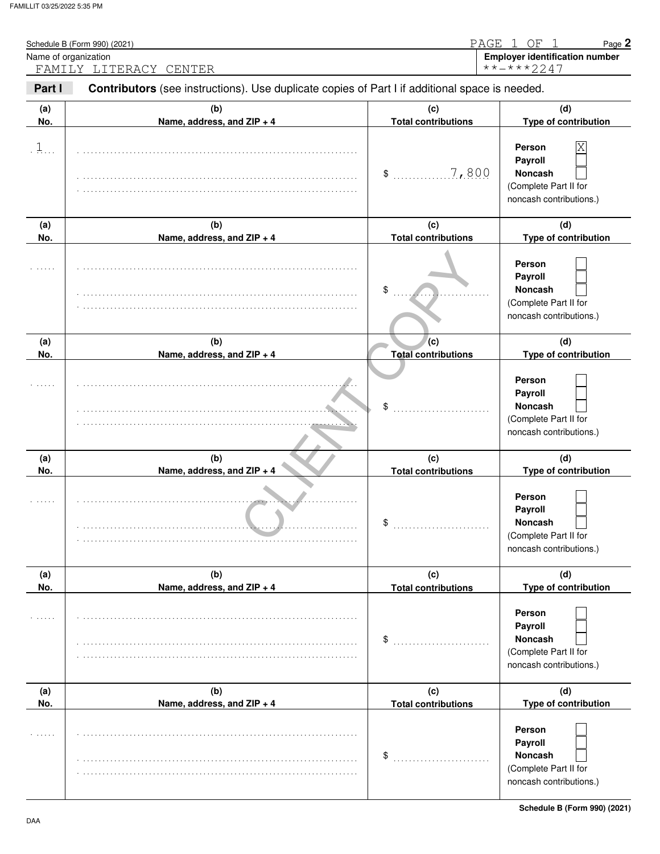| Name of organization | Schedule B (Form 990) (2021)<br>FAMILY LITERACY CENTER                                         | PAGE                              | OF<br>Page 2<br>$\overline{1}$<br>-1<br><b>Employer identification number</b><br>**-***2247 |
|----------------------|------------------------------------------------------------------------------------------------|-----------------------------------|---------------------------------------------------------------------------------------------|
| Part I               | Contributors (see instructions). Use duplicate copies of Part I if additional space is needed. |                                   |                                                                                             |
| (a)<br>No.           | (b)<br>Name, address, and ZIP + 4                                                              | (c)<br><b>Total contributions</b> | (d)<br>Type of contribution                                                                 |
| $\frac{1}{2}$        |                                                                                                | 7,800<br>\$                       | Person<br>Payroll<br><b>Noncash</b><br>(Complete Part II for<br>noncash contributions.)     |
| (a)                  | (b)                                                                                            | (c)                               | (d)                                                                                         |
| No.                  | Name, address, and ZIP + 4                                                                     | <b>Total contributions</b>        | Type of contribution                                                                        |
|                      |                                                                                                | \$                                | Person<br>Payroll<br><b>Noncash</b><br>(Complete Part II for<br>noncash contributions.)     |
| (a)                  | (b)                                                                                            | (c)                               | (d)                                                                                         |
| No.                  | Name, address, and ZIP + 4                                                                     | <b>Total contributions</b>        | Type of contribution                                                                        |
|                      |                                                                                                | \$                                | Person<br>Payroll<br><b>Noncash</b><br>(Complete Part II for<br>noncash contributions.)     |
| (a)                  | (b)                                                                                            | (c)                               | (d)                                                                                         |
| No.                  | Name, address, and ZIP + 4                                                                     | <b>Total contributions</b>        | Type of contribution                                                                        |
|                      |                                                                                                | \$                                | Person<br>Payroll<br>Noncash<br>(Complete Part II for<br>noncash contributions.)            |
| (a)                  | (b)                                                                                            | (c)                               | (d)                                                                                         |
| No.                  | Name, address, and ZIP + 4                                                                     | <b>Total contributions</b>        | Type of contribution                                                                        |
|                      |                                                                                                | \$                                | Person<br>Payroll<br>Noncash<br>(Complete Part II for<br>noncash contributions.)            |
| (a)                  | (b)                                                                                            | (c)                               | (d)                                                                                         |
| No.                  | Name, address, and ZIP + 4                                                                     | <b>Total contributions</b>        | Type of contribution                                                                        |
|                      |                                                                                                | \$                                | Person<br>Payroll<br>Noncash<br>(Complete Part II for<br>noncash contributions.)            |

**Schedule B (Form 990) (2021)**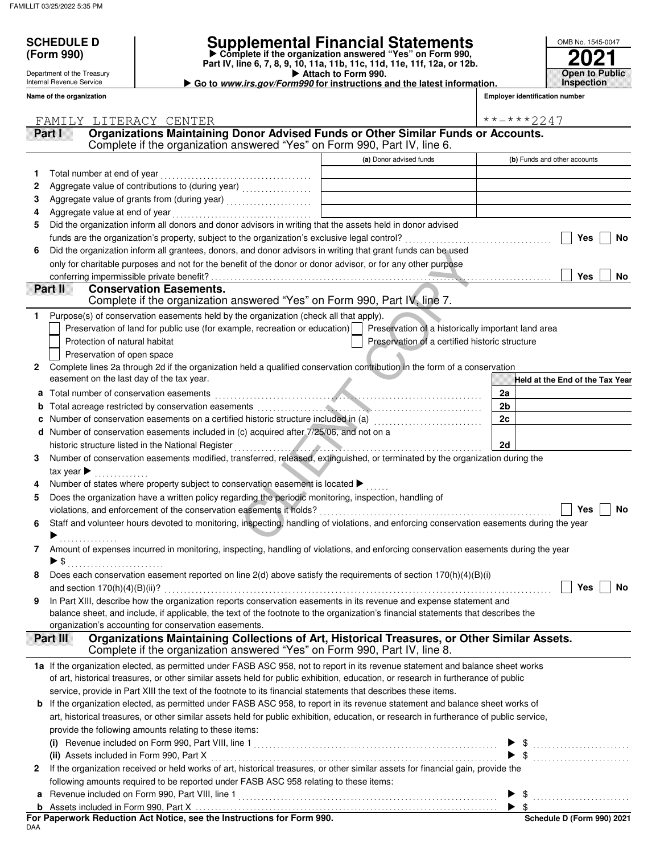**(Form 990)**

Department of the Treasury Internal Revenue Service **Name of the organization**

## **SCHEDULE D Supplemental Financial Statements**

- **Attach to Form 990. Part IV, line 6, 7, 8, 9, 10, 11a, 11b, 11c, 11d, 11e, 11f, 12a, or 12b.** - **Complete if the organization answered "Yes" on Form 990,**

|  |  |  |  |  |  | ► Go to www.irs.gov/Form990 for instructions and the latest information. |  |  |  |  |
|--|--|--|--|--|--|--------------------------------------------------------------------------|--|--|--|--|
|--|--|--|--|--|--|--------------------------------------------------------------------------|--|--|--|--|

**2021 Open to Public** OMB No. 1545-0047 **Inspection**

**Employer identification number**

| FAMILY                        | LITERACY CENTER                                                                                                                           |                                                    | $***$ $***$ 2247                |
|-------------------------------|-------------------------------------------------------------------------------------------------------------------------------------------|----------------------------------------------------|---------------------------------|
| Part I                        | Organizations Maintaining Donor Advised Funds or Other Similar Funds or Accounts.                                                         |                                                    |                                 |
|                               | Complete if the organization answered "Yes" on Form 990, Part IV, line 6.                                                                 |                                                    |                                 |
|                               |                                                                                                                                           | (a) Donor advised funds                            | (b) Funds and other accounts    |
| 1                             | Total number at end of year                                                                                                               |                                                    |                                 |
| 2                             |                                                                                                                                           |                                                    |                                 |
| 3                             |                                                                                                                                           |                                                    |                                 |
| 4                             | Aggregate value at end of year                                                                                                            |                                                    |                                 |
| 5                             | Did the organization inform all donors and donor advisors in writing that the assets held in donor advised                                |                                                    |                                 |
|                               | funds are the organization's property, subject to the organization's exclusive legal control?                                             |                                                    | Yes<br>No                       |
| 6                             | Did the organization inform all grantees, donors, and donor advisors in writing that grant funds can be used                              |                                                    |                                 |
|                               | only for charitable purposes and not for the benefit of the donor or donor advisor, or for any other purpose                              |                                                    |                                 |
|                               |                                                                                                                                           |                                                    | Yes<br>No                       |
| Part II                       | <b>Conservation Easements.</b>                                                                                                            |                                                    |                                 |
|                               | Complete if the organization answered "Yes" on Form 990, Part IV, line 7.                                                                 |                                                    |                                 |
| 1                             | Purpose(s) of conservation easements held by the organization (check all that apply).                                                     |                                                    |                                 |
|                               | Preservation of land for public use (for example, recreation or education)                                                                | Preservation of a historically important land area |                                 |
|                               | Protection of natural habitat                                                                                                             | Preservation of a certified historic structure     |                                 |
|                               | Preservation of open space                                                                                                                |                                                    |                                 |
| 2                             | Complete lines 2a through 2d if the organization held a qualified conservation contribution in the form of a conservation                 |                                                    |                                 |
|                               | easement on the last day of the tax year.                                                                                                 |                                                    | Held at the End of the Tax Year |
| а                             | Total number of conservation easements                                                                                                    |                                                    | 2a                              |
| b                             |                                                                                                                                           |                                                    | 2 <sub>b</sub>                  |
| c                             | Number of conservation easements on a certified historic structure included in (a) [[[[[[[[[[[[[[[[[[[[[[[[[]]]]]]]                       |                                                    | 2c                              |
| d                             | Number of conservation easements included in (c) acquired after 7/25/06, and not on a                                                     |                                                    |                                 |
|                               | historic structure listed in the National Register                                                                                        |                                                    | 2d                              |
| 3                             | Number of conservation easements modified, transferred, released, extinguished, or terminated by the organization during the              |                                                    |                                 |
|                               | tax year $\blacktriangleright$                                                                                                            |                                                    |                                 |
| 4                             | Number of states where property subject to conservation easement is located ▶                                                             |                                                    |                                 |
| 5                             | Does the organization have a written policy regarding the periodic monitoring, inspection, handling of                                    |                                                    |                                 |
|                               | violations, and enforcement of the conservation easements it holds?                                                                       |                                                    | <b>Yes</b><br>No                |
| 6                             | Staff and volunteer hours devoted to monitoring, inspecting, handling of violations, and enforcing conservation easements during the year |                                                    |                                 |
|                               |                                                                                                                                           |                                                    |                                 |
| 7<br>$\blacktriangleright$ \$ | Amount of expenses incurred in monitoring, inspecting, handling of violations, and enforcing conservation easements during the year       |                                                    |                                 |
| 8                             | Does each conservation easement reported on line $2(d)$ above satisfy the requirements of section $170(h)(4)(B)(i)$                       |                                                    |                                 |
|                               |                                                                                                                                           |                                                    | Yes<br>No                       |
| 9                             | In Part XIII, describe how the organization reports conservation easements in its revenue and expense statement and                       |                                                    |                                 |
|                               | balance sheet, and include, if applicable, the text of the footnote to the organization's financial statements that describes the         |                                                    |                                 |
|                               | organization's accounting for conservation easements.                                                                                     |                                                    |                                 |
| Part III                      | Organizations Maintaining Collections of Art, Historical Treasures, or Other Similar Assets.                                              |                                                    |                                 |
|                               | Complete if the organization answered "Yes" on Form 990, Part IV, line 8.                                                                 |                                                    |                                 |
|                               | 1a If the organization elected, as permitted under FASB ASC 958, not to report in its revenue statement and balance sheet works           |                                                    |                                 |
|                               | of art, historical treasures, or other similar assets held for public exhibition, education, or research in furtherance of public         |                                                    |                                 |
|                               | service, provide in Part XIII the text of the footnote to its financial statements that describes these items.                            |                                                    |                                 |
| b                             | If the organization elected, as permitted under FASB ASC 958, to report in its revenue statement and balance sheet works of               |                                                    |                                 |
|                               | art, historical treasures, or other similar assets held for public exhibition, education, or research in furtherance of public service,   |                                                    |                                 |
|                               | provide the following amounts relating to these items:                                                                                    |                                                    |                                 |
|                               |                                                                                                                                           |                                                    |                                 |
|                               |                                                                                                                                           |                                                    |                                 |
| 2                             | If the organization received or held works of art, historical treasures, or other similar assets for financial gain, provide the          |                                                    |                                 |
|                               | following amounts required to be reported under FASB ASC 958 relating to these items:                                                     |                                                    |                                 |
| а                             |                                                                                                                                           |                                                    | $\blacktriangleright$ \$        |
|                               |                                                                                                                                           |                                                    |                                 |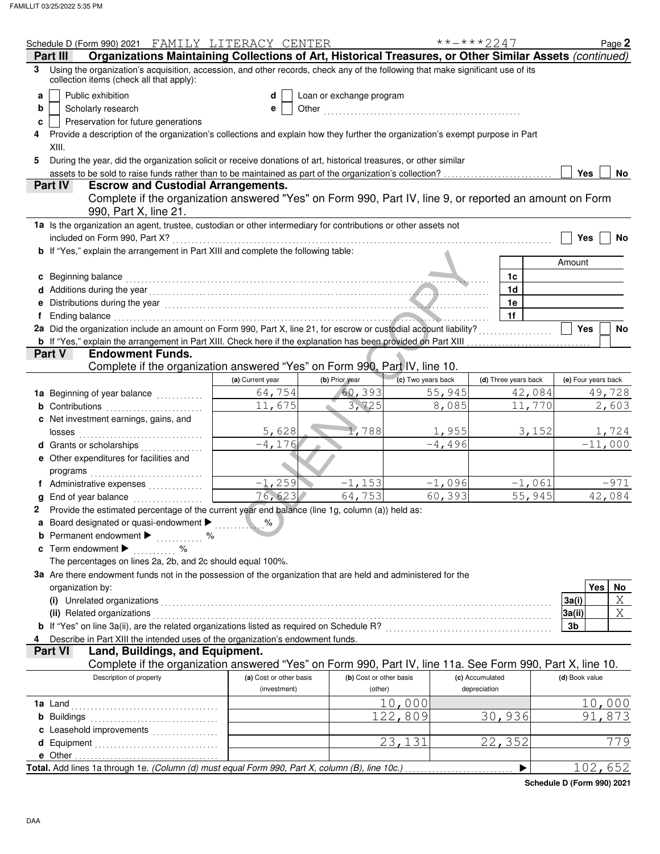|   | Schedule D (Form 990) 2021 FAMILY LITERACY CENTER                                                                                                                                                                              |                         |                          |                    | **-***2247           | Page 2                   |
|---|--------------------------------------------------------------------------------------------------------------------------------------------------------------------------------------------------------------------------------|-------------------------|--------------------------|--------------------|----------------------|--------------------------|
|   | Organizations Maintaining Collections of Art, Historical Treasures, or Other Similar Assets (continued)<br>Partilli                                                                                                            |                         |                          |                    |                      |                          |
| 3 | Using the organization's acquisition, accession, and other records, check any of the following that make significant use of its<br>collection items (check all that apply):                                                    |                         |                          |                    |                      |                          |
| a | Public exhibition                                                                                                                                                                                                              | d                       | Loan or exchange program |                    |                      |                          |
| b | Scholarly research                                                                                                                                                                                                             | e                       |                          |                    |                      |                          |
| c | Preservation for future generations                                                                                                                                                                                            |                         |                          |                    |                      |                          |
|   | Provide a description of the organization's collections and explain how they further the organization's exempt purpose in Part                                                                                                 |                         |                          |                    |                      |                          |
|   | XIII.                                                                                                                                                                                                                          |                         |                          |                    |                      |                          |
| 5 | During the year, did the organization solicit or receive donations of art, historical treasures, or other similar                                                                                                              |                         |                          |                    |                      |                          |
|   |                                                                                                                                                                                                                                |                         |                          |                    |                      | <b>Yes</b><br>No         |
|   | <b>Escrow and Custodial Arrangements.</b><br>Part IV                                                                                                                                                                           |                         |                          |                    |                      |                          |
|   | Complete if the organization answered "Yes" on Form 990, Part IV, line 9, or reported an amount on Form<br>990, Part X, line 21.                                                                                               |                         |                          |                    |                      |                          |
|   | 1a Is the organization an agent, trustee, custodian or other intermediary for contributions or other assets not<br>included on Form 990, Part X?                                                                               |                         |                          |                    |                      | Yes<br>No                |
|   | b If "Yes," explain the arrangement in Part XIII and complete the following table:                                                                                                                                             |                         |                          |                    |                      |                          |
|   |                                                                                                                                                                                                                                |                         |                          |                    |                      | Amount                   |
|   | c Beginning balance                                                                                                                                                                                                            |                         |                          |                    | 1c                   |                          |
|   | Additions during the year electron contact the year electron contact the year of the set of the set of the set of the set of the set of the set of the set of the set of the set of the set of the set of the set of the set o |                         |                          |                    | 1 <sub>d</sub>       |                          |
|   | Distributions during the year contact the set of the set of the set of the set of the set of the set of the set of the set of the set of the set of the set of the set of the set of the set of the set of the set of the set  |                         |                          |                    | 1e                   |                          |
|   | Ending balance                                                                                                                                                                                                                 |                         |                          |                    | 1 <sub>f</sub>       |                          |
|   | 2a Did the organization include an amount on Form 990, Part X, line 21, for escrow or custodial account liability?                                                                                                             |                         |                          |                    |                      | <b>Yes</b><br>No         |
|   | b If "Yes," explain the arrangement in Part XIII. Check here if the explanation has been provided on Part XIII                                                                                                                 |                         |                          |                    |                      |                          |
|   | Part V<br><b>Endowment Funds.</b>                                                                                                                                                                                              |                         |                          |                    |                      |                          |
|   | Complete if the organization answered "Yes" on Form 990, Part IV, line 10.                                                                                                                                                     |                         |                          |                    |                      |                          |
|   |                                                                                                                                                                                                                                | (a) Current year        | (b) Prior year           | (c) Two years back | (d) Three years back | (e) Four years back      |
|   | 1a Beginning of year balance                                                                                                                                                                                                   | 64,754                  | 60,393                   | 55,945             | 42,084               | 49,728                   |
|   | <b>b</b> Contributions <b>contributions</b>                                                                                                                                                                                    | 11,675                  | 3,725                    | 8,085              | 11,770               | 2,603                    |
|   | c Net investment earnings, gains, and                                                                                                                                                                                          |                         |                          |                    |                      |                          |
|   | losses                                                                                                                                                                                                                         | 5,628                   | 1,788                    | 1,955              | 3,152                | 1,724                    |
|   | d Grants or scholarships                                                                                                                                                                                                       | $-4,176$                |                          | $-4,496$           |                      | $-11,000$                |
|   | e Other expenditures for facilities and                                                                                                                                                                                        |                         |                          |                    |                      |                          |
|   | programs                                                                                                                                                                                                                       |                         |                          |                    |                      |                          |
|   | f Administrative expenses                                                                                                                                                                                                      | $-1, 259$               | $-1,153$                 | $-1,096$           | $-1,061$             | $-971$                   |
|   | End of year balance                                                                                                                                                                                                            | 76, 623                 | 64,753                   | 60,393             | 55, 945              | 42,084                   |
|   | Provide the estimated percentage of the current year end balance (line 1g, column (a)) held as:                                                                                                                                |                         |                          |                    |                      |                          |
|   | Board designated or quasi-endowment                                                                                                                                                                                            | %                       |                          |                    |                      |                          |
|   | <b>b</b> Permanent endowment<br>%                                                                                                                                                                                              |                         |                          |                    |                      |                          |
|   | c Term endowment $\blacktriangleright$<br>℅                                                                                                                                                                                    |                         |                          |                    |                      |                          |
|   | The percentages on lines 2a, 2b, and 2c should equal 100%.                                                                                                                                                                     |                         |                          |                    |                      |                          |
|   | 3a Are there endowment funds not in the possession of the organization that are held and administered for the                                                                                                                  |                         |                          |                    |                      |                          |
|   | organization by:                                                                                                                                                                                                               |                         |                          |                    |                      | Yes<br>No                |
|   | (i) Unrelated organizations                                                                                                                                                                                                    |                         |                          |                    |                      | $\overline{X}$<br>3a(i)  |
|   | (ii) Related organizations                                                                                                                                                                                                     |                         |                          |                    |                      | $\overline{X}$<br>3a(ii) |
|   |                                                                                                                                                                                                                                |                         |                          |                    |                      | 3b                       |
|   | Describe in Part XIII the intended uses of the organization's endowment funds.                                                                                                                                                 |                         |                          |                    |                      |                          |
|   | Part VI<br>Land, Buildings, and Equipment.                                                                                                                                                                                     |                         |                          |                    |                      |                          |
|   | Complete if the organization answered "Yes" on Form 990, Part IV, line 11a. See Form 990, Part X, line 10.                                                                                                                     |                         |                          |                    |                      |                          |
|   | Description of property                                                                                                                                                                                                        | (a) Cost or other basis | (b) Cost or other basis  |                    | (c) Accumulated      | (d) Book value           |
|   |                                                                                                                                                                                                                                | (investment)            | (other)                  |                    | depreciation         |                          |
|   | 1a Land                                                                                                                                                                                                                        |                         |                          | 10,000             |                      | 10,000                   |
|   | <b>b</b> Buildings                                                                                                                                                                                                             |                         |                          | 122,809            | 30,936               | 91<br>873                |
|   | c Leasehold improvements                                                                                                                                                                                                       |                         |                          |                    |                      |                          |
|   |                                                                                                                                                                                                                                |                         |                          | 23,131             | 22,352               | 779                      |
|   | e Other                                                                                                                                                                                                                        |                         |                          |                    |                      |                          |
|   | Total. Add lines 1a through 1e. (Column (d) must equal Form 990, Part X, column (B), line 10c.)                                                                                                                                |                         |                          |                    | ▶                    | 102,652                  |

**Schedule D (Form 990) 2021**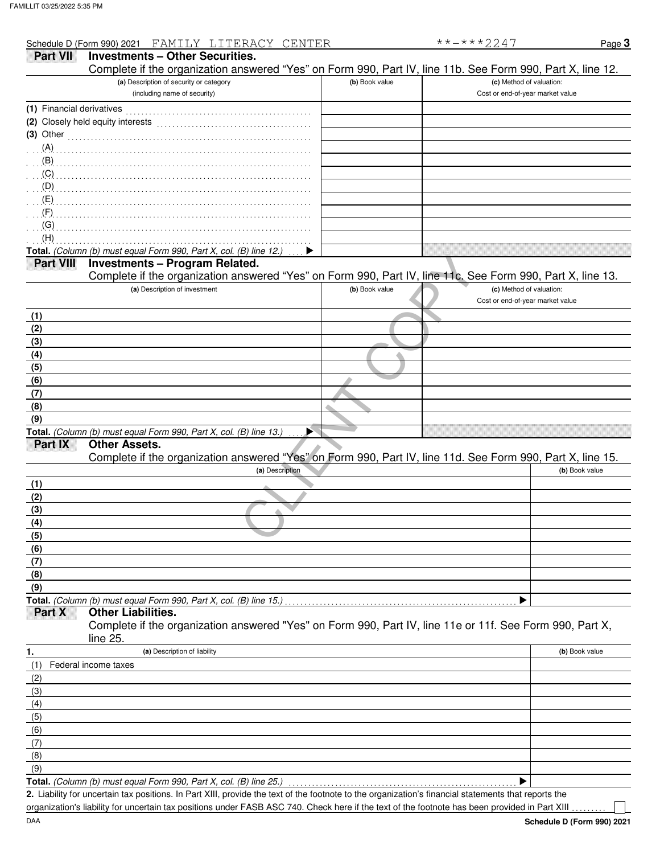|                           | Schedule D (Form 990) 2021 FAMILY LITERACY CENTER                                                          |   |                | **-***2247                       | Page 3                   |
|---------------------------|------------------------------------------------------------------------------------------------------------|---|----------------|----------------------------------|--------------------------|
| <b>Part VII</b>           | <b>Investments - Other Securities.</b>                                                                     |   |                |                                  |                          |
|                           | Complete if the organization answered "Yes" on Form 990, Part IV, line 11b. See Form 990, Part X, line 12. |   |                |                                  |                          |
|                           | (a) Description of security or category                                                                    |   | (b) Book value |                                  | (c) Method of valuation: |
|                           | (including name of security)                                                                               |   |                | Cost or end-of-year market value |                          |
| (1) Financial derivatives |                                                                                                            |   |                |                                  |                          |
|                           |                                                                                                            |   |                |                                  |                          |
|                           | $(3)$ Other                                                                                                |   |                |                                  |                          |
| (A)                       |                                                                                                            |   |                |                                  |                          |
|                           |                                                                                                            |   |                |                                  |                          |
|                           |                                                                                                            |   |                |                                  |                          |
|                           |                                                                                                            |   |                |                                  |                          |
|                           |                                                                                                            |   |                |                                  |                          |
| (F)                       |                                                                                                            |   |                |                                  |                          |
| (G)                       |                                                                                                            |   |                |                                  |                          |
| (H)                       |                                                                                                            |   |                |                                  |                          |
|                           | Total. (Column (b) must equal Form 990, Part X, col. (B) line 12.)                                         |   |                |                                  |                          |
| Part VIII                 | <b>Investments - Program Related.</b>                                                                      |   |                |                                  |                          |
|                           | Complete if the organization answered "Yes" on Form 990, Part IV, line 11c. See Form 990, Part X, line 13. |   |                |                                  |                          |
|                           | (a) Description of investment                                                                              |   | (b) Book value |                                  | (c) Method of valuation: |
|                           |                                                                                                            |   |                | Cost or end-of-year market value |                          |
| (1)                       |                                                                                                            |   |                |                                  |                          |
| (2)                       |                                                                                                            |   |                |                                  |                          |
| (3)                       |                                                                                                            |   |                |                                  |                          |
| (4)                       |                                                                                                            |   |                |                                  |                          |
| (5)                       |                                                                                                            |   |                |                                  |                          |
| (6)                       |                                                                                                            |   |                |                                  |                          |
| (7)                       |                                                                                                            |   |                |                                  |                          |
| (8)                       |                                                                                                            |   |                |                                  |                          |
| (9)                       |                                                                                                            |   |                |                                  |                          |
|                           | Total. (Column (b) must equal Form 990, Part X, col. (B) line 13.)                                         | ▶ |                |                                  |                          |
| Part IX                   | <b>Other Assets.</b>                                                                                       |   |                |                                  |                          |
|                           | Complete if the organization answered "Yes" on Form 990, Part IV, line 11d. See Form 990, Part X, line 15. |   |                |                                  |                          |
|                           | (a) Description                                                                                            |   |                |                                  | (b) Book value           |
| (1)                       |                                                                                                            |   |                |                                  |                          |
| (2)                       |                                                                                                            |   |                |                                  |                          |
| (3)                       |                                                                                                            |   |                |                                  |                          |
| (4)                       |                                                                                                            |   |                |                                  |                          |
| (5)                       |                                                                                                            |   |                |                                  |                          |
| (6)                       |                                                                                                            |   |                |                                  |                          |
| (7)                       |                                                                                                            |   |                |                                  |                          |
| (8)                       |                                                                                                            |   |                |                                  |                          |
| (9)                       |                                                                                                            |   |                |                                  |                          |
|                           | Total. (Column (b) must equal Form 990, Part X, col. (B) line 15.)                                         |   |                |                                  |                          |
| Part X                    | <b>Other Liabilities.</b>                                                                                  |   |                |                                  |                          |
|                           | Complete if the organization answered "Yes" on Form 990, Part IV, line 11e or 11f. See Form 990, Part X,   |   |                |                                  |                          |
|                           | $line 25$ .                                                                                                |   |                |                                  |                          |
| 1.                        | (a) Description of liability                                                                               |   |                |                                  | (b) Book value           |
| (1)                       | Federal income taxes                                                                                       |   |                |                                  |                          |
| (2)                       |                                                                                                            |   |                |                                  |                          |
| (3)                       |                                                                                                            |   |                |                                  |                          |
| (4)                       |                                                                                                            |   |                |                                  |                          |
| (5)                       |                                                                                                            |   |                |                                  |                          |
| (6)                       |                                                                                                            |   |                |                                  |                          |
| (7)                       |                                                                                                            |   |                |                                  |                          |
| (8)                       |                                                                                                            |   |                |                                  |                          |
| (9)                       |                                                                                                            |   |                |                                  |                          |
|                           | Total. (Column (b) must equal Form 990, Part X, col. (B) line 25.)                                         |   |                |                                  |                          |

Liability for uncertain tax positions. In Part XIII, provide the text of the footnote to the organization's financial statements that reports the **2. Total.** *(Column (b) must equal Form 990, Part X, col. (B) line 25.)* 

organization's liability for uncertain tax positions under FASB ASC 740. Check here if the text of the footnote has been provided in Part XIII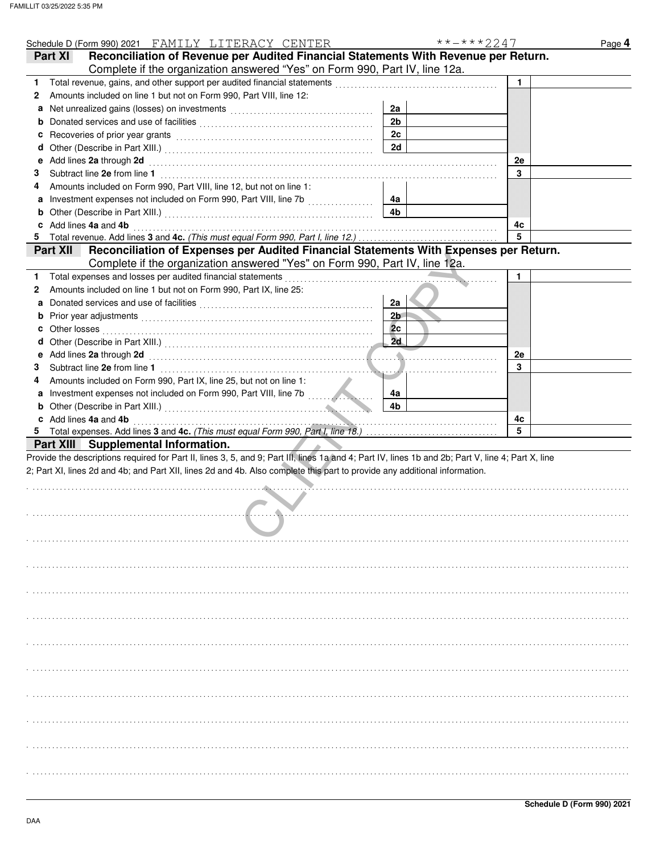| Schedule D (Form 990) 2021 FAMILY LITERACY CENTER                                                                                                                                                               |                      | **-***2247 | Page 4 |
|-----------------------------------------------------------------------------------------------------------------------------------------------------------------------------------------------------------------|----------------------|------------|--------|
| Reconciliation of Revenue per Audited Financial Statements With Revenue per Return.<br>Part XI                                                                                                                  |                      |            |        |
| Complete if the organization answered "Yes" on Form 990, Part IV, line 12a.                                                                                                                                     |                      |            |        |
| Total revenue, gains, and other support per audited financial statements<br>1.                                                                                                                                  |                      | 1          |        |
| Amounts included on line 1 but not on Form 990, Part VIII, line 12:<br>2                                                                                                                                        |                      |            |        |
| a                                                                                                                                                                                                               | 2a                   |            |        |
| b                                                                                                                                                                                                               | 2 <sub>b</sub>       |            |        |
|                                                                                                                                                                                                                 | 2c                   |            |        |
| d                                                                                                                                                                                                               | <b>2d</b>            |            |        |
| Add lines 2a through 2d<br>е                                                                                                                                                                                    |                      | 2e         |        |
| 3                                                                                                                                                                                                               |                      | 3          |        |
| Amounts included on Form 990, Part VIII, line 12, but not on line 1:<br>4                                                                                                                                       |                      |            |        |
|                                                                                                                                                                                                                 | 4a                   |            |        |
| <b>b</b> Other (Describe in Part XIII.) <b>CONSIDENT DESCRIPTION DESCRIPTION DESCRIPTION DESCRIPTION DESCRIPTION DESCRIPTION DESCRIPTION DESCRIPTION DESCRIPTION DESCRIPTION DESCRIPTION DESCRIPTION DESCRI</b> | 4b                   |            |        |
| c Add lines 4a and 4b                                                                                                                                                                                           |                      | 4c         |        |
| 5                                                                                                                                                                                                               |                      | 5          |        |
| Reconciliation of Expenses per Audited Financial Statements With Expenses per Return.<br>Part XII                                                                                                               |                      |            |        |
| Complete if the organization answered "Yes" on Form 990, Part IV, line 12a.                                                                                                                                     |                      |            |        |
| Total expenses and losses per audited financial statements<br>1.                                                                                                                                                |                      | 1          |        |
| Amounts included on line 1 but not on Form 990, Part IX, line 25:<br>2                                                                                                                                          |                      |            |        |
| a                                                                                                                                                                                                               | 2a                   |            |        |
| Prior year adjustments [11, 12] March 2014 (12) March 2014 (12) March 2014 (12) March 2014 (12) March 2014 (12)<br>b                                                                                            | 2 <sub>b</sub><br>2c |            |        |
| Other losses<br>c                                                                                                                                                                                               | 2d                   |            |        |
| d                                                                                                                                                                                                               |                      |            |        |
| е                                                                                                                                                                                                               |                      | 2e<br>3    |        |
| Subtract line 2e from line 1<br>З                                                                                                                                                                               |                      |            |        |
| Amounts included on Form 990, Part IX, line 25, but not on line 1:<br>4                                                                                                                                         | 4a                   |            |        |
|                                                                                                                                                                                                                 | 4b                   |            |        |
| c Add lines 4a and 4b                                                                                                                                                                                           |                      | 4c         |        |
|                                                                                                                                                                                                                 |                      | 5          |        |
| Part XIII Supplemental Information.                                                                                                                                                                             |                      |            |        |
| Provide the descriptions required for Part II, lines 3, 5, and 9; Part III, lines 1a and 4; Part IV, lines 1b and 2b; Part V, line 4; Part X, line                                                              |                      |            |        |
| 2; Part XI, lines 2d and 4b; and Part XII, lines 2d and 4b. Also complete this part to provide any additional information.                                                                                      |                      |            |        |
|                                                                                                                                                                                                                 |                      |            |        |
|                                                                                                                                                                                                                 |                      |            |        |
|                                                                                                                                                                                                                 |                      |            |        |
|                                                                                                                                                                                                                 |                      |            |        |
|                                                                                                                                                                                                                 |                      |            |        |
|                                                                                                                                                                                                                 |                      |            |        |
|                                                                                                                                                                                                                 |                      |            |        |
|                                                                                                                                                                                                                 |                      |            |        |
|                                                                                                                                                                                                                 |                      |            |        |
|                                                                                                                                                                                                                 |                      |            |        |
|                                                                                                                                                                                                                 |                      |            |        |
|                                                                                                                                                                                                                 |                      |            |        |
|                                                                                                                                                                                                                 |                      |            |        |
|                                                                                                                                                                                                                 |                      |            |        |
|                                                                                                                                                                                                                 |                      |            |        |
|                                                                                                                                                                                                                 |                      |            |        |
|                                                                                                                                                                                                                 |                      |            |        |
|                                                                                                                                                                                                                 |                      |            |        |
|                                                                                                                                                                                                                 |                      |            |        |
|                                                                                                                                                                                                                 |                      |            |        |
|                                                                                                                                                                                                                 |                      |            |        |
|                                                                                                                                                                                                                 |                      |            |        |
|                                                                                                                                                                                                                 |                      |            |        |
|                                                                                                                                                                                                                 |                      |            |        |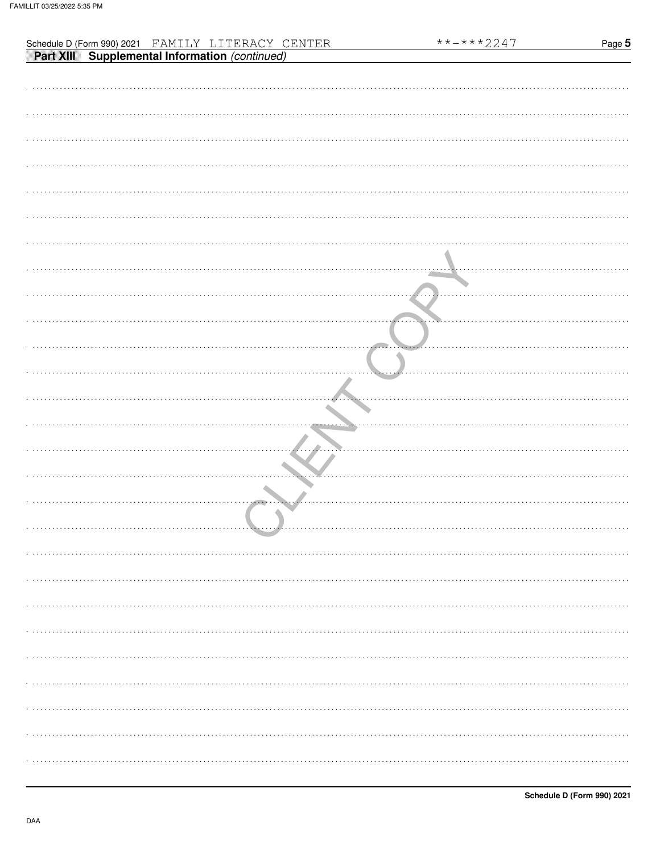|                                                                                                            |  |          |            |                                                                                                                                | $***$ $***$ 2247 | Page 5 |
|------------------------------------------------------------------------------------------------------------|--|----------|------------|--------------------------------------------------------------------------------------------------------------------------------|------------------|--------|
| Schedule D (Form 990) 2021 FAMILY LITERACY CENTER<br><b>Part XIII</b> Supplemental Information (continued) |  |          |            |                                                                                                                                |                  |        |
|                                                                                                            |  |          |            |                                                                                                                                |                  |        |
|                                                                                                            |  |          |            |                                                                                                                                |                  |        |
|                                                                                                            |  |          |            |                                                                                                                                |                  |        |
|                                                                                                            |  |          |            |                                                                                                                                |                  |        |
|                                                                                                            |  |          |            |                                                                                                                                |                  |        |
|                                                                                                            |  |          |            |                                                                                                                                |                  |        |
|                                                                                                            |  |          |            |                                                                                                                                |                  |        |
|                                                                                                            |  |          |            |                                                                                                                                |                  |        |
|                                                                                                            |  |          |            |                                                                                                                                |                  |        |
|                                                                                                            |  |          |            |                                                                                                                                |                  |        |
|                                                                                                            |  |          |            |                                                                                                                                |                  |        |
|                                                                                                            |  |          |            |                                                                                                                                |                  |        |
|                                                                                                            |  |          |            |                                                                                                                                |                  |        |
|                                                                                                            |  |          |            |                                                                                                                                |                  |        |
|                                                                                                            |  |          |            |                                                                                                                                |                  |        |
|                                                                                                            |  |          |            |                                                                                                                                |                  |        |
|                                                                                                            |  |          |            |                                                                                                                                |                  |        |
|                                                                                                            |  |          |            |                                                                                                                                |                  |        |
|                                                                                                            |  |          |            |                                                                                                                                |                  |        |
|                                                                                                            |  |          |            | $\frac{1}{2} \left( \frac{1}{2} \right) \left( \frac{1}{2} \right) \left( \frac{1}{2} \right) \left( \frac{1}{2} \right)$<br>. |                  |        |
|                                                                                                            |  |          |            |                                                                                                                                |                  |        |
|                                                                                                            |  |          |            |                                                                                                                                |                  |        |
|                                                                                                            |  |          |            |                                                                                                                                |                  |        |
|                                                                                                            |  |          |            |                                                                                                                                |                  |        |
|                                                                                                            |  |          |            |                                                                                                                                |                  |        |
|                                                                                                            |  |          |            |                                                                                                                                |                  |        |
|                                                                                                            |  |          | . <i>.</i> |                                                                                                                                |                  |        |
|                                                                                                            |  |          |            |                                                                                                                                |                  |        |
|                                                                                                            |  |          |            |                                                                                                                                |                  |        |
|                                                                                                            |  | $\cdots$ |            |                                                                                                                                |                  |        |
|                                                                                                            |  |          |            |                                                                                                                                |                  |        |
|                                                                                                            |  |          |            |                                                                                                                                |                  |        |
|                                                                                                            |  |          |            |                                                                                                                                |                  |        |
|                                                                                                            |  |          |            |                                                                                                                                |                  |        |
|                                                                                                            |  |          |            |                                                                                                                                |                  |        |
|                                                                                                            |  |          |            |                                                                                                                                |                  |        |
|                                                                                                            |  |          |            |                                                                                                                                |                  |        |
|                                                                                                            |  |          |            |                                                                                                                                |                  |        |
|                                                                                                            |  |          |            |                                                                                                                                |                  |        |
|                                                                                                            |  |          |            |                                                                                                                                |                  |        |
|                                                                                                            |  |          |            |                                                                                                                                |                  |        |
|                                                                                                            |  |          |            |                                                                                                                                |                  |        |
|                                                                                                            |  |          |            |                                                                                                                                |                  |        |
|                                                                                                            |  |          |            |                                                                                                                                |                  |        |
|                                                                                                            |  |          |            |                                                                                                                                |                  |        |
|                                                                                                            |  |          |            |                                                                                                                                |                  |        |
|                                                                                                            |  |          |            |                                                                                                                                |                  |        |
|                                                                                                            |  |          |            |                                                                                                                                |                  |        |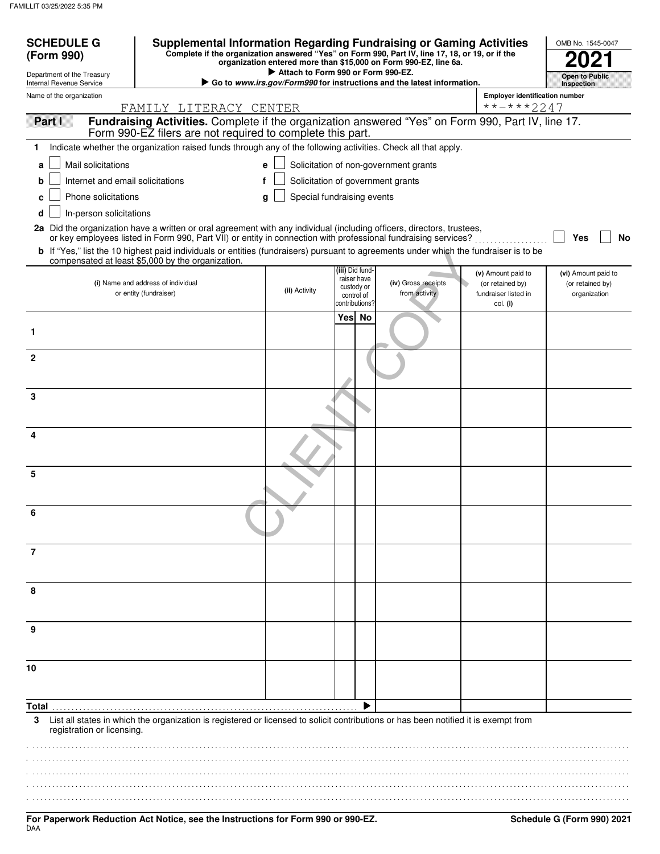| <b>SCHEDULE G</b>                                      | Complete if the organization answered "Yes" on Form 990, Part IV, line 17, 18, or 19, or if the                                                                                                                                          |   |                                    |                 |                          | <b>Supplemental Information Regarding Fundraising or Gaming Activities</b>    |                                        | OMB No. 1545-0047                       |
|--------------------------------------------------------|------------------------------------------------------------------------------------------------------------------------------------------------------------------------------------------------------------------------------------------|---|------------------------------------|-----------------|--------------------------|-------------------------------------------------------------------------------|----------------------------------------|-----------------------------------------|
| (Form 990)                                             |                                                                                                                                                                                                                                          |   |                                    |                 |                          | organization entered more than \$15,000 on Form 990-EZ, line 6a.              |                                        |                                         |
| Department of the Treasury<br>Internal Revenue Service |                                                                                                                                                                                                                                          |   | Attach to Form 990 or Form 990-EZ. |                 |                          | Go to <i>www.irs.gov/Form990</i> for instructions and the latest information. |                                        | Open to Public<br>Inspection            |
| Name of the organization                               |                                                                                                                                                                                                                                          |   |                                    |                 |                          |                                                                               | <b>Employer identification number</b>  |                                         |
| Part I                                                 | FAMILY LITERACY CENTER<br>Fundraising Activities. Complete if the organization answered "Yes" on Form 990, Part IV, line 17.                                                                                                             |   |                                    |                 |                          |                                                                               | **-***2247                             |                                         |
|                                                        | Form 990-EZ filers are not required to complete this part.                                                                                                                                                                               |   |                                    |                 |                          |                                                                               |                                        |                                         |
| 1                                                      | Indicate whether the organization raised funds through any of the following activities. Check all that apply.                                                                                                                            |   |                                    |                 |                          |                                                                               |                                        |                                         |
| Mail solicitations<br>a                                |                                                                                                                                                                                                                                          | е |                                    |                 |                          | Solicitation of non-government grants                                         |                                        |                                         |
| Internet and email solicitations<br>b                  |                                                                                                                                                                                                                                          |   |                                    |                 |                          | Solicitation of government grants                                             |                                        |                                         |
| Phone solicitations<br>c                               |                                                                                                                                                                                                                                          | g | Special fundraising events         |                 |                          |                                                                               |                                        |                                         |
| In-person solicitations<br>d                           |                                                                                                                                                                                                                                          |   |                                    |                 |                          |                                                                               |                                        |                                         |
|                                                        | 2a Did the organization have a written or oral agreement with any individual (including officers, directors, trustees,<br>or key employees listed in Form 990, Part VII) or entity in connection with professional fundraising services? |   |                                    |                 |                          |                                                                               |                                        |                                         |
|                                                        | b If "Yes," list the 10 highest paid individuals or entities (fundraisers) pursuant to agreements under which the fundraiser is to be                                                                                                    |   |                                    |                 |                          |                                                                               |                                        | Yes<br>No                               |
|                                                        | compensated at least \$5,000 by the organization.                                                                                                                                                                                        |   |                                    |                 |                          |                                                                               |                                        |                                         |
|                                                        | (i) Name and address of individual                                                                                                                                                                                                       |   |                                    | (iii) Did fund- | raiser have              | (iv) Gross receipts                                                           | (v) Amount paid to<br>(or retained by) | (vi) Amount paid to<br>(or retained by) |
|                                                        | or entity (fundraiser)                                                                                                                                                                                                                   |   | (ii) Activity                      |                 | custody or<br>control of | from activity                                                                 | fundraiser listed in                   | organization                            |
|                                                        |                                                                                                                                                                                                                                          |   |                                    | contributions?  |                          |                                                                               | col. (i)                               |                                         |
| 1                                                      |                                                                                                                                                                                                                                          |   |                                    | Yes No          |                          |                                                                               |                                        |                                         |
|                                                        |                                                                                                                                                                                                                                          |   |                                    |                 |                          |                                                                               |                                        |                                         |
| $\mathbf{2}$                                           |                                                                                                                                                                                                                                          |   |                                    |                 |                          |                                                                               |                                        |                                         |
|                                                        |                                                                                                                                                                                                                                          |   |                                    |                 |                          |                                                                               |                                        |                                         |
| 3                                                      |                                                                                                                                                                                                                                          |   |                                    |                 |                          |                                                                               |                                        |                                         |
|                                                        |                                                                                                                                                                                                                                          |   |                                    |                 |                          |                                                                               |                                        |                                         |
|                                                        |                                                                                                                                                                                                                                          |   |                                    |                 |                          |                                                                               |                                        |                                         |
| 4                                                      |                                                                                                                                                                                                                                          |   |                                    |                 |                          |                                                                               |                                        |                                         |
|                                                        |                                                                                                                                                                                                                                          |   |                                    |                 |                          |                                                                               |                                        |                                         |
| 5                                                      |                                                                                                                                                                                                                                          |   |                                    |                 |                          |                                                                               |                                        |                                         |
|                                                        |                                                                                                                                                                                                                                          |   |                                    |                 |                          |                                                                               |                                        |                                         |
|                                                        |                                                                                                                                                                                                                                          |   |                                    |                 |                          |                                                                               |                                        |                                         |
| 6                                                      |                                                                                                                                                                                                                                          |   |                                    |                 |                          |                                                                               |                                        |                                         |
|                                                        |                                                                                                                                                                                                                                          |   |                                    |                 |                          |                                                                               |                                        |                                         |
| 7                                                      |                                                                                                                                                                                                                                          |   |                                    |                 |                          |                                                                               |                                        |                                         |
|                                                        |                                                                                                                                                                                                                                          |   |                                    |                 |                          |                                                                               |                                        |                                         |
|                                                        |                                                                                                                                                                                                                                          |   |                                    |                 |                          |                                                                               |                                        |                                         |
| 8                                                      |                                                                                                                                                                                                                                          |   |                                    |                 |                          |                                                                               |                                        |                                         |
|                                                        |                                                                                                                                                                                                                                          |   |                                    |                 |                          |                                                                               |                                        |                                         |
| 9                                                      |                                                                                                                                                                                                                                          |   |                                    |                 |                          |                                                                               |                                        |                                         |
|                                                        |                                                                                                                                                                                                                                          |   |                                    |                 |                          |                                                                               |                                        |                                         |
|                                                        |                                                                                                                                                                                                                                          |   |                                    |                 |                          |                                                                               |                                        |                                         |
| 10                                                     |                                                                                                                                                                                                                                          |   |                                    |                 |                          |                                                                               |                                        |                                         |
|                                                        |                                                                                                                                                                                                                                          |   |                                    |                 |                          |                                                                               |                                        |                                         |
| Total.                                                 |                                                                                                                                                                                                                                          |   |                                    |                 |                          |                                                                               |                                        |                                         |
| 3                                                      | List all states in which the organization is registered or licensed to solicit contributions or has been notified it is exempt from                                                                                                      |   |                                    |                 |                          |                                                                               |                                        |                                         |
| registration or licensing.                             |                                                                                                                                                                                                                                          |   |                                    |                 |                          |                                                                               |                                        |                                         |
|                                                        |                                                                                                                                                                                                                                          |   |                                    |                 |                          |                                                                               |                                        |                                         |
|                                                        |                                                                                                                                                                                                                                          |   |                                    |                 |                          |                                                                               |                                        |                                         |
|                                                        |                                                                                                                                                                                                                                          |   |                                    |                 |                          |                                                                               |                                        |                                         |
|                                                        |                                                                                                                                                                                                                                          |   |                                    |                 |                          |                                                                               |                                        |                                         |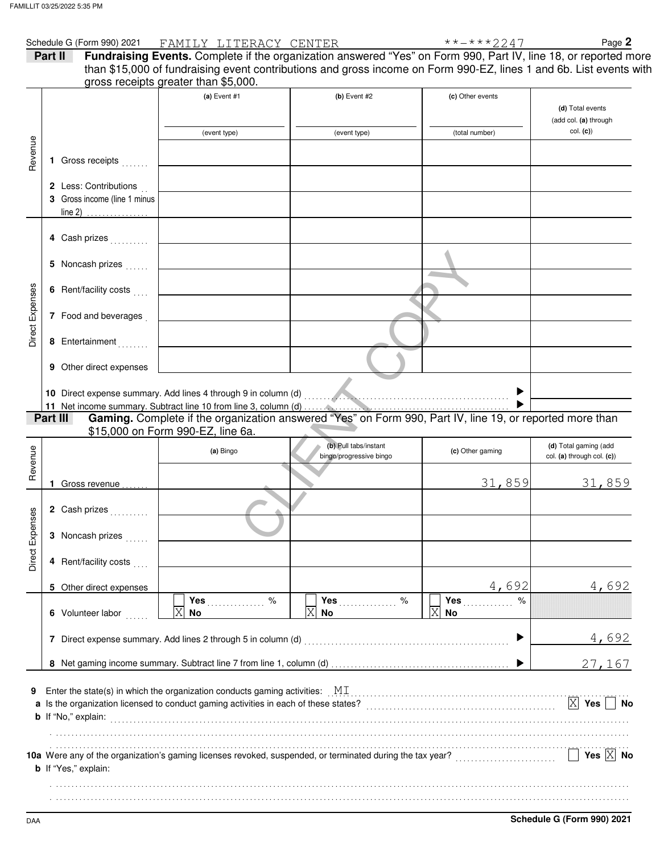|                     | Schedule G (Form 990) 2021   | FAMILY LITERACY CENTER                                                                                                                                                                     |                                                                                                                                                                                                                        | **-***2247       | Page 2                                              |
|---------------------|------------------------------|--------------------------------------------------------------------------------------------------------------------------------------------------------------------------------------------|------------------------------------------------------------------------------------------------------------------------------------------------------------------------------------------------------------------------|------------------|-----------------------------------------------------|
| Part II             |                              |                                                                                                                                                                                            | Fundraising Events. Complete if the organization answered "Yes" on Form 990, Part IV, line 18, or reported more                                                                                                        |                  |                                                     |
|                     |                              | gross receipts greater than \$5,000.                                                                                                                                                       | than \$15,000 of fundraising event contributions and gross income on Form 990-EZ, lines 1 and 6b. List events with                                                                                                     |                  |                                                     |
|                     |                              | $(a)$ Event #1                                                                                                                                                                             | $(b)$ Event #2                                                                                                                                                                                                         | (c) Other events |                                                     |
|                     |                              |                                                                                                                                                                                            |                                                                                                                                                                                                                        |                  | (d) Total events                                    |
|                     |                              |                                                                                                                                                                                            |                                                                                                                                                                                                                        |                  | (add col. (a) through                               |
|                     |                              | (event type)                                                                                                                                                                               | (event type)                                                                                                                                                                                                           | (total number)   | col. (c)                                            |
|                     |                              |                                                                                                                                                                                            |                                                                                                                                                                                                                        |                  |                                                     |
|                     | 1 Gross receipts             |                                                                                                                                                                                            |                                                                                                                                                                                                                        |                  |                                                     |
|                     | 2 Less: Contributions        |                                                                                                                                                                                            |                                                                                                                                                                                                                        |                  |                                                     |
|                     | 3 Gross income (line 1 minus |                                                                                                                                                                                            |                                                                                                                                                                                                                        |                  |                                                     |
|                     | line 2)<br>.                 |                                                                                                                                                                                            |                                                                                                                                                                                                                        |                  |                                                     |
|                     |                              |                                                                                                                                                                                            |                                                                                                                                                                                                                        |                  |                                                     |
|                     | 4 Cash prizes                |                                                                                                                                                                                            |                                                                                                                                                                                                                        |                  |                                                     |
|                     | 5 Noncash prizes             |                                                                                                                                                                                            |                                                                                                                                                                                                                        |                  |                                                     |
|                     |                              |                                                                                                                                                                                            |                                                                                                                                                                                                                        |                  |                                                     |
|                     | 6 Rent/facility costs        |                                                                                                                                                                                            |                                                                                                                                                                                                                        |                  |                                                     |
|                     |                              |                                                                                                                                                                                            |                                                                                                                                                                                                                        |                  |                                                     |
|                     | 7 Food and beverages         |                                                                                                                                                                                            |                                                                                                                                                                                                                        |                  |                                                     |
|                     | 8 Entertainment              |                                                                                                                                                                                            |                                                                                                                                                                                                                        |                  |                                                     |
|                     |                              |                                                                                                                                                                                            |                                                                                                                                                                                                                        |                  |                                                     |
|                     | 9 Other direct expenses      |                                                                                                                                                                                            |                                                                                                                                                                                                                        |                  |                                                     |
|                     |                              |                                                                                                                                                                                            |                                                                                                                                                                                                                        |                  |                                                     |
|                     |                              |                                                                                                                                                                                            |                                                                                                                                                                                                                        |                  |                                                     |
|                     | Part III                     |                                                                                                                                                                                            | Gaming. Complete if the organization answered "Yes" on Form 990, Part IV, line 19, or reported more than                                                                                                               |                  |                                                     |
|                     |                              | \$15,000 on Form 990-EZ, line 6a.                                                                                                                                                          |                                                                                                                                                                                                                        |                  |                                                     |
|                     |                              | (a) Bingo                                                                                                                                                                                  | (b) Pull tabs/instant<br>bingo/progressive bingo                                                                                                                                                                       | (c) Other gaming | (d) Total gaming (add<br>col. (a) through col. (c)) |
|                     |                              |                                                                                                                                                                                            |                                                                                                                                                                                                                        |                  |                                                     |
| Revenue             | 1 Gross revenue              |                                                                                                                                                                                            |                                                                                                                                                                                                                        | 31,859           | 31,859                                              |
|                     |                              |                                                                                                                                                                                            |                                                                                                                                                                                                                        |                  |                                                     |
|                     | 2 Cash prizes                |                                                                                                                                                                                            |                                                                                                                                                                                                                        |                  |                                                     |
| ses<br>Direct Expen |                              |                                                                                                                                                                                            |                                                                                                                                                                                                                        |                  |                                                     |
|                     | 3 Noncash prizes             |                                                                                                                                                                                            |                                                                                                                                                                                                                        |                  |                                                     |
|                     | 4 Rent/facility costs        |                                                                                                                                                                                            |                                                                                                                                                                                                                        |                  |                                                     |
|                     |                              |                                                                                                                                                                                            |                                                                                                                                                                                                                        |                  |                                                     |
|                     | 5 Other direct expenses      |                                                                                                                                                                                            |                                                                                                                                                                                                                        | 4,692            | 4,692                                               |
|                     |                              | Yes<br>$\%$<br>ΙX                                                                                                                                                                          | Yes<br>%<br>Χ                                                                                                                                                                                                          | $\%$<br>Yes<br>X |                                                     |
|                     | 6 Volunteer labor            | <b>No</b>                                                                                                                                                                                  | No.                                                                                                                                                                                                                    | No               |                                                     |
|                     |                              | 7 Direct expense summary. Add lines 2 through 5 in column (d)                                                                                                                              |                                                                                                                                                                                                                        |                  | 4,692                                               |
|                     |                              |                                                                                                                                                                                            |                                                                                                                                                                                                                        |                  |                                                     |
|                     |                              |                                                                                                                                                                                            |                                                                                                                                                                                                                        |                  | 27,167                                              |
|                     |                              |                                                                                                                                                                                            |                                                                                                                                                                                                                        |                  |                                                     |
| 9                   |                              | Enter the state(s) in which the organization conducts gaming activities: $\mathbb{M}$ $\mathbb{I}$<br>a Is the organization licensed to conduct gaming activities in each of these states? |                                                                                                                                                                                                                        |                  | $ \overline{X} $ Yes<br>No                          |
|                     | <b>b</b> If "No," explain:   |                                                                                                                                                                                            |                                                                                                                                                                                                                        |                  |                                                     |
|                     |                              |                                                                                                                                                                                            |                                                                                                                                                                                                                        |                  |                                                     |
|                     |                              |                                                                                                                                                                                            |                                                                                                                                                                                                                        |                  |                                                     |
|                     | <b>b</b> If "Yes," explain:  |                                                                                                                                                                                            | 10a Were any of the organization's gaming licenses revoked, suspended, or terminated during the tax year?<br>10a Were any of the organization's gaming licenses revoked, suspended, or terminated during the tax year? |                  | Yes $\overline{X}$ No                               |
|                     |                              |                                                                                                                                                                                            |                                                                                                                                                                                                                        |                  |                                                     |
|                     |                              |                                                                                                                                                                                            |                                                                                                                                                                                                                        |                  |                                                     |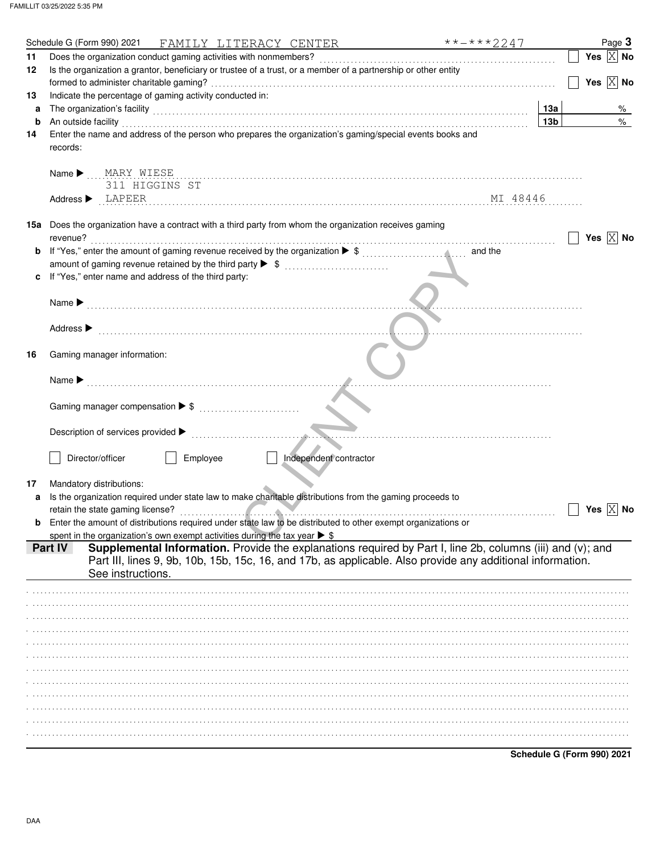|    |                            | Schedule G (Form 990) 2021       | FAMILY LITERACY CENTER                                                                    |                        |                                                                                                                | $***$ $***$ 2247 |                            |     | Page 3                |
|----|----------------------------|----------------------------------|-------------------------------------------------------------------------------------------|------------------------|----------------------------------------------------------------------------------------------------------------|------------------|----------------------------|-----|-----------------------|
| 11 |                            |                                  | Does the organization conduct gaming activities with nonmembers?                          |                        |                                                                                                                |                  |                            |     | Yes $\overline{X}$ No |
| 12 |                            |                                  |                                                                                           |                        | Is the organization a grantor, beneficiary or trustee of a trust, or a member of a partnership or other entity |                  |                            |     |                       |
|    |                            |                                  |                                                                                           |                        |                                                                                                                |                  |                            |     | Yes $\overline{X}$ No |
| 13 |                            |                                  | Indicate the percentage of gaming activity conducted in:                                  |                        |                                                                                                                |                  |                            |     |                       |
| a  |                            |                                  |                                                                                           |                        |                                                                                                                |                  | 13а                        |     | %                     |
| b  |                            | An outside facility              |                                                                                           |                        |                                                                                                                |                  | 13 <sub>b</sub>            |     | %                     |
| 14 |                            |                                  |                                                                                           |                        | Enter the name and address of the person who prepares the organization's gaming/special events books and       |                  |                            |     |                       |
|    | records:                   |                                  |                                                                                           |                        |                                                                                                                |                  |                            |     |                       |
|    |                            |                                  |                                                                                           |                        |                                                                                                                |                  |                            |     |                       |
|    | Name $\blacktriangleright$ | MARY WIESE                       |                                                                                           |                        |                                                                                                                |                  |                            |     |                       |
|    |                            |                                  | 311 HIGGINS ST                                                                            |                        |                                                                                                                |                  |                            |     |                       |
|    | Address ▶                  | LAPEER                           |                                                                                           |                        |                                                                                                                | MI 48446         |                            |     |                       |
|    |                            |                                  |                                                                                           |                        |                                                                                                                |                  |                            |     |                       |
|    |                            |                                  |                                                                                           |                        | 15a Does the organization have a contract with a third party from whom the organization receives gaming        |                  |                            |     |                       |
|    | revenue?                   |                                  |                                                                                           |                        |                                                                                                                |                  |                            |     | Yes $ X $ No          |
|    |                            |                                  |                                                                                           |                        |                                                                                                                |                  |                            |     |                       |
|    |                            |                                  |                                                                                           |                        |                                                                                                                |                  |                            |     |                       |
|    |                            |                                  | If "Yes," enter name and address of the third party:                                      |                        |                                                                                                                |                  |                            |     |                       |
|    |                            |                                  |                                                                                           |                        |                                                                                                                |                  |                            |     |                       |
|    | Name $\blacktriangleright$ |                                  |                                                                                           |                        |                                                                                                                |                  |                            |     |                       |
|    |                            |                                  |                                                                                           |                        |                                                                                                                |                  |                            |     |                       |
|    | Address ▶                  |                                  |                                                                                           |                        |                                                                                                                |                  |                            |     |                       |
|    |                            |                                  |                                                                                           |                        |                                                                                                                |                  |                            |     |                       |
| 16 |                            | Gaming manager information:      |                                                                                           |                        |                                                                                                                |                  |                            |     |                       |
|    |                            |                                  |                                                                                           |                        |                                                                                                                |                  |                            |     |                       |
|    | Name $\blacktriangleright$ |                                  |                                                                                           |                        |                                                                                                                |                  |                            |     |                       |
|    |                            |                                  |                                                                                           |                        |                                                                                                                |                  |                            |     |                       |
|    |                            |                                  | Gaming manager compensation ▶ \$                                                          |                        |                                                                                                                |                  |                            |     |                       |
|    |                            |                                  |                                                                                           |                        |                                                                                                                |                  |                            |     |                       |
|    |                            |                                  | Description of services provided >                                                        |                        |                                                                                                                |                  |                            |     |                       |
|    |                            |                                  |                                                                                           |                        |                                                                                                                |                  |                            |     |                       |
|    |                            | Director/officer                 | Employee                                                                                  | Independent contractor |                                                                                                                |                  |                            |     |                       |
|    |                            |                                  |                                                                                           |                        |                                                                                                                |                  |                            |     |                       |
| 17 |                            | Mandatory distributions:         |                                                                                           |                        |                                                                                                                |                  |                            |     |                       |
| a  |                            |                                  |                                                                                           |                        | Is the organization required under state law to make charitable distributions from the gaming proceeds to      |                  |                            |     |                       |
|    |                            | retain the state gaming license? |                                                                                           |                        |                                                                                                                |                  |                            | Yes | X <br>No              |
|    |                            |                                  |                                                                                           |                        | Enter the amount of distributions required under state law to be distributed to other exempt organizations or  |                  |                            |     |                       |
|    |                            |                                  | spent in the organization's own exempt activities during the tax year $\triangleright$ \$ |                        |                                                                                                                |                  |                            |     |                       |
|    | Part IV                    |                                  |                                                                                           |                        | Supplemental Information. Provide the explanations required by Part I, line 2b, columns (iii) and (v); and     |                  |                            |     |                       |
|    |                            |                                  |                                                                                           |                        | Part III, lines 9, 9b, 10b, 15b, 15c, 16, and 17b, as applicable. Also provide any additional information.     |                  |                            |     |                       |
|    |                            | See instructions.                |                                                                                           |                        |                                                                                                                |                  |                            |     |                       |
|    |                            |                                  |                                                                                           |                        |                                                                                                                |                  |                            |     |                       |
|    |                            |                                  |                                                                                           |                        |                                                                                                                |                  |                            |     |                       |
|    |                            |                                  |                                                                                           |                        |                                                                                                                |                  |                            |     |                       |
|    |                            |                                  |                                                                                           |                        |                                                                                                                |                  |                            |     |                       |
|    |                            |                                  |                                                                                           |                        |                                                                                                                |                  |                            |     |                       |
|    |                            |                                  |                                                                                           |                        |                                                                                                                |                  |                            |     |                       |
|    |                            |                                  |                                                                                           |                        |                                                                                                                |                  |                            |     |                       |
|    |                            |                                  |                                                                                           |                        |                                                                                                                |                  |                            |     |                       |
|    |                            |                                  |                                                                                           |                        |                                                                                                                |                  |                            |     |                       |
|    |                            |                                  |                                                                                           |                        |                                                                                                                |                  |                            |     |                       |
|    |                            |                                  |                                                                                           |                        |                                                                                                                |                  |                            |     |                       |
|    |                            |                                  |                                                                                           |                        |                                                                                                                |                  |                            |     |                       |
|    |                            |                                  |                                                                                           |                        |                                                                                                                |                  |                            |     |                       |
|    |                            |                                  |                                                                                           |                        |                                                                                                                |                  | Schedule G (Form 990) 2021 |     |                       |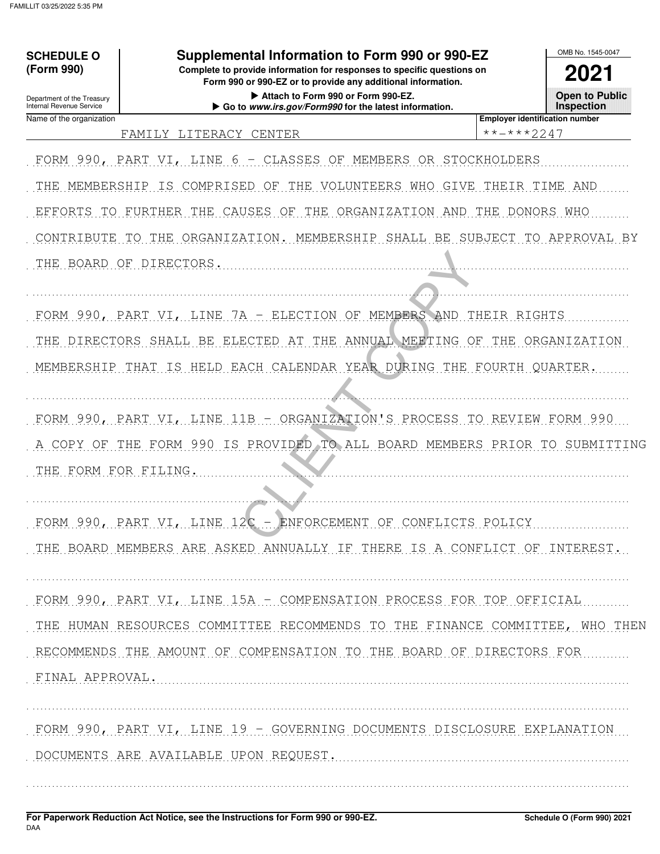| <b>SCHEDULE O</b><br>(Form 990)<br>Department of the Treasury<br>Internal Revenue Service | Supplemental Information to Form 990 or 990-EZ<br>Complete to provide information for responses to specific questions on<br>Form 990 or 990-EZ or to provide any additional information.<br>Attach to Form 990 or Form 990-EZ.<br>Go to www.irs.gov/Form990 for the latest information. |                                                     | OMB No. 1545-0047<br>2021<br><b>Open to Public</b><br>Inspection |
|-------------------------------------------------------------------------------------------|-----------------------------------------------------------------------------------------------------------------------------------------------------------------------------------------------------------------------------------------------------------------------------------------|-----------------------------------------------------|------------------------------------------------------------------|
| Name of the organization                                                                  | FAMILY LITERACY<br><b>CENTER</b>                                                                                                                                                                                                                                                        | <b>Employer identification number</b><br>**-***2247 |                                                                  |
|                                                                                           | FORM 990, PART VI, LINE 6 - CLASSES OF MEMBERS OR STOCKHOLDERS                                                                                                                                                                                                                          |                                                     |                                                                  |
|                                                                                           | THE MEMBERSHIP IS COMPRISED OF<br>THE<br>VOLUNTEERS WHO GIVE THEIR TIME AND                                                                                                                                                                                                             |                                                     |                                                                  |
|                                                                                           |                                                                                                                                                                                                                                                                                         |                                                     |                                                                  |
|                                                                                           | EFFORTS TO FURTHER THE CAUSES OF<br>THE ORGANIZATION AND                                                                                                                                                                                                                                | THE DONORS WHO                                      |                                                                  |
| CONTRIBUTE                                                                                | THE ORGANIZATION. MEMBERSHIP SHALL BE SUBJECT TO APPROVAL BY<br>TO                                                                                                                                                                                                                      |                                                     |                                                                  |
|                                                                                           | THE BOARD OF DIRECTORS.                                                                                                                                                                                                                                                                 |                                                     |                                                                  |
|                                                                                           |                                                                                                                                                                                                                                                                                         |                                                     |                                                                  |
|                                                                                           | FORM 990, PART VI, LINE 7A - ELECTION OF MEMBERS AND                                                                                                                                                                                                                                    | THEIR RIGHTS                                        |                                                                  |
|                                                                                           | THE DIRECTORS SHALL BE ELECTED<br>THE ANNUAL MEETING OF<br>AT                                                                                                                                                                                                                           |                                                     | THE ORGANIZATION                                                 |
|                                                                                           | MEMBERSHIP THAT IS HELD EACH CALENDAR YEAR DURING THE FOURTH QUARTER.                                                                                                                                                                                                                   |                                                     |                                                                  |
|                                                                                           | FORM 990, PART VI, LINE 11B - ORGANIZATION'S PROCESS TO REVIEW FORM 990                                                                                                                                                                                                                 |                                                     |                                                                  |
| COPY OF                                                                                   | THE FORM 990 IS PROVIDED TO ALL BOARD MEMBERS PRIOR TO SUBMITTING                                                                                                                                                                                                                       |                                                     |                                                                  |
| THE FORM FOR FILING.                                                                      |                                                                                                                                                                                                                                                                                         |                                                     |                                                                  |
|                                                                                           |                                                                                                                                                                                                                                                                                         |                                                     |                                                                  |
|                                                                                           | FORM 990, PART VI, LINE 12C - ENFORCEMENT OF CONFLICTS POLICY                                                                                                                                                                                                                           |                                                     |                                                                  |
|                                                                                           | THE BOARD MEMBERS ARE ASKED ANNUALLY IF THERE IS A CONFLICT OF INTEREST.                                                                                                                                                                                                                |                                                     |                                                                  |
|                                                                                           | FORM 990, PART VI, LINE 15A - COMPENSATION PROCESS FOR TOP OFFICIAL                                                                                                                                                                                                                     |                                                     |                                                                  |
|                                                                                           | THE HUMAN RESOURCES COMMITTEE RECOMMENDS TO THE FINANCE COMMITTEE, WHO THEN                                                                                                                                                                                                             |                                                     |                                                                  |
|                                                                                           | RECOMMENDS THE AMOUNT OF COMPENSATION TO THE BOARD OF DIRECTORS FOR                                                                                                                                                                                                                     |                                                     |                                                                  |
| FINAL APPROVAL.                                                                           |                                                                                                                                                                                                                                                                                         |                                                     |                                                                  |
|                                                                                           | FORM 990, PART VI, LINE 19 - GOVERNING DOCUMENTS DISCLOSURE EXPLANATION                                                                                                                                                                                                                 |                                                     |                                                                  |
|                                                                                           | DOCUMENTS ARE AVAILABLE UPON REQUEST.                                                                                                                                                                                                                                                   |                                                     |                                                                  |
|                                                                                           |                                                                                                                                                                                                                                                                                         |                                                     |                                                                  |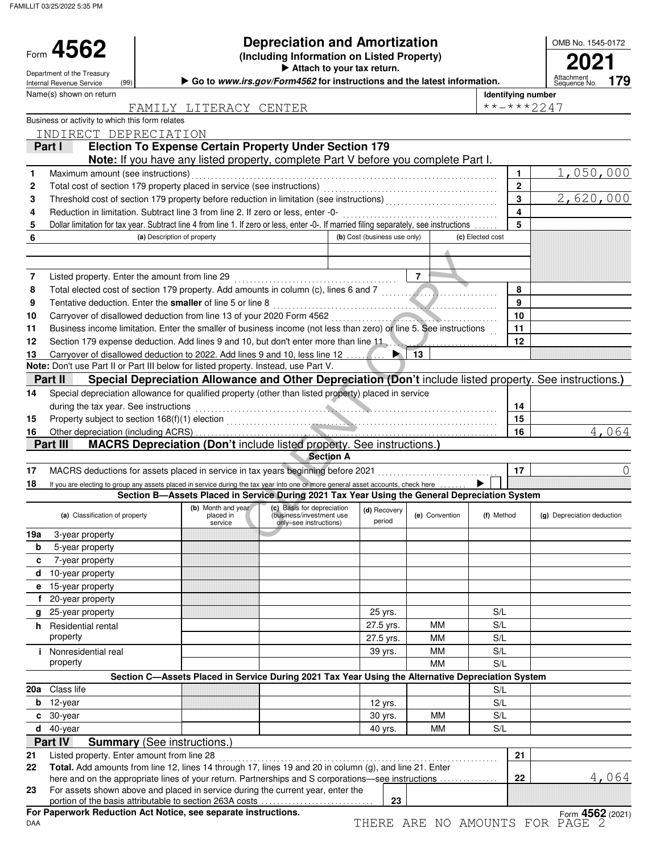FAMILLIT 03/25/2022 5:35 PM

Form 4562

(99)

| 4562                | <b>Depreciation and Amortization</b>       | OMB No. 1545-01 |
|---------------------|--------------------------------------------|-----------------|
|                     | (Including Information on Listed Property) | 2021            |
| ant of the Tressury | Attach to your tax return.                 |                 |

Department of the Treasury (99) **Contract Manual Properties Contract information.**<br>
Internal Revenue Service (99) **Contract on** *WWW.irs.gov/Form4562* **for instructions and the latest information.** 

OMB No. 1545-0172

**179**

|              | Name(s) shown on return                                                                                                                                                                    |                                            |                                                                                                   |                              |                          | Identifying number      |                                                                                                         |
|--------------|--------------------------------------------------------------------------------------------------------------------------------------------------------------------------------------------|--------------------------------------------|---------------------------------------------------------------------------------------------------|------------------------------|--------------------------|-------------------------|---------------------------------------------------------------------------------------------------------|
|              |                                                                                                                                                                                            | FAMILY LITERACY CENTER                     |                                                                                                   |                              |                          | **-***2247              |                                                                                                         |
|              | Business or activity to which this form relates                                                                                                                                            |                                            |                                                                                                   |                              |                          |                         |                                                                                                         |
|              | INDIRECT DEPRECIATION                                                                                                                                                                      |                                            |                                                                                                   |                              |                          |                         |                                                                                                         |
|              | Part I                                                                                                                                                                                     |                                            | <b>Election To Expense Certain Property Under Section 179</b>                                     |                              |                          |                         |                                                                                                         |
|              |                                                                                                                                                                                            |                                            | Note: If you have any listed property, complete Part V before you complete Part I.                |                              |                          |                         |                                                                                                         |
| $\mathbf{1}$ | Maximum amount (see instructions)                                                                                                                                                          |                                            |                                                                                                   |                              |                          | 1.                      | 1,050,000                                                                                               |
| $\mathbf 2$  |                                                                                                                                                                                            |                                            |                                                                                                   |                              |                          | $\mathbf{2}$            |                                                                                                         |
| 3            |                                                                                                                                                                                            |                                            |                                                                                                   |                              |                          | 3                       | 2,620,000                                                                                               |
| 4            |                                                                                                                                                                                            |                                            |                                                                                                   |                              |                          | $\overline{\mathbf{4}}$ |                                                                                                         |
| 5            | Dollar limitation for tax year. Subtract line 4 from line 1. If zero or less, enter -0-. If married filing separately, see instructions                                                    |                                            |                                                                                                   |                              |                          | 5                       |                                                                                                         |
| 6            |                                                                                                                                                                                            | (a) Description of property                |                                                                                                   | (b) Cost (business use only) |                          | (c) Elected cost        |                                                                                                         |
|              |                                                                                                                                                                                            |                                            |                                                                                                   |                              |                          |                         |                                                                                                         |
|              |                                                                                                                                                                                            |                                            |                                                                                                   |                              |                          |                         |                                                                                                         |
| 7            | Listed property. Enter the amount from line 29                                                                                                                                             |                                            |                                                                                                   |                              | $\overline{7}$           | 8                       |                                                                                                         |
| 8            | Total elected cost of section 179 property. Add amounts in column (c), lines 6 and 7                                                                                                       |                                            |                                                                                                   |                              |                          | 9                       |                                                                                                         |
| 9            | Tentative deduction. Enter the smaller of line 5 or line 8                                                                                                                                 |                                            |                                                                                                   |                              |                          | 10                      |                                                                                                         |
| 10<br>11     | Carryover of disallowed deduction from line 13 of your 2020 Form 4562<br>Business income limitation. Enter the smaller of business income (not less than zero) or line 5. See instructions |                                            |                                                                                                   |                              |                          | 11                      |                                                                                                         |
| 12           | Section 179 expense deduction. Add lines 9 and 10, but don't enter more than line 11                                                                                                       |                                            |                                                                                                   |                              |                          | 12                      |                                                                                                         |
| 13           | Carryover of disallowed deduction to 2022. Add lines 9 and 10, less line 12                                                                                                                |                                            |                                                                                                   |                              | $\overline{\mathbf{13}}$ |                         |                                                                                                         |
|              | Note: Don't use Part II or Part III below for listed property. Instead, use Part V.                                                                                                        |                                            |                                                                                                   |                              |                          |                         |                                                                                                         |
|              | Part II                                                                                                                                                                                    |                                            |                                                                                                   |                              |                          |                         | Special Depreciation Allowance and Other Depreciation (Don't include listed property. See instructions. |
| 14           | Special depreciation allowance for qualified property (other than listed property) placed in service                                                                                       |                                            |                                                                                                   |                              |                          |                         |                                                                                                         |
|              | during the tax year. See instructions                                                                                                                                                      |                                            |                                                                                                   |                              |                          | 14                      |                                                                                                         |
| 15           |                                                                                                                                                                                            |                                            |                                                                                                   |                              |                          | 15                      |                                                                                                         |
| 16           | Other depreciation (including ACRS).                                                                                                                                                       |                                            |                                                                                                   |                              |                          | 16                      | 4,064                                                                                                   |
|              | Part III                                                                                                                                                                                   |                                            | <b>MACRS Depreciation (Don't include listed property. See instructions.)</b>                      |                              |                          |                         |                                                                                                         |
|              |                                                                                                                                                                                            |                                            | <b>Section A</b>                                                                                  |                              |                          |                         |                                                                                                         |
| 17           | MACRS deductions for assets placed in service in tax years beginning before 2021                                                                                                           |                                            |                                                                                                   |                              |                          | 17                      | 0                                                                                                       |
| 18           | If you are electing to group any assets placed in service during the tax year into one or more general asset accounts, check here                                                          |                                            |                                                                                                   |                              |                          |                         |                                                                                                         |
|              |                                                                                                                                                                                            |                                            | Section B-Assets Placed in Service During 2021 Tax Year Using the General Depreciation System     |                              |                          |                         |                                                                                                         |
|              | (a) Classification of property                                                                                                                                                             | (b) Month and year<br>placed in<br>service | (c) Basis for depreciation<br>(business/investment use<br>only-see instructions)                  | (d) Recovery<br>period       | (e) Convention           | (f) Method              | (g) Depreciation deduction                                                                              |
| 19а          | 3-year property                                                                                                                                                                            |                                            |                                                                                                   |                              |                          |                         |                                                                                                         |
| b            | 5-year property                                                                                                                                                                            |                                            |                                                                                                   |                              |                          |                         |                                                                                                         |
| c            | 7-year property                                                                                                                                                                            |                                            |                                                                                                   |                              |                          |                         |                                                                                                         |
|              | d 10-year property                                                                                                                                                                         |                                            |                                                                                                   |                              |                          |                         |                                                                                                         |
|              | e 15-year property                                                                                                                                                                         |                                            |                                                                                                   |                              |                          |                         |                                                                                                         |
|              | f 20-year property                                                                                                                                                                         |                                            |                                                                                                   |                              |                          |                         |                                                                                                         |
| g            | 25-year property                                                                                                                                                                           |                                            |                                                                                                   | 25 yrs.                      |                          | S/L                     |                                                                                                         |
|              | <b>h</b> Residential rental                                                                                                                                                                |                                            |                                                                                                   | 27.5 yrs.                    | ΜМ                       | S/L                     |                                                                                                         |
|              | property                                                                                                                                                                                   |                                            |                                                                                                   | 27.5 yrs.                    | MM                       | S/L                     |                                                                                                         |
| j.           | Nonresidential real                                                                                                                                                                        |                                            |                                                                                                   | 39 yrs.                      | MM                       | S/L                     |                                                                                                         |
|              | property                                                                                                                                                                                   |                                            |                                                                                                   |                              | <b>MM</b>                | S/L                     |                                                                                                         |
|              |                                                                                                                                                                                            |                                            | Section C-Assets Placed in Service During 2021 Tax Year Using the Alternative Depreciation System |                              |                          |                         |                                                                                                         |
|              | 20a Class life                                                                                                                                                                             |                                            |                                                                                                   |                              |                          | S/L                     |                                                                                                         |
|              | $b$ 12-year                                                                                                                                                                                |                                            |                                                                                                   | 12 yrs.                      |                          | S/L                     |                                                                                                         |
|              | $c30-year$                                                                                                                                                                                 |                                            |                                                                                                   | 30 yrs.                      | MМ                       | S/L                     |                                                                                                         |
|              | $d$ 40-year                                                                                                                                                                                |                                            |                                                                                                   | 40 yrs.                      | MM                       | S/L                     |                                                                                                         |
|              | Part IV<br><b>Summary (See instructions.)</b>                                                                                                                                              |                                            |                                                                                                   |                              |                          |                         |                                                                                                         |
| 21<br>22     | Listed property. Enter amount from line 28<br>Total. Add amounts from line 12, lines 14 through 17, lines 19 and 20 in column (g), and line 21. Enter                                      |                                            |                                                                                                   |                              |                          | 21                      |                                                                                                         |
|              | here and on the appropriate lines of your return. Partnerships and S corporations—see instructions                                                                                         |                                            |                                                                                                   |                              |                          | 22                      | 4,064                                                                                                   |
| 23           | For assets shown above and placed in service during the current year, enter the                                                                                                            |                                            |                                                                                                   |                              |                          |                         |                                                                                                         |
|              | portion of the basis attributable to section 263A costs                                                                                                                                    |                                            |                                                                                                   | 23                           |                          |                         |                                                                                                         |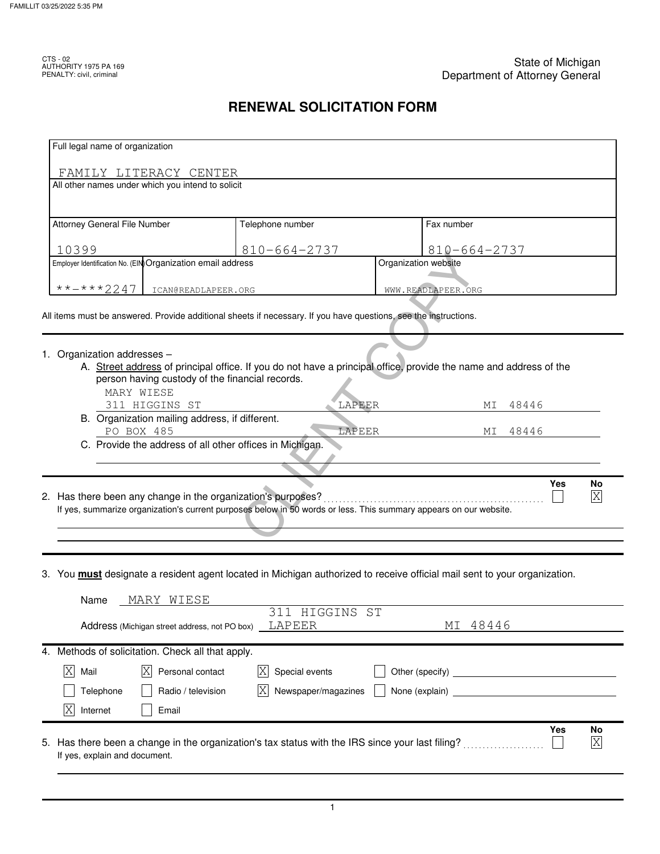## **RENEWAL SOLICITATION FORM**

| Full legal name of organization                                                                                                                                                   |                                                                                                                   |                      |                                                 |
|-----------------------------------------------------------------------------------------------------------------------------------------------------------------------------------|-------------------------------------------------------------------------------------------------------------------|----------------------|-------------------------------------------------|
| FAMILY LITERACY CENTER                                                                                                                                                            |                                                                                                                   |                      |                                                 |
| All other names under which you intend to solicit                                                                                                                                 |                                                                                                                   |                      |                                                 |
|                                                                                                                                                                                   |                                                                                                                   |                      |                                                 |
| Attorney General File Number                                                                                                                                                      | Telephone number                                                                                                  | Fax number           |                                                 |
| 10399                                                                                                                                                                             | $810 - 664 - 2737$                                                                                                |                      | $810 - 664 - 2737$                              |
| Employer Identification No. (EIN Organization email address                                                                                                                       |                                                                                                                   | Organization website |                                                 |
| $******2247$<br>ICAN@READLAPEER.ORG                                                                                                                                               |                                                                                                                   | WWW.READLAPEER.ORG   |                                                 |
|                                                                                                                                                                                   |                                                                                                                   |                      |                                                 |
| All items must be answered. Provide additional sheets if necessary. If you have questions, see the instructions.                                                                  |                                                                                                                   |                      |                                                 |
|                                                                                                                                                                                   |                                                                                                                   |                      |                                                 |
| 1. Organization addresses -                                                                                                                                                       | A. Street address of principal office. If you do not have a principal office, provide the name and address of the |                      |                                                 |
| person having custody of the financial records.<br>MARY WIESE                                                                                                                     |                                                                                                                   |                      |                                                 |
| 311 HIGGINS ST                                                                                                                                                                    |                                                                                                                   | LAPEER               | 48446<br>MI                                     |
| B. Organization mailing address, if different.                                                                                                                                    |                                                                                                                   | LAPEER               | 48446                                           |
| PO BOX 485<br>C. Provide the address of all other offices in Michigan.                                                                                                            |                                                                                                                   |                      | MI                                              |
|                                                                                                                                                                                   |                                                                                                                   |                      |                                                 |
|                                                                                                                                                                                   |                                                                                                                   |                      | <b>Yes</b><br>No                                |
| 2. Has there been any change in the organization's purposes?<br>If yes, summarize organization's current purposes below in 50 words or less. This summary appears on our website. |                                                                                                                   |                      | $\overline{\mathrm{X}}$                         |
|                                                                                                                                                                                   |                                                                                                                   |                      |                                                 |
|                                                                                                                                                                                   |                                                                                                                   |                      |                                                 |
|                                                                                                                                                                                   |                                                                                                                   |                      |                                                 |
| 3. You must designate a resident agent located in Michigan authorized to receive official mail sent to your organization.                                                         |                                                                                                                   |                      |                                                 |
| MARY WIESE<br>Name                                                                                                                                                                |                                                                                                                   |                      |                                                 |
| Address (Michigan street address, not PO box)                                                                                                                                     | 311 HIGGINS<br>LAPEER                                                                                             | ST<br>MΙ             | 48446                                           |
|                                                                                                                                                                                   |                                                                                                                   |                      |                                                 |
| 4. Methods of solicitation. Check all that apply.                                                                                                                                 |                                                                                                                   |                      |                                                 |
| $ {\rm X} $<br> X <br>Mail<br>Personal contact                                                                                                                                    | X<br>Special events                                                                                               |                      |                                                 |
| Telephone<br>Radio / television                                                                                                                                                   | Newspaper/magazines<br>ΙX                                                                                         | None (explain)       | <u> 1980 - Jan Samuel Barbara, politik a po</u> |
| ΙX<br>Internet<br>Email                                                                                                                                                           |                                                                                                                   |                      |                                                 |
| Has there been a change in the organization's tax status with the IRS since your last filing?<br>5.                                                                               |                                                                                                                   |                      | <b>Yes</b><br>No<br>$\vert X \vert$             |
| If yes, explain and document.                                                                                                                                                     |                                                                                                                   |                      |                                                 |
|                                                                                                                                                                                   |                                                                                                                   |                      |                                                 |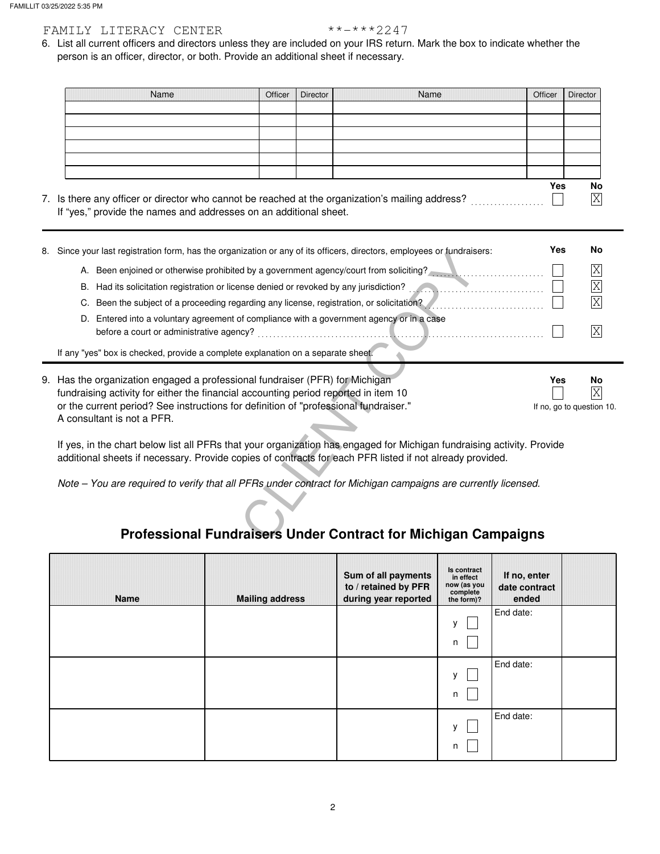### FAMILY LITERACY CENTER \*\*-\*\*\*2247

person is an officer, director, or both. Provide an additional sheet if necessary. 6. List all current officers and directors unless they are included on your IRS return. Mark the box to indicate whether the

| Name                                                                                          | Officer | Director | Name | Officer | Director |
|-----------------------------------------------------------------------------------------------|---------|----------|------|---------|----------|
|                                                                                               |         |          |      |         |          |
|                                                                                               |         |          |      |         |          |
|                                                                                               |         |          |      |         |          |
|                                                                                               |         |          |      |         |          |
|                                                                                               |         |          |      |         |          |
|                                                                                               |         |          |      |         |          |
|                                                                                               |         |          |      | Yes     | No       |
| Is there any officer or director who cannot be reached at the organization's mailing address? |         |          |      |         | Χ        |

7. Is there any officer or director who cannot be reached at the organization's mailing address? .................. If "yes," provide the names and addresses on an additional sheet.

| 8. | Since your last registration form, has the organization or any of its officers, directors, employees or fundraisers:                                                                                                                                                                                                                  | Yes | No                      |  |  |  |  |
|----|---------------------------------------------------------------------------------------------------------------------------------------------------------------------------------------------------------------------------------------------------------------------------------------------------------------------------------------|-----|-------------------------|--|--|--|--|
|    | A. Been enjoined or otherwise prohibited by a government agency/court from soliciting?                                                                                                                                                                                                                                                |     | $\overline{X}$          |  |  |  |  |
|    | В.                                                                                                                                                                                                                                                                                                                                    |     | $\overline{X}$          |  |  |  |  |
|    | Been the subject of a proceeding regarding any license, registration, or solicitation?<br>C.                                                                                                                                                                                                                                          |     | $\overline{\mathrm{X}}$ |  |  |  |  |
|    | Entered into a voluntary agreement of compliance with a government agency or in a case<br>D.<br>before a court or administrative agency?<br><u> 1986 - John Stein, Amerikaansk kommunister (</u>                                                                                                                                      |     | X                       |  |  |  |  |
|    | If any "yes" box is checked, provide a complete explanation on a separate sheet.                                                                                                                                                                                                                                                      |     |                         |  |  |  |  |
| 9. | Has the organization engaged a professional fundraiser (PFR) for Michigan<br>Yes<br>No<br>X<br>fundraising activity for either the financial accounting period reported in item 10<br>or the current period? See instructions for definition of "professional fundraiser."<br>If no, go to question 10.<br>A consultant is not a PFR. |     |                         |  |  |  |  |
|    | If yes, in the chart below list all PFRs that your organization has engaged for Michigan fundraising activity. Provide<br>additional sheets if necessary. Provide copies of contracts for each PFR listed if not already provided.                                                                                                    |     |                         |  |  |  |  |
|    | Note – You are required to verify that all PFRs under contract for Michigan campaigns are currently licensed.                                                                                                                                                                                                                         |     |                         |  |  |  |  |
|    | <b>Professional Fundraisers Under Contract for Michigan Campaigns</b>                                                                                                                                                                                                                                                                 |     |                         |  |  |  |  |

### **Professional Fundraisers Under Contract for Michigan Campaigns**

| Name | <b>Mailing address</b> | Sum of all payments<br>to / retained by PFR<br>during year reported | Is contract<br>in effect<br>now (as you<br>complete<br>the form)? | If no, enter<br>date contract<br>ended |  |
|------|------------------------|---------------------------------------------------------------------|-------------------------------------------------------------------|----------------------------------------|--|
|      |                        |                                                                     | $\mathsf{V}$<br>n                                                 | End date:                              |  |
|      |                        |                                                                     | v<br>n                                                            | End date:                              |  |
|      |                        |                                                                     | $\mathbf v$<br>n                                                  | End date:                              |  |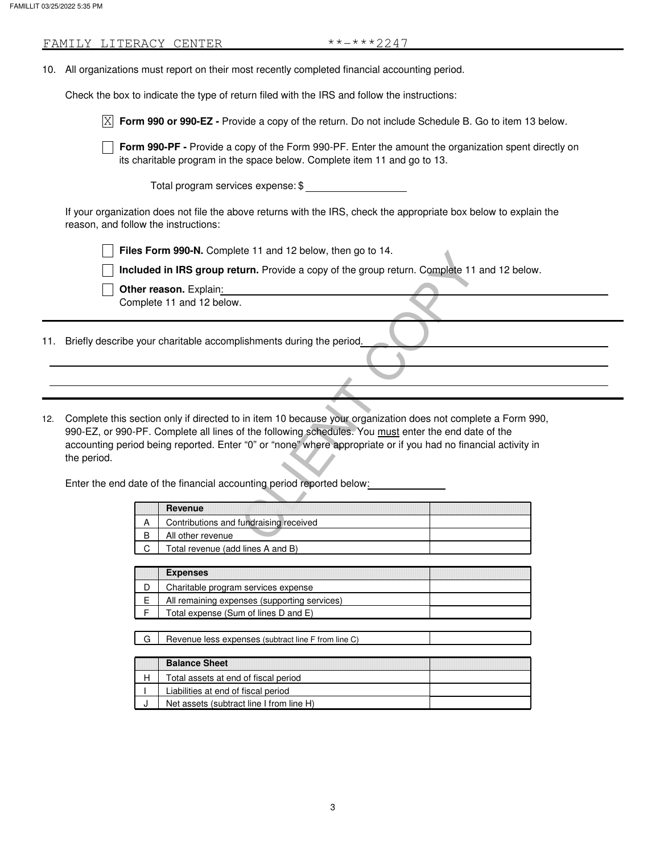|     |                        |        | **-***2247<br>FAMILY LITERACY CENTER                                                                                                                                              |  |  |  |
|-----|------------------------|--------|-----------------------------------------------------------------------------------------------------------------------------------------------------------------------------------|--|--|--|
|     |                        |        | 10. All organizations must report on their most recently completed financial accounting period.                                                                                   |  |  |  |
|     |                        |        | Check the box to indicate the type of return filed with the IRS and follow the instructions:                                                                                      |  |  |  |
|     |                        |        | $\overline{X}$ Form 990 or 990-EZ - Provide a copy of the return. Do not include Schedule B. Go to item 13 below.                                                                 |  |  |  |
|     |                        |        | Form 990-PF - Provide a copy of the Form 990-PF. Enter the amount the organization spent directly on<br>its charitable program in the space below. Complete item 11 and go to 13. |  |  |  |
|     |                        |        | Total program services expense: \$                                                                                                                                                |  |  |  |
|     |                        |        | If your organization does not file the above returns with the IRS, check the appropriate box below to explain the<br>reason, and follow the instructions:                         |  |  |  |
|     |                        |        | Files Form 990-N. Complete 11 and 12 below, then go to 14.                                                                                                                        |  |  |  |
|     |                        |        | Included in IRS group return. Provide a copy of the group return. Complete 11 and 12 below.                                                                                       |  |  |  |
|     | Other reason. Explain: |        |                                                                                                                                                                                   |  |  |  |
|     |                        |        | Complete 11 and 12 below.                                                                                                                                                         |  |  |  |
|     |                        |        |                                                                                                                                                                                   |  |  |  |
|     |                        |        | 11. Briefly describe your charitable accomplishments during the period.                                                                                                           |  |  |  |
|     |                        |        |                                                                                                                                                                                   |  |  |  |
|     |                        |        |                                                                                                                                                                                   |  |  |  |
|     |                        |        |                                                                                                                                                                                   |  |  |  |
| 12. |                        |        | Complete this section only if directed to in item 10 because your organization does not complete a Form 990,                                                                      |  |  |  |
|     |                        |        | 990-EZ, or 990-PF. Complete all lines of the following schedules. You must enter the end date of the                                                                              |  |  |  |
|     |                        |        | accounting period being reported. Enter "0" or "none" where appropriate or if you had no financial activity in                                                                    |  |  |  |
|     | the period.            |        |                                                                                                                                                                                   |  |  |  |
|     |                        |        | Enter the end date of the financial accounting period reported below:                                                                                                             |  |  |  |
|     |                        |        |                                                                                                                                                                                   |  |  |  |
|     |                        |        | <b>Revenue</b>                                                                                                                                                                    |  |  |  |
|     |                        | A<br>B | Contributions and fundraising received<br>All other revenue                                                                                                                       |  |  |  |
|     |                        |        |                                                                                                                                                                                   |  |  |  |

| Revenue                                |  |
|----------------------------------------|--|
| Contributions and fundraising received |  |
| All other revenue                      |  |
| Total revenue (add lines A and B)      |  |

| <b>Expenses</b>                              |  |
|----------------------------------------------|--|
| Charitable program services expense          |  |
| All remaining expenses (supporting services) |  |
| Total expense (Sum of lines D and E)         |  |

|  |  | Revenue less expenses (subtract line F from line C) |  |
|--|--|-----------------------------------------------------|--|
|--|--|-----------------------------------------------------|--|

| <b>Balance Sheet</b>                     |  |
|------------------------------------------|--|
| Total assets at end of fiscal period     |  |
| Liabilities at end of fiscal period      |  |
| Net assets (subtract line I from line H) |  |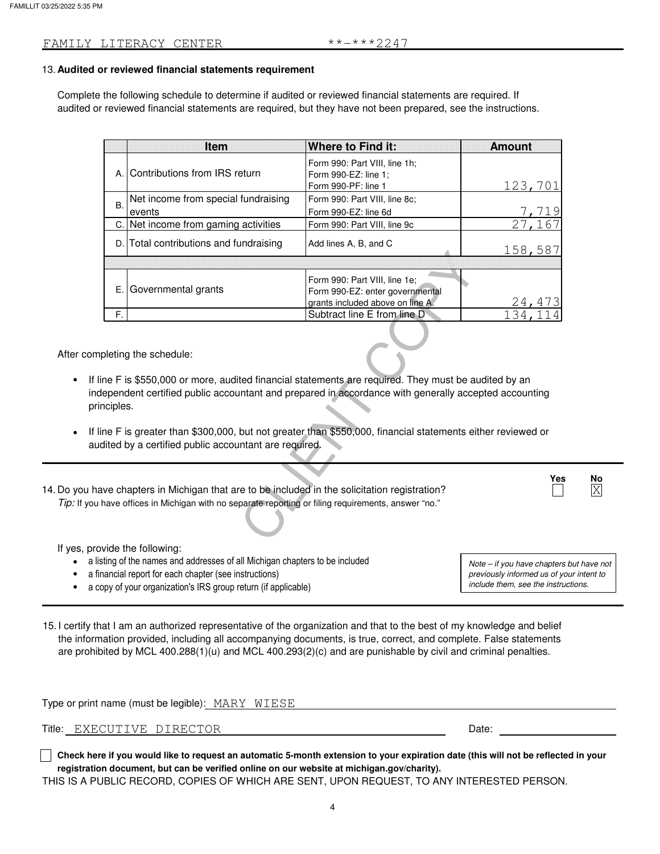#### **Audited or reviewed financial statements requirement** 13.

Complete the following schedule to determine if audited or reviewed financial statements are required. If audited or reviewed financial statements are required, but they have not been prepared, see the instructions.

|                                                                                                                                                                                       | Item                                                                                                                                                                                                                                                                                                                                                                                                              | <b>Where to Find it:</b>                                                     | <b>Amount</b> |  |  |  |  |
|---------------------------------------------------------------------------------------------------------------------------------------------------------------------------------------|-------------------------------------------------------------------------------------------------------------------------------------------------------------------------------------------------------------------------------------------------------------------------------------------------------------------------------------------------------------------------------------------------------------------|------------------------------------------------------------------------------|---------------|--|--|--|--|
|                                                                                                                                                                                       | A. Contributions from IRS return                                                                                                                                                                                                                                                                                                                                                                                  | Form 990: Part VIII, line 1h;<br>Form 990-EZ: line 1;<br>Form 990-PF: line 1 | 123,701       |  |  |  |  |
|                                                                                                                                                                                       | Net income from special fundraising                                                                                                                                                                                                                                                                                                                                                                               | Form 990: Part VIII, line 8c;                                                |               |  |  |  |  |
| <b>B.</b>                                                                                                                                                                             | events                                                                                                                                                                                                                                                                                                                                                                                                            | Form 990-EZ: line 6d                                                         |               |  |  |  |  |
|                                                                                                                                                                                       | C. Net income from gaming activities                                                                                                                                                                                                                                                                                                                                                                              | Form 990: Part VIII, line 9c                                                 | 27.           |  |  |  |  |
|                                                                                                                                                                                       | D. Total contributions and fundraising                                                                                                                                                                                                                                                                                                                                                                            | Add lines A, B, and C                                                        | 158,587       |  |  |  |  |
|                                                                                                                                                                                       |                                                                                                                                                                                                                                                                                                                                                                                                                   |                                                                              |               |  |  |  |  |
|                                                                                                                                                                                       |                                                                                                                                                                                                                                                                                                                                                                                                                   | Form 990: Part VIII, line 1e;                                                |               |  |  |  |  |
|                                                                                                                                                                                       | E. Governmental grants                                                                                                                                                                                                                                                                                                                                                                                            | Form 990-EZ: enter governmental                                              |               |  |  |  |  |
|                                                                                                                                                                                       |                                                                                                                                                                                                                                                                                                                                                                                                                   | grants included above on line A.                                             | 24,473        |  |  |  |  |
| F.                                                                                                                                                                                    |                                                                                                                                                                                                                                                                                                                                                                                                                   | Subtract line E from line D                                                  | 134           |  |  |  |  |
|                                                                                                                                                                                       | pleting the schedule:<br>ine F is \$550,000 or more, audited financial statements are required. They must be audited by an<br>lependent certified public accountant and prepared in accordance with generally accepted accounting<br>nciples.<br>ine F is greater than \$300,000, but not greater than \$550,000, financial statements either reviewed or<br>dited by a certified public accountant are required. |                                                                              |               |  |  |  |  |
| Ye:<br>ive chapters in Michigan that are to be included in the solicitation registration?<br>have offices in Michigan with no separate reporting or filing requirements, answer "no." |                                                                                                                                                                                                                                                                                                                                                                                                                   |                                                                              |               |  |  |  |  |

After completing the schedule:

- If line F is \$550,000 or more, audited financial statements are required. They must be audited by an independent certified public accountant and prepared in accordance with generally accepted accounting principles.
- If line F is greater than \$300,000, but not greater than \$550,000, financial statements either reviewed or audited by a certified public accountant are required.

14. Do you have chapters in Michigan that are to be included in the solicitation registration? *Tip:* If you have offices in Michigan with no separate reporting or filing requirements, answer "no."

If yes, provide the following:

- a listing of the names and addresses of all Michigan chapters to be included
- a financial report for each chapter (see instructions)
- a copy of your organization's IRS group return (if applicable)

*include them, see the instructions. previously informed us of your intent to Note – if you have chapters but have not*

**Yes No** X

15. I certify that I am an authorized representative of the organization and that to the best of my knowledge and belief the information provided, including all accompanying documents, is true, correct, and complete. False statements are prohibited by MCL 400.288(1)(u) and MCL 400.293(2)(c) and are punishable by civil and criminal penalties.

| Type or print name (must be legible): MARY WIESE |       |  |
|--------------------------------------------------|-------|--|
| Title: EXECUTIVE DIRECTOR                        | Date: |  |
|                                                  |       |  |

**Check here if you would like to request an automatic 5-month extension to your expiration date (this will not be reflected in your registration document, but can be verified online on our website at michigan.gov/charity).**

THIS IS A PUBLIC RECORD, COPIES OF WHICH ARE SENT, UPON REQUEST, TO ANY INTERESTED PERSON.